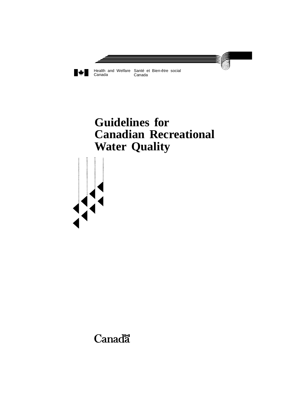

# **Guidelines for Canadian Recreational Water Quality**

**Canadä**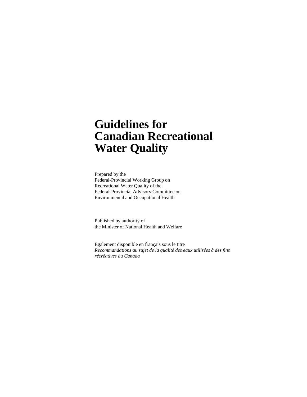# **Guidelines for Canadian Recreational Water Quality**

Prepared by the Federal-Provincial Working Group on Recreational Water Quality of the Federal-Provincial Advisory Committee on Environmental and Occupational Health

Published by authority of the Minister of National Health and Welfare

Également disponible en français sous le titre *Recommandations au sujet de la qualité des eaux utilisées à des fins récréatives au Canada*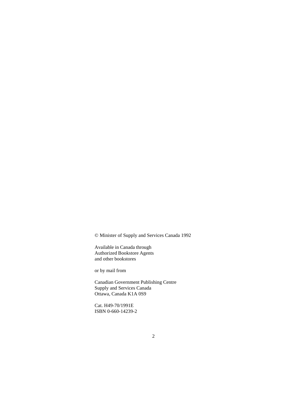© Minister of Supply and Services Canada 1992

Available in Canada through Authorized Bookstore Agents and other bookstores

or by mail from

Canadian Government Publishing Centre Supply and Services Canada Ottawa, Canada K1A 0S9

Cat. H49-70/1991E ISBN 0-660-14239-2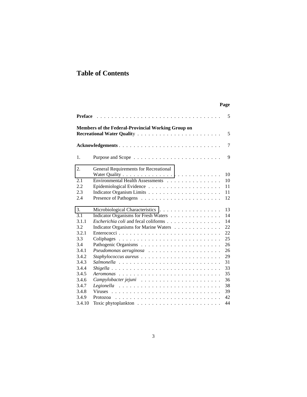# <span id="page-3-0"></span>**Table of Contents**

## **Page**

| 5                                                              |
|----------------------------------------------------------------|
| <b>Members of the Federal-Provincial Working Group on</b><br>5 |
| $\overline{7}$<br>Acknowledgements                             |
| 9                                                              |
| General Requirements for Recreational                          |
| 10                                                             |
| Environmental Health Assessments<br>10                         |
| 11                                                             |
| 11                                                             |
| 12                                                             |
| 13<br>Microbiological Characteristics                          |
| 14<br>Indicator Organisms for Fresh Waters                     |
| 14<br>Escherichia coli and fecal coliforms                     |
| Indicator Organisms for Marine Waters<br>22                    |
| 22                                                             |
| 25                                                             |
| 26                                                             |
| 26                                                             |
| 29                                                             |
| 31                                                             |
| 33                                                             |
| 35                                                             |
| 36                                                             |
| 38                                                             |
| 39                                                             |
| 42<br>Protozoa                                                 |
| 44                                                             |
|                                                                |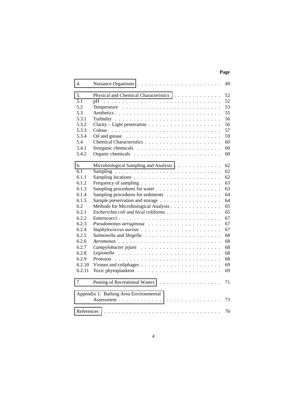## **Page**

| 4.                                           |                                                                                | 49 |
|----------------------------------------------|--------------------------------------------------------------------------------|----|
| 5.                                           | Physical and Chemical Characteristics                                          | 52 |
| 5.1                                          | pН                                                                             | 52 |
| 5.2                                          |                                                                                | 53 |
| 5.3                                          |                                                                                | 55 |
| 5.3.1                                        |                                                                                | 56 |
| 5.3.2                                        | Clarity – Light penetration $\ldots \ldots \ldots \ldots \ldots \ldots \ldots$ | 56 |
| 5.3.3                                        | Colour                                                                         | 57 |
| 5.3.4                                        |                                                                                | 59 |
| 5.4                                          |                                                                                | 60 |
| 5.4.1                                        |                                                                                | 60 |
| 5.4.2                                        |                                                                                | 60 |
|                                              |                                                                                |    |
| 6.                                           | Microbiological Sampling and Analysis                                          | 62 |
| 6.1                                          |                                                                                | 62 |
| 6.1.1                                        |                                                                                | 62 |
| 6.1.2                                        |                                                                                | 63 |
| 6.1.3                                        |                                                                                | 63 |
| 6.1.4                                        | Sampling procedures for sediments                                              | 64 |
| 6.1.5                                        | Sample preservation and storage                                                | 64 |
| 6.2                                          | Methods for Microbiological Analysis                                           | 65 |
| 6.2.1                                        | Escherichia coli and fecal coliforms                                           | 65 |
| 6.2.2                                        |                                                                                | 67 |
| 6.2.3                                        |                                                                                | 67 |
| 6.2.4                                        |                                                                                | 67 |
| 6.2.5                                        |                                                                                | 68 |
| 6.2.6                                        |                                                                                | 68 |
| 6.2.7                                        |                                                                                | 68 |
| 6.2.8                                        |                                                                                | 68 |
| 6.2.9                                        |                                                                                | 68 |
| 6.2.10                                       |                                                                                | 69 |
| 6.2.11                                       |                                                                                | 69 |
|                                              |                                                                                |    |
| 7.                                           |                                                                                | 71 |
| Appendix 1: Bathing Area Environmental<br>73 |                                                                                |    |
|                                              |                                                                                |    |
|                                              |                                                                                | 76 |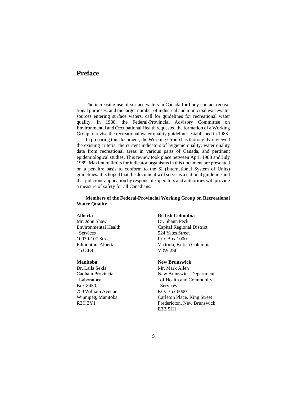# **Preface**

The increasing use of surface waters in Canada for body contact recreational purposes, and the larger number of industrial and municipal wastewater sources entering surface waters, call for guidelines for recreational water quality. In 1988, the Federal-Provincial Advisory Committee on Environmental and Occupational Health requested the formation of a Working Group to revise the recreational water quality guidelines established in 1983.

In preparing this document, the Working Group has thoroughly reviewed the existing criteria, the current indicators of hygienic quality, water quality data from recreational areas in various parts of Canada, and pertinent epidemiological studies. This review took place between April 1988 and July 1989. Maximum limits for indicator organisms in this document are presented on a per-litre basis to conform to the SI (International System of Units) guidelines. It is hoped that the document will serve as a national guideline and that judicious application by responsible operators and authorities will provide a measure of safety for all Canadians.

#### **Members of the Federal-Provincial Working Group on Recreational Water Quality**

Mr. John Shaw Dr. Shaun Peck Services 524 Yates Street 10030-107 Street P.O. Box 1000 T5J 3E4 V8W 2S6

Dr. Laila Sekla Mr. Mark Allen Box 8450, Services 750 William Avenue P.O. Box 6000

#### **Alberta British Columbia**

Environmental Health Capital Regional District Edmonton, Alberta Victoria, British Columbia

#### **Manitoba New Brunswick**

Cadham Provincial New Brunswick Department Laboratory of Health and Community Winnipeg, Manitoba Carleton Place, King Street R3C 3Y1 Fredericton, New Brunswick E3B 5H1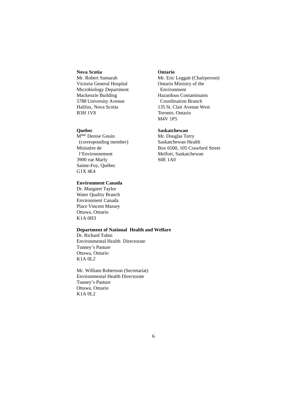#### **Nova Scotia Ontario**

Victoria General Hospital Ontario Ministry of the Microbiology Department Environment Mackenzie Building Hazardous Contaminants 5788 University Avenue Coordination Branch B3H 1V8 Toronto, Ontario

M<sup>me</sup> Denise Gouin Mr. Douglas Terry (corresponding member) Saskatchewan Health l'Environnement Melfort, Saskatchewan 3900 rue Marly S0E 1A0 Sainte-Foy, Québec G1X 4E4

#### **Environment Canada**

Dr. Margaret Taylor Water Quality Branch Environment Canada Place Vincent Massey Ottawa, Ontario K1A 0H3

#### **Department of National Health and Welfare**

Dr. Richard Tobin Environmental Health Directorate Tunney's Pasture Ottawa, Ontario K1A 0L2

Mr. William Robertson (Secretariat) Environmental Health Directorate Tunney's Pasture Ottawa, Ontario K1A 0L2

Mr. Robert Sumarah Mr. Eric Leggatt (Chairperson) Halifax, Nova Scotia 135 St. Clair Avenue West M4V 1P5

#### **Quebec Saskatchewan**

Ministère de Box 6500, 105 Crawford Street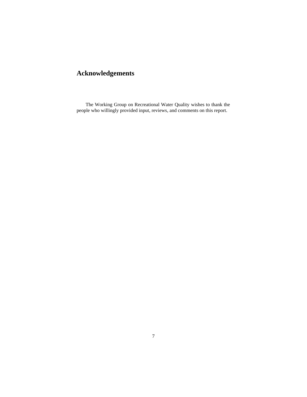# **Acknowledgements**

The Working Group on Recreational Water Quality wishes to thank the people who willingly provided input, reviews, and comments on this report.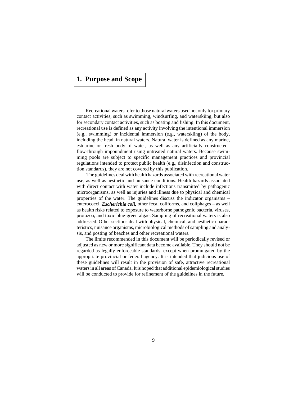# **[1. Purpose and Scope](#page-3-0)**

Recreational waters refer to those natural waters used not only for primary contact activities, such as swimming, windsurfing, and waterskiing, but also for secondary contact activities, such as boating and fishing. In this document, recreational use is defined as any activity involving the intentional immersion (e.g., swimming) or incidental immersion (e.g., waterskiing) of the body, including the head, in natural waters. Natural water is defined as any marine, estuarine or fresh body of water, as well as any artificially constructed flow-through impoundment using untreated natural waters. Because swimming pools are subject to specific management practices and provincial regulations intended to protect public health (e.g., disinfection and construction standards), they are not covered by this publication.

 The guidelines deal with health hazards associated with recreational water use, as well as aesthetic and nuisance conditions. Health hazards associated with direct contact with water include infections transmitted by pathogenic microorganisms, as well as injuries and illness due to physical and chemical properties of the water. The guidelines discuss the indicator organisms – enterococci, *Escherichia coli,* other fecal coliforms, and coliphages – as well as health risks related to exposure to waterborne pathogenic bacteria, viruses, protozoa, and toxic blue-green algae. Sampling of recreational waters is also addressed. Other sections deal with physical, chemical, and aesthetic characteristics, nuisance organisms, microbiological methods of sampling and analysis, and posting of beaches and other recreational waters.

The limits recommended in this document will be periodically revised or adjusted as new or more significant data become available. They should not be regarded as legally enforceable standards, except when promulgated by the appropriate provincial or federal agency. It is intended that judicious use of these guidelines will result in the provision of safe, attractive recreational waters in all areas of Canada. It is hoped that additional epidemiological studies will be conducted to provide for refinement of the guidelines in the future.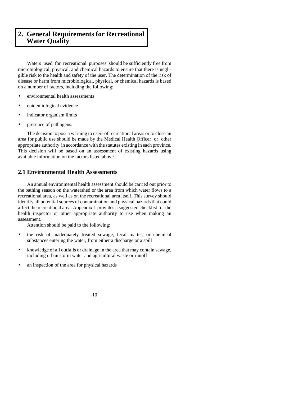# <span id="page-9-0"></span>**[2. General Requirements for Recreational](#page-3-0)  Water Quality**

Waters used for recreational purposes should be sufficiently free from microbiological, physical, and chemical hazards to ensure that there is negligible risk to the health and safety of the user. The determination of the risk of disease or harm from microbiological, physical, or chemical hazards is based on a number of factors, including the following:

- environmental health assessments
- epidemiological evidence
- indicator organism limits
- presence of pathogens.

The decision to post a warning to users of recreational areas or to close an area for public use should be made by the Medical Health Officer or other appropriate authority in accordance with the statutes existing in each province. This decision will be based on an assessment of existing hazards using available information on the factors listed above.

### **2.1 Environmental Health Assessments**

An annual environmental health assessment should be carried out prior to the bathing season on the watershed or the area from which water flows to a recreational area, as well as on the recreational area itself. This survey should identify all potential sources of contamination and physical hazards that could affect the recreational area. Appendix 1 provides a suggested checklist for the health inspector or other appropriate authority to use when making an assessment.

Attention should be paid to the following:

- the risk of inadequately treated sewage, fecal matter, or chemical substances entering the water, from either a discharge or a spill
- knowledge of all outfalls or drainage in the area that may contain sewage, including urban storm water and agricultural waste or runoff
- an inspection of the area for physical hazards

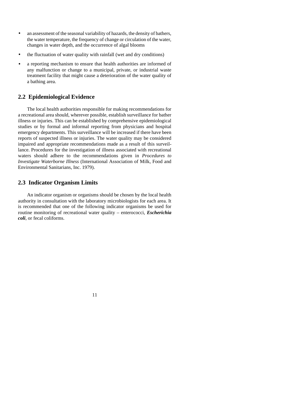- an assessment of the seasonal variability of hazards, the density of bathers, the water temperature, the frequency of change or circulation of the water, changes in water depth, and the occurrence of algal blooms
- the fluctuation of water quality with rainfall (wet and dry conditions)
- a reporting mechanism to ensure that health authorities are informed of any malfunction or change to a municipal, private, or industrial waste treatment facility that might cause a deterioration of the water quality of a bathing area.

#### **2.2 Epidemiological Evidence**

The local health authorities responsible for making recommendations for a recreational area should, wherever possible, establish surveillance for bather illness or injuries. This can be established by comprehensive epidemiological studies or by formal and informal reporting from physicians and hospital emergency departments. This surveillance will be increased if there have been reports of suspected illness or injuries. The water quality may be considered impaired and appropriate recommendations made as a result of this surveillance. Procedures for the investigation of illness associated with recreational waters should adhere to the recommendations given in *Procedures to Investigate Waterborne Illness* (International Association of Milk, Food and Environmental Sanitarians, Inc. 1979).

### **2.3 Indicator Organism Limits**

An indicator organism or organisms should be chosen by the local health authority in consultation with the laboratory microbiologists for each area. It is recommended that one of the following indicator organisms be used for routine monitoring of recreational water quality – enterococci, *Escherichia coli*, or fecal coliforms.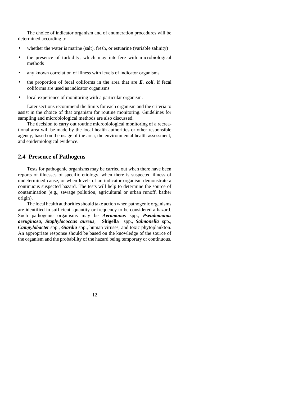The choice of indicator organism and of enumeration procedures will be determined according to:

- whether the water is marine (salt), fresh, or estuarine (variable salinity)
- the presence of turbidity, which may interfere with microbiological methods
- any known correlation of illness with levels of indicator organisms
- the proportion of fecal coliforms in the area that are  $E$ .  $\text{coli}$ , if fecal coliforms are used as indicator organisms
- local experience of monitoring with a particular organism.

Later sections recommend the limits for each organism and the criteria to assist in the choice of that organism for routine monitoring. Guidelines for sampling and microbiological methods are also discussed.

The decision to carry out routine microbiological monitoring of a recreational area will be made by the local health authorities or other responsible agency, based on the usage of the area, the environmental health assessment, and epidemiological evidence.

### **2.4 Presence of Pathogens**

Tests for pathogenic organisms may be carried out when there have been reports of illnesses of specific etiology, when there is suspected illness of undetermined cause, or when levels of an indicator organism demonstrate a continuous suspected hazard. The tests will help to determine the source of contamination (e.g., sewage pollution, agricultural or urban runoff, bather origin).

The local health authorities should take action when pathogenic organisms are identified in sufficient quantity or frequency to be considered a hazard. Such pathogenic organisms may be *Aeromonas* spp., *Pseudomonas aeruginosa*, *Staphylococcus aureus*, **Shigella** spp., *Salmonella* spp., *Campylobacter* spp., *Giardia* spp., human viruses, and toxic phytoplankton. An appropriate response should be based on the knowledge of the source of the organism and the probability of the hazard being temporary or continuous.

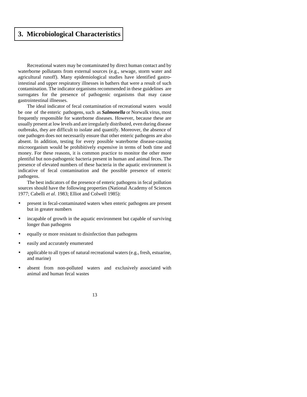# <span id="page-12-0"></span>**[3. Microbiological Characteristics](#page-3-0)**

Recreational waters may be contaminated by direct human contact and by waterborne pollutants from external sources (e.g., sewage, storm water and agricultural runoff). Many epidemiological studies have identified gastrointestinal and upper respiratory illnesses in bathers that were a result of such contamination. The indicator organisms recommended in these guidelines are surrogates for the presence of pathogenic organisms that may cause gastrointestinal illnesses.

The ideal indicator of fecal contamination of recreational waters would be one of the enteric pathogens, such as *Salmonella* or Norwalk virus, most frequently responsible for waterborne diseases. However, because these are usually present at low levels and are irregularly distributed, even during disease outbreaks, they are difficult to isolate and quantify. Moreover, the absence of one pathogen does not necessarily ensure that other enteric pathogens are also absent. In addition, testing for every possible waterborne disease-causing microorganism would be prohibitively expensive in terms of both time and money. For these reasons, it is common practice to monitor the other more plentiful but non-pathogenic bacteria present in human and animal feces. The presence of elevated numbers of these bacteria in the aquatic environment is indicative of fecal contamination and the possible presence of enteric pathogens.

The best indicators of the presence of enteric pathogens in fecal pollution sources should have the following properties (National Academy of Sciences 1977; Cabelli *et al*. 1983; Elliot and Colwell 1985):

- present in fecal-contaminated waters when enteric pathogens are present but in greater numbers
- incapable of growth in the aquatic environment but capable of surviving longer than pathogens
- equally or more resistant to disinfection than pathogens
- easily and accurately enumerated
- applicable to all types of natural recreational waters (e.g., fresh, estuarine, and marine)
- absent from non-polluted waters and exclusively associated with animal and human fecal wastes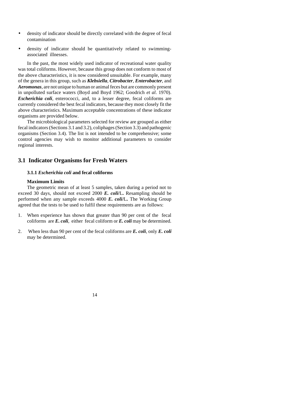- density of indicator should be directly correlated with the degree of fecal contamination
- density of indicator should be quantitatively related to swimmingassociated illnesses.

In the past, the most widely used indicator of recreational water quality was total coliforms. However, because this group does not conform to most of the above characteristics, it is now considered unsuitable. For example, many of the genera in this group, such as *Klebsiella*, *Citrobacter*, *Enterobacter*, and *Aeromonas*, are not unique to human or animal feces but are commonly present in unpolluted surface waters (Boyd and Boyd 1962; Goodrich *et al*. 1970). *Escherichia coli*, enterococci, and, to a lesser degree, fecal coliforms are currently considered the best fecal indicators, because they most closely fit the above characteristics. Maximum acceptable concentrations of these indicator organisms are provided below.

The microbiological parameters selected for review are grouped as either fecal indicators (Sections 3.1 and 3.2), coliphages (Section 3.3) and pathogenic organisms (Section 3.4). The list is not intended to be comprehensive; some control agencies may wish to monitor additional parameters to consider regional interests.

### **3.1 Indicator Organisms for Fresh Waters**

#### **3.1.1** *Escherichia coli* **and fecal coliforms**

#### **Maximum Limits**

The geometric mean of at least 5 samples, taken during a period not to exceed 30 days, should not exceed 2000 *E. coli***/**L**.** Resampling should be performed when any sample exceeds 4000 *E. coli***/**L**.** The Working Group agreed that the tests to be used to fulfil these requirements are as follows:

- 1. When experience has shown that greater than 90 per cent of the fecal coliforms are *E. coli*, either fecal coliform or *E. coli* may be determined.
- 2. When less than 90 per cent of the fecal coliforms are *E. coli*, only *E. coli* may be determined.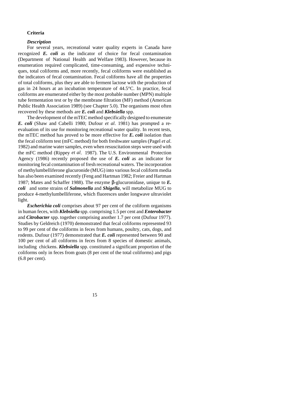#### **Criteria**

#### *Description*

For several years, recreational water quality experts in Canada have recognized *E. coli* as the indicator of choice for fecal contamination (Department of National Health and Welfare 1983). However, because its enumeration required complicated, time-consuming, and expensive techniques, total coliforms and, more recently, fecal coliforms were established as the indicators of fecal contamination. Fecal coliforms have all the properties of total coliforms, plus they are able to ferment lactose with the production of gas in 24 hours at an incubation temperature of 44.5°C. In practice, fecal coliforms are enumerated either by the most probable number (MPN) multiple tube fermentation test or by the membrane filtration (MF) method (American Public Health Association 1989) (see Chapter 5.0). The organisms most often recovered by these methods are *E. coli* and *Klebsiella* spp.

The development of the mTEC method specifically designed to enumerate *E. coli* (Shaw and Cabelli 1980; Dufour *et al*. 1981) has prompted a reevaluation of its use for monitoring recreational water quality. In recent tests, the mTEC method has proved to be more effective for *E. coli* isolation than the fecal coliform test (mFC method) for both freshwater samples (Pagel *et al*. 1982) and marine water samples, even when resuscitation steps were used with the mFC method (Rippey *et al*. 1987). The U.S. Environmental Protection Agency (1986) recently proposed the use of *E. coli* as an indicator for monitoring fecal contamination of fresh recreational waters. The incorporation of methylumbelliferone glucuronide (MUG) into various fecal coliform media has also been examined recently (Feng and Hartman 1982; Freier and Hartman 1987; Mates and Schaffer 1988). The enzyme β-glucuronidase, unique to *E. coli* and some strains of *Salmonella* and *Shigella*, will metabolize MUG to produce 4-methylumbelliferone, which fluoresces under longwave ultraviolet light.

*Escherichia coli* comprises about 97 per cent of the coliform organisms in human feces, with *Klebsiella* spp. comprising 1.5 per cent and *Enterobacter* and *Citrobacter* spp. together comprising another 1.7 per cent (Dufour 1977). Studies by Geldreich (1970) demonstrated that fecal coliforms represented 93 to 99 per cent of the coliforms in feces from humans, poultry, cats, dogs, and rodents. Dufour (1977) demonstrated that *E. coli* represented between 90 and 100 per cent of all coliforms in feces from 8 species of domestic animals, including chickens. *Klebsiella* spp. constituted a significant proportion of the coliforms only in feces from goats (8 per cent of the total coliforms) and pigs (6.8 per cent).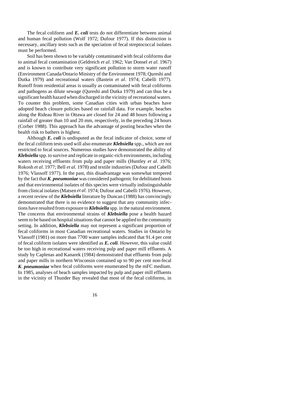The fecal coliform and *E. coli* tests do not differentiate between animal and human fecal pollution (Wolf 1972; Dufour 1977). If this distinction is necessary, ancillary tests such as the speciation of fecal streptococcal isolates must be performed.

Soil has been shown to be variably contaminated with fecal coliforms due to animal fecal contamination (Geldreich *et al*. 1962; Van Donsel *et al*. 1967) and is known to contribute very significant pollution to storm water runoff (Environment Canada/Ontario Ministry of the Environment 1978; Qureshi and Dutka 1979) and recreational waters (Bastein *et al*. 1974; Cabelli 1977). Runoff from residential areas is usually as contaminated with fecal coliforms and pathogens as dilute sewage (Qureshi and Dutka 1979) and can thus be a significant health hazard when discharged in the vicinity of recreational waters. To counter this problem, some Canadian cities with urban beaches have adopted beach closure policies based on rainfall data. For example, beaches along the Rideau River in Ottawa are closed for 24 and 48 hours following a rainfall of greater than 10 and 20 mm, respectively, in the preceding 24 hours (Corber 1988). This approach has the advantage of posting beaches when the health risk to bathers is highest.

Although *E. coli* is undisputed as the fecal indicator of choice, some of the fecal coliform tests used will also enumerate *Klebsiella* spp., which are not restricted to fecal sources. Numerous studies have demonstrated the ability of *Klebsiella* spp. to survive and replicate in organic-rich environments, including waters receiving effluents from pulp and paper mills (Huntley *et al*. 1976; Rokosh *et al*. 1977; Bell *et al*. 1978) and textile industries (Dufour and Cabelli 1976; Vlassoff 1977). In the past, this disadvantage was somewhat tempered by the fact that *K. pneumoniae* was considered pathogenic for debilitated hosts and that environmental isolates of this species were virtually indistinguishable from clinical isolates (Matsen *et al*. 1974; Dufour and Cabelli 1976). However, a recent review of the *Klebsiella* literature by Duncan (1988) has convincingly demonstrated that there is no evidence to suggest that any community infections have resulted from exposure to *Klebsiella* spp. in the natural environment. The concerns that environmental strains of *Klebsiella* pose a health hazard seem to be based on hospital situations that cannot be applied to the community setting. In addition, *Klebsiella* may not represent a significant proportion of fecal coliforms in most Canadian recreational waters. Studies in Ontario by Vlassoff (1981) on more than 7700 water samples indicated that 91.4 per cent of fecal coliform isolates were identified as *E. coli*. However, this value could be too high in recreational waters receiving pulp and paper mill effluents. A study by Caplenas and Kanarek (1984) demonstrated that effluents from pulp and paper mills in northern Wisconsin contained up to 90 per cent non-fecal *K. pneumoniae* when fecal coliforms were enumerated by the mFC medium. In 1985, analyses of beach samples impacted by pulp and paper mill effluents in the vicinity of Thunder Bay revealed that most of the fecal coliforms, in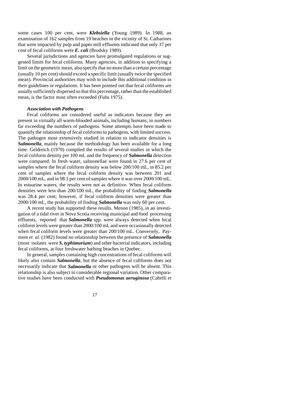some cases 100 per cent, were *Klebsiella* (Young 1989). In 1988, an examination of 162 samples from 19 beaches in the vicinity of St. Catharines that were impacted by pulp and paper mill effluents indicated that only 37 per cent of fecal coliforms were *E. coli* (Brodsky 1989).

Several jurisdictions and agencies have promulgated regulations or suggested limits for fecal coliforms. Many agencies, in addition to specifying a limit on the geometric mean, also specify that no more than a certain percentage (usually 10 per cent) should exceed a specific limit (usually twice the specified mean). Provincial authorities may wish to include this additional condition in their guidelines or regulations. It has been pointed out that fecal coliforms are usually sufficiently dispersed so that this percentage, rather than the established mean, is the factor most often exceeded (Fuhs 1975).

#### *Association with Pathogens*

Fecal coliforms are considered useful as indicators because they are present in virtually all warm-blooded animals, including humans, in numbers far exceeding the numbers of pathogens. Some attempts have been made to quantify the relationship of fecal coliforms to pathogens, with limited success. The pathogen most extensively studied in relation to indicator densities is *Salmonella*, mainly because the methodology has been available for a long time. Geldreich (1970) compiled the results of several studies in which the fecal coliform density per 100 mL and the frequency of *Salmonella* detection were compared. In fresh water, salmonellae were found in 27.6 per cent of samples where the fecal coliform density was below 200/100 mL, in 85.2 per cent of samples where the fecal coliform density was between 201 and 2000/100 mL, and in 98.1 per cent of samples where it was over 2000/100 mL. In estuarine waters, the results were not as definitive. When fecal coliform densities were less than 200/100 mL, the probability of finding *Salmonella* was 28.4 per cent; however, if fecal coliform densities were greater than 2000/100 mL, the probability of finding *Salmonella* was only 60 per cent.

A recent study has supported these results. Menon (1985), in an investigation of a tidal river in Nova Scotia receiving municipal and food processing effluents, reported that *Salmonella* spp. were always detected when fecal coliform levels were greater than 2000/100 mL and were occasionally detected when fecal coliform levels were greater than 200/100 mL. Conversely, Payment *et al*. (1982) found no relationship between the presence of *Salmonella* (most isolates were *S. typhimurium*) and other bacterial indicators, including fecal coliforms, at four freshwater bathing beaches in Quebec.

In general, samples containing high concentrations of fecal coliforms will likely also contain *Salmonella*, but the absence of fecal coliforms does not necessarily indicate that *Salmonella* or other pathogens will be absent. This relationship is also subject to considerable regional variation. Other comparative studies have been conducted with *Pseudomonas aeruginosa* (Cabelli *et*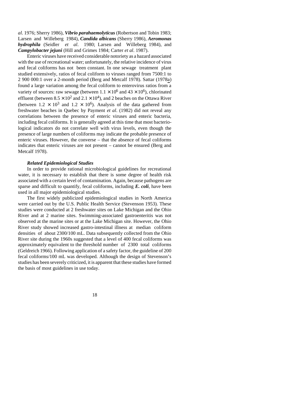*al*. 1976; Sherry 1986), *Vibrio parahaemolyticus* (Robertson and Tobin 1983; Larsen and Willeberg 1984), *Candida albicans* (Sherry 1986), *Aeromonas hydrophila* (Seidler *et al*. 1980; Larsen and Willeberg 1984), and *Campylobacter jejuni* (Hill and Grimes 1984; Carter *et al*. 1987).

Enteric viruses have received considerable notoriety as a hazard associated with the use of recreational water; unfortunately, the relative incidence of virus and fecal coliforms has not been constant. In one sewage treatment plant studied extensively, ratios of fecal coliform to viruses ranged from 7500:1 to 2 900 000:1 over a 2-month period (Berg and Metcalf 1978). Sattar (1978a) found a large variation among the fecal coliform to enterovirus ratios from a variety of sources: raw sewage (between  $1.1 \times 10^6$  and  $43 \times 10^6$ ), chlorinated effluent (between  $8.5 \times 10^2$  and  $2.1 \times 10^4$ ), and 2 beaches on the Ottawa River (between  $1.2 \times 10^3$  and  $1.2 \times 10^6$ ). Analysis of the data gathered from freshwater beaches in Quebec by Payment *et al*. (1982) did not reveal any correlations between the presence of enteric viruses and enteric bacteria, including fecal coliforms. It is generally agreed at this time that most bacteriological indicators do not correlate well with virus levels, even though the presence of large numbers of coliforms may indicate the probable presence of enteric viruses. However, the converse – that the absence of fecal coliforms indicates that enteric viruses are not present – cannot be ensured (Berg and Metcalf 1978).

#### *Related Epidemiological Studies*

In order to provide rational microbiological guidelines for recreational water, it is necessary to establish that there is some degree of health risk associated with a certain level of contamination. Again, because pathogens are sparse and difficult to quantify, fecal coliforms, including *E. coli*, have been used in all major epidemiological studies.

The first widely publicized epidemiological studies in North America were carried out by the U.S. Public Health Service (Stevenson 1953). These studies were conducted at 2 freshwater sites on Lake Michigan and the Ohio River and at 2 marine sites. Swimming-associated gastroenteritis was not observed at the marine sites or at the Lake Michigan site. However, the Ohio River study showed increased gastro-intestinal illness at median coliform densities of about 2300/100 mL. Data subsequently collected from the Ohio River site during the 1960s suggested that a level of 400 fecal coliforms was approximately equivalent to the threshold number of 2300 total coliforms (Geldreich 1966). Following application of a safety factor, the guideline of 200 fecal coliforms/100 mL was developed. Although the design of Stevenson's studies has been severely criticized, it is apparent that these studies have formed the basis of most guidelines in use today.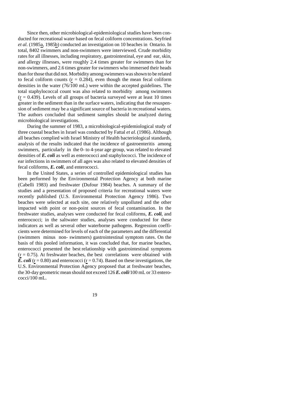Since then, other microbiological-epidemiological studies have been conducted for recreational water based on fecal coliform concentrations. Seyfried *et al*. (1985a, 1985b) conducted an investigation on 10 beaches in Ontario. In total, 8402 swimmers and non-swimmers were interviewed. Crude morbidity rates for all illnesses, including respiratory, gastrointestinal, eye and ear, skin, and allergy illnesses, were roughly 2.4 times greater for swimmers than for non-swimmers, and 2.6 times greater for swimmers who immersed their heads than for those that did not. Morbidity among swimmers was shown to be related to fecal coliform counts ( $r = 0.284$ ), even though the mean fecal coliform densities in the water (76/100 mL) were within the accepted guidelines. The total staphylococcal count was also related to morbidity among swimmers  $(r = 0.439)$ . Levels of all groups of bacteria surveyed were at least 10 times greater in the sediment than in the surface waters, indicating that the resuspension of sediment may be a significant source of bacteria in recreational waters. The authors concluded that sediment samples should be analyzed during microbiological investigations.

During the summer of 1983, a microbiological-epidemiological study of three coastal beaches in Israel was conducted by Fattal *et al*. (1986). Although all beaches complied with Israel Ministry of Health bacteriological standards, analysis of the results indicated that the incidence of gastroenteritis among swimmers, particularly in the 0- to 4-year age group, was related to elevated densities of *E. coli* as well as enterococci and staphylococci. The incidence of ear infections in swimmers of all ages was also related to elevated densities of fecal coliforms, *E. coli*, and enterococci.

In the United States, a series of controlled epidemiological studies has been performed by the Environmental Protection Agency at both marine (Cabelli 1983) and freshwater (Dufour 1984) beaches. A summary of the studies and a presentation of proposed criteria for recreational waters were recently published (U.S. Environmental Protection Agency 1986). Two beaches were selected at each site, one relatively unpolluted and the other impacted with point or non-point sources of fecal contamination. In the freshwater studies, analyses were conducted for fecal coliforms, *E. coli*, and enterococci; in the saltwater studies, analyses were conducted for these indicators as well as several other waterborne pathogens. Regression coefficients were determined for levels of each of the parameters and the differential (swimmers minus non- swimmers) gastrointestinal symptom rates. On the basis of this pooled information, it was concluded that, for marine beaches, enterococci presented the best relationship with gastrointestinal symptoms  $(r = 0.75)$ . At freshwater beaches, the best correlations were obtained with *E. coli* ( $r = 0.80$ ) and enterococci ( $r = 0.74$ ). Based on these investigations, the U.S. Environmental Protection Agency proposed that at freshwater beaches, the 30-day geometric mean should not exceed 126 *E. coli*/100 mL or 33 enterococci/100 mL.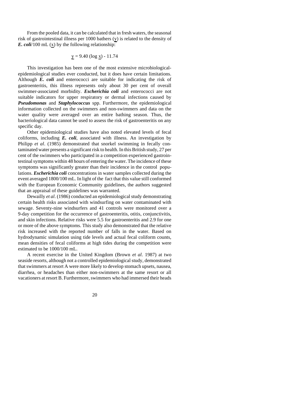From the pooled data, it can be calculated that in fresh waters, the seasonal risk of gastrointestinal illness per 1000 bathers (y) is related to the density of *E. coli*/100 mL  $(x)$  by the following relationship:

$$
y = 9.40 \text{ (log } x) - 11.74
$$

This investigation has been one of the most extensive microbiologicalepidemiological studies ever conducted, but it does have certain limitations. Although *E. coli* and enterococci are suitable for indicating the risk of gastroenteritis, this illness represents only about 30 per cent of overall swimmer-associated morbidity. *Escherichia coli* and enterococci are not suitable indicators for upper respiratory or dermal infections caused by *Pseudomonas* and *Staphylococcus* spp. Furthermore, the epidemiological information collected on the swimmers and non-swimmers and data on the water quality were averaged over an entire bathing season. Thus, the bacteriological data cannot be used to assess the risk of gastroenteritis on any specific day.

Other epidemiological studies have also noted elevated levels of fecal coliforms, including *E. coli*, associated with illness. An investigation by Philipp *et al*. (1985) demonstrated that snorkel swimming in fecally contaminated water presents a significant risk to health. In this British study, 27 per cent of the swimmers who participated in a competition experienced gastrointestinal symptoms within 48 hours of entering the water. The incidence of these symptoms was significantly greater than their incidence in the control populations. *Escherichia coli* concentrations in water samples collected during the event averaged 1800/100 mL. In light of the fact that this value still conformed with the European Economic Community guidelines, the authors suggested that an appraisal of these guidelines was warranted.

Dewailly *et al*. (1986) conducted an epidemiological study demonstrating certain health risks associated with windsurfing on water contaminated with sewage. Seventy-nine windsurfers and 41 controls were monitored over a 9-day competition for the occurrence of gastroenteritis, otitis, conjunctivitis, and skin infections. Relative risks were 5.5 for gastroenteritis and 2.9 for one or more of the above symptoms. This study also demonstrated that the relative risk increased with the reported number of falls in the water. Based on hydrodynamic simulation using tide levels and actual fecal coliform counts, mean densities of fecal coliforms at high tides during the competition were estimated to be 1000/100 mL.

A recent exercise in the United Kingdom (Brown *et al*. 1987) at two seaside resorts, although not a controlled epidemiological study, demonstrated that swimmers at resort A were more likely to develop stomach upsets, nausea, diarrhea, or headaches than either non-swimmers at the same resort or all vacationers at resort B. Furthermore, swimmers who had immersed their heads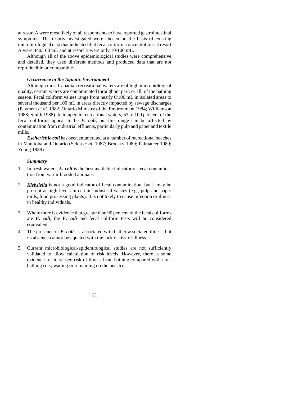at resort A were most likely of all respondents to have reported gastrointestinal symptoms. The resorts investigated were chosen on the basis of existing microbio-logical data that indicated that fecal coliform concentrations at resort A were 440/100 mL and at resort B were only 10/100 mL.

Although all of the above epidemiological studies were comprehensive and detailed, they used different methods and produced data that are not reproducible or comparable.

#### *Occurrence in the Aquatic Environment*

Although most Canadian recreational waters are of high microbiological quality, certain waters are contaminated throughout part, or all, of the bathing season. Fecal coliform values range from nearly 0/100 mL in isolated areas to several thousand per 100 mL in areas directly impacted by sewage discharges (Payment *et al*. 1982; Ontario Ministry of the Environment 1984; Williamson 1988; Smith 1988). In temperate recreational waters, 63 to 100 per cent of the fecal coliforms appear to be *E. coli*, but this range can be affected by contamination from industrial effluents, particularly pulp and paper and textile mills.

*Escherichia coli* has been enumerated at a number of recreational beaches in Manitoba and Ontario (Sekla *et al*. 1987; Brodsky 1989; Palmateer 1989; Young 1989).

#### *Summary*

- 1. In fresh waters, *E. coli* is the best available indicator of fecal contamination from warm-blooded animals.
- 2. *Klebsiella* is not a good indicator of fecal contamination, but it may be present at high levels in certain industrial wastes (e.g., pulp and paper mills, food processing plants). It is not likely to cause infection or illness in healthy individuals.
- 3. Where there is evidence that greater than 90 per cent of the fecal coliforms are *E. coli*, the *E. coli* and fecal coliform tests will be considered equivalent.
- 4. The presence of *E. coli* is associated with bather-associated illness, but its absence cannot be equated with the lack of risk of illness.
- 5. Current microbiological-epidemiological studies are not sufficiently validated to allow calculation of risk levels. However, there is some evidence for increased risk of illness from bathing compared with nonbathing (i.e., wading or remaining on the beach).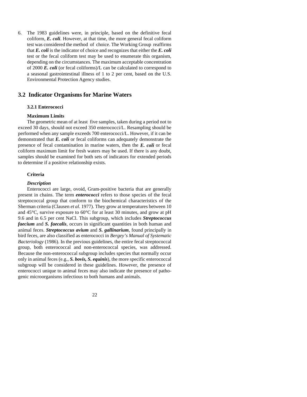6. The 1983 guidelines were, in principle, based on the definitive fecal coliform, *E. coli*. However, at that time, the more general fecal coliform test was considered the method of choice. The Working Group reaffirms that *E. coli* is the indicator of choice and recognizes that either the *E. coli* test or the fecal coliform test may be used to enumerate this organism, depending on the circumstances. The maximum acceptable concentration of 2000 *E. coli* (or fecal coliforms)/L can be calculated to correspond to a seasonal gastrointestinal illness of 1 to 2 per cent, based on the U.S. Environmental Protection Agency studies.

#### **3.2 Indicator Organisms for Marine Waters**

#### **3.2.1 Enterococci**

#### **Maximum Limits**

The geometric mean of at least five samples, taken during a period not to exceed 30 days, should not exceed 350 enterococci/L. Resampling should be performed when any sample exceeds 700 enterococci/L. However, if it can be demonstrated that *E. coli* or fecal coliforms can adequately demonstrate the presence of fecal contamination in marine waters, then the *E. coli* or fecal coliform maximum limit for fresh waters may be used. If there is any doubt, samples should be examined for both sets of indicators for extended periods to determine if a positive relationship exists.

#### **Criteria**

#### *Description*

Enterococci are large, ovoid, Gram-positive bacteria that are generally present in chains. The term *enterococci* refers to those species of the fecal streptococcal group that conform to the biochemical characteristics of the Sherman criteria (Clausen *et al*. 1977). They grow at temperatures between 10 and 45°C, survive exposure to 60°C for at least 30 minutes, and grow at pH 9.6 and in 6.5 per cent NaCl. This subgroup, which includes *Streptococcus faecium* and *S. faecalis*, occurs in significant quantities in both human and animal feces. *Streptococcus avium* and *S. gallinarium*, found principally in bird feces, are also classified as enterococci in *Bergey's Manual of Systematic Bacteriology* (1986). In the previous guidelines, the entire fecal streptococcal group, both enterococcal and non-enterococcal species, was addressed. Because the non-enterococcal subgroup includes species that normally occur only in animal feces (e.g., *S. bovis, S. equinis*), the more specific enterococcal subgroup will be considered in these guidelines. However, the presence of enterococci unique to animal feces may also indicate the presence of pathogenic microorganisms infectious to both humans and animals.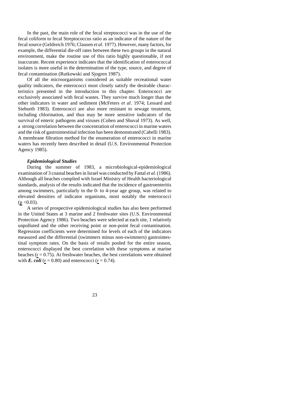In the past, the main role of the fecal streptococci was in the use of the fecal coliform to fecal Streptococcus ratio as an indicator of the nature of the fecal source (Geldreich 1976; Clausen *et al*. 1977). However, many factors, for example, the differential die-off rates between these two groups in the natural environment, make the routine use of this ratio highly questionable, if not inaccurate. Recent experience indicates that the identification of enterococcal isolates is more useful in the determination of the type, source, and degree of fecal contamination (Rutkowski and Sjogren 1987).

Of all the microorganisms considered as suitable recreational water quality indicators, the enterococci most closely satisfy the desirable characteristics presented in the introduction to this chapter. Enterococci are exclusively associated with fecal wastes. They survive much longer than the other indicators in water and sediment (McFeters *et al*. 1974; Lessard and Sieburth 1983). Enterococci are also more resistant to sewage treatment, including chlorination, and thus may be more sensitive indicators of the survival of enteric pathogens and viruses (Cohen and Shuval 1973). As well, a strong correlation between the concentration of enterococci in marine waters and the risk of gastrointestinal infection has been demonstrated (Cabelli 1983). A membrane filtration method for the enumeration of enterococci in marine waters has recently been described in detail (U.S. Environmental Protection Agency 1985).

#### *Epidemiological Studies*

During the summer of 1983, a microbiological-epidemiological examination of 3 coastal beaches in Israel was conducted by Fattal *et al*. (1986). Although all beaches complied with Israel Ministry of Health bacteriological standards, analysis of the results indicated that the incidence of gastroenteritis among swimmers, particularly in the 0- to 4-year age group, was related to elevated densities of indicator organisms, most notably the enterococci  $(p \le 0.03)$ .

A series of prospective epidemiological studies has also been performed in the United States at 3 marine and 2 freshwater sites (U.S. Environmental Protection Agency 1986). Two beaches were selected at each site, 1 relatively unpolluted and the other receiving point or non-point fecal contamination. Regression coefficients were determined for levels of each of the indicators measured and the differential (swimmers minus non-swimmers) gastrointestinal symptom rates. On the basis of results pooled for the entire season, enterococci displayed the best correlation with these symptoms at marine beaches ( $r = 0.75$ ). At freshwater beaches, the best correlations were obtained with *E. coli* ( $r = 0.80$ ) and enterococci ( $r = 0.74$ ).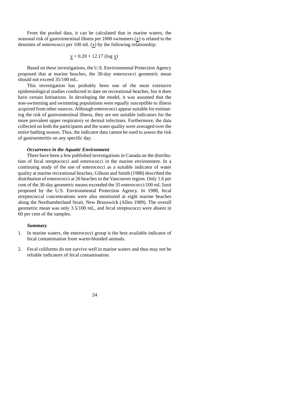From the pooled data, it can be calculated that in marine waters, the seasonal risk of gastrointestinal illness per 1000 swimmers (y) is related to the densities of enterococci per 100 mL  $(x)$  by the following relationship:

$$
y = 0.20 + 12.17 \text{ (log } x\text{)}
$$

Based on these investigations, the U.S. Environmental Protection Agency proposed that at marine beaches, the 30-day enterococci geometric mean should not exceed 35/100 mL.

This investigation has probably been one of the most extensive epidemiological studies conducted to date on recreational beaches, but it does have certain limitations. In developing the model, it was assumed that the non-swimming and swimming populations were equally susceptible to illness acquired from other sources. Although enterococci appear suitable for estimating the risk of gastrointestinal illness, they are not suitable indicators for the more prevalent upper respiratory or dermal infections. Furthermore, the data collected on both the participants and the water quality were averaged over the entire bathing season. Thus, the indicator data cannot be used to assess the risk of gastroenteritis on any specific day.

#### *Occurrence in the Aquatic Environment*

There have been a few published investigations in Canada on the distribution of fecal streptococci and enterococci in the marine environment. In a continuing study of the use of enterococci as a suitable indicator of water quality at marine recreational beaches, Gibson and Smith (1988) described the distribution of enterococci at 26 beaches in the Vancouver region. Only 1.6 per cent of the 30-day geometric means exceeded the 35 enterococci/100 mL limit proposed by the U.S. Environmental Protection Agency. In 1988, fecal streptococcal concentrations were also monitored at eight marine beaches along the Northumberland Strait, New Brunswick (Allen 1989). The overall geometric mean was only 3.5/100 mL, and fecal streptococci were absent in 60 per cent of the samples.

#### *Summary*

- 1. In marine waters, the enterococci group is the best available indicator of fecal contamination from warm-blooded animals.
- 2. Fecal coliforms do not survive well in marine waters and thus may not be reliable indicators of fecal contamination.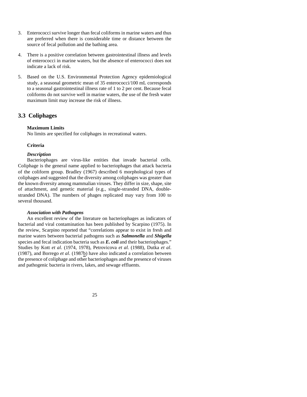- 3. Enterococci survive longer than fecal coliforms in marine waters and thus are preferred when there is considerable time or distance between the source of fecal pollution and the bathing area.
- 4. There is a positive correlation between gastrointestinal illness and levels of enterococci in marine waters, but the absence of enterococci does not indicate a lack of risk.
- 5. Based on the U.S. Environmental Protection Agency epidemiological study, a seasonal geometric mean of 35 enterococci/100 mL corresponds to a seasonal gastrointestinal illness rate of 1 to 2 per cent. Because fecal coliforms do not survive well in marine waters, the use of the fresh water maximum limit may increase the risk of illness.

### **3.3 Coliphages**

#### **Maximum Limits**

No limits are specified for coliphages in recreational waters.

#### **Criteria**

#### *Description*

Bacteriophages are virus-like entities that invade bacterial cells. Coliphage is the general name applied to bacteriophages that attack bacteria of the coliform group. Bradley (1967) described 6 morphological types of coliphages and suggested that the diversity among coliphages was greater than the known diversity among mammalian viruses. They differ in size, shape, site of attachment, and genetic material (e.g., single-stranded DNA, doublestranded DNA). The numbers of phages replicated may vary from 100 to several thousand.

#### *Association with Pathogens*

An excellent review of the literature on bacteriophages as indicators of bacterial and viral contamination has been published by Scarpino (1975). In the review, Scarpino reported that "correlations appear to exist in fresh and marine waters between bacterial pathogens such as *Salmonella* and *Shigella* species and fecal indication bacteria such as *E. coli* and their bacteriophages." Studies by Kott *et al*. (1974, 1978), Petrovicova *et al*. (1988), Dutka *et al*. (1987), and Borrego *et al*. (1987b) have also indicated a correlation between the presence of coliphage and other bacteriophages and the presence of viruses and pathogenic bacteria in rivers, lakes, and sewage effluents.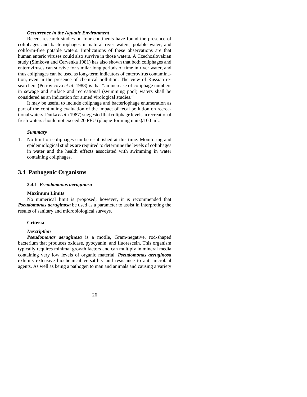#### *Occurrence in the Aquatic Environment*

Recent research studies on four continents have found the presence of coliphages and bacteriophages in natural river waters, potable water, and coliform-free potable waters. Implications of these observations are that human enteric viruses could also survive in those waters. A Czechoslovakian study (Simkova and Cervenka 1981) has also shown that both coliphages and enteroviruses can survive for similar long periods of time in river water, and thus coliphages can be used as long-term indicators of enterovirus contamination, even in the presence of chemical pollution. The view of Russian researchers (Petrovicova *et al*. 1988) is that "an increase of coliphage numbers in sewage and surface and recreational (swimming pool) waters shall be considered as an indication for aimed virological studies."

It may be useful to include coliphage and bacteriophage enumeration as part of the continuing evaluation of the impact of fecal pollution on recreational waters. Dutka *et al*. (1987) suggested that coliphage levels in recreational fresh waters should not exceed 20 PFU (plaque-forming units)/100 mL.

#### *Summary*

1. No limit on coliphages can be established at this time. Monitoring and epidemiological studies are required to determine the levels of coliphages in water and the health effects associated with swimming in water containing coliphages.

#### **3.4 Pathogenic Organisms**

#### **3.4.1** *Pseudomonas aeruginosa*

#### **Maximum Limits**

No numerical limit is proposed; however, it is recommended that *Pseudomonas aeruginosa* be used as a parameter to assist in interpreting the results of sanitary and microbiological surveys.

#### **Criteria**

#### *Description*

*Pseudomonas aeruginosa* is a motile, Gram-negative, rod-shaped bacterium that produces oxidase, pyocyanin, and fluorescein. This organism typically requires minimal growth factors and can multiply in mineral media containing very low levels of organic material. *Pseudomonas aeruginosa* exhibits extensive biochemical versatility and resistance to anti-microbial agents. As well as being a pathogen to man and animals and causing a variety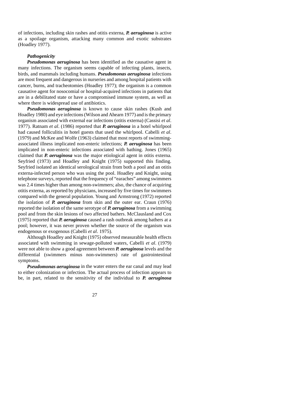of infections, including skin rashes and otitis externa, *P. aeruginosa* is active as a spoilage organism, attacking many common and exotic substrates (Hoadley 1977).

#### *Pathogenicity*

*Pseudomonas aeruginosa* has been identified as the causative agent in many infections. The organism seems capable of infecting plants, insects, birds, and mammals including humans. *Pseudomonas aeruginosa* infections are most frequent and dangerous in nurseries and among hospital patients with cancer, burns, and tracheotomies (Hoadley 1977); the organism is a common causative agent for nosocomial or hospital-acquired infections in patients that are in a debilitated state or have a compromised immune system, as well as where there is widespread use of antibiotics.

*Pseudomonas aeruginosa* is known to cause skin rashes (Kush and Hoadley 1980) and eye infections (Wilson and Ahearn 1977) and is the primary organism associated with external ear infections (otitis externa) (Cassisi *et al*. 1977). Ratnam *et al*. (1986) reported that *P. aeruginosa* in a hotel whirlpool had caused folliculitis in hotel guests that used the whirlpool. Cabelli *et al*. (1979) and McKee and Wolfe (1963) claimed that most reports of swimmingassociated illness implicated non-enteric infections; *P. aeruginosa* has been implicated in non-enteric infections associated with bathing. Jones (1965) claimed that *P. aeruginosa* was the major etiological agent in otitis externa. Seyfried (1973) and Hoadley and Knight (1975) supported this finding. Seyfried isolated an identical serological strain from both a pool and an otitis externa-infected person who was using the pool. Hoadley and Knight, using telephone surveys, reported that the frequency of "earaches" among swimmers was 2.4 times higher than among non-swimmers; also, the chance of acquiring otitis externa, as reported by physicians, increased by five times for swimmers compared with the general population. Young and Armstrong (1972) reported the isolation of *P. aeruginosa* from skin and the outer ear. Craun (1976) reported the isolation of the same serotype of *P. aeruginosa* from a swimming pool and from the skin lesions of two affected bathers. McClausland and Cox (1975) reported that *P. aeruginosa* caused a rash outbreak among bathers at a pool; however, it was never proven whether the source of the organism was endogenous or exogenous (Cabelli *et al*. 1975).

Although Hoadley and Knight (1975) observed measurable health effects associated with swimming in sewage-polluted waters, Cabelli *et al*. (1979) were not able to show a good agreement between *P. aeruginosa* levels and the differential (swimmers minus non-swimmers) rate of gastrointestinal symptoms.

*Pseudomonas aeruginosa* in the water enters the ear canal and may lead to either colonization or infection. The actual process of infection appears to be, in part, related to the sensitivity of the individual to *P. aeruginosa*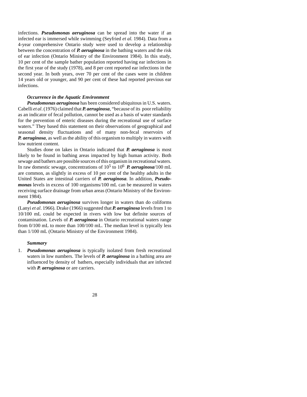infections. *Pseudomonas aeruginosa* can be spread into the water if an infected ear is immersed while swimming (Seyfried *et al*. 1984). Data from a 4-year comprehensive Ontario study were used to develop a relationship between the concentration of *P. aeruginosa* in the bathing waters and the risk of ear infection (Ontario Ministry of the Environment 1984). In this study, 10 per cent of the sample bather population reported having ear infections in the first year of the study (1978), and 8 per cent reported ear infections in the second year. In both years, over 70 per cent of the cases were in children 14 years old or younger, and 90 per cent of these had reported previous ear infections.

#### *Occurrence in the Aquatic Environment*

*Pseudomonas aeruginosa* has been considered ubiquitous in U.S. waters. Cabelli *et al*. (1976) claimed that *P. aeruginosa*, "because of its poor reliability as an indicator of fecal pollution, cannot be used as a basis of water standards for the prevention of enteric diseases during the recreational use of surface waters." They based this statement on their observations of geographical and seasonal density fluctuations and of many non-fecal reservoirs of *P. aeruginosa*, as well as the ability of this organism to multiply in waters with low nutrient content.

Studies done on lakes in Ontario indicated that *P. aeruginosa* is most likely to be found in bathing areas impacted by high human activity. Both sewage and bathers are possible sources of this organism in recreational waters. In raw domestic sewage, concentrations of 10<sup>5</sup> to 10<sup>6</sup> *P. aeruginosa*/100 mL are common, as slightly in excess of 10 per cent of the healthy adults in the United States are intestinal carriers of *P. aeruginosa*. In addition, *Pseudomonas* levels in excess of 100 organisms/100 mL can be measured in waters receiving surface drainage from urban areas (Ontario Ministry of the Environment 1984).

*Pseudomonas aeruginosa* survives longer in waters than do coliforms (Lanyi *et al*. 1966). Drake (1966) suggested that *P. aeruginosa* levels from 1 to 10/100 mL could be expected in rivers with low but definite sources of contamination. Levels of *P. aeruginosa* in Ontario recreational waters range from 0/100 mL to more than 100/100 mL. The median level is typically less than 1/100 mL (Ontario Ministry of the Environment 1984).

#### *Summary*

1. *Pseudomonas aeruginosa* is typically isolated from fresh recreational waters in low numbers. The levels of *P. aeruginosa* in a bathing area are influenced by density of bathers, especially individuals that are infected with *P. aeruginosa* or are carriers.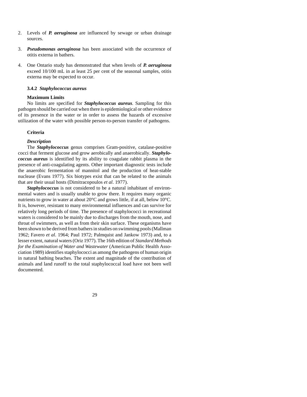- 2. Levels of *P. aeruginosa* are influenced by sewage or urban drainage sources.
- 3. *Pseudomonas aeruginosa* has been associated with the occurrence of otitis externa in bathers.
- 4. One Ontario study has demonstrated that when levels of *P. aeruginosa* exceed 10/100 mL in at least 25 per cent of the seasonal samples, otitis externa may be expected to occur.

#### **3.4.2** *Staphylococcus aureus*

#### **Maximum Limits**

No limits are specified for *Staphylococcus aureus*. Sampling for this pathogen should be carried out when there is epidemiological or other evidence of its presence in the water or in order to assess the hazards of excessive utilization of the water with possible person-to-person transfer of pathogens.

#### **Criteria**

#### *Description*

The *Staphylococcus* genus comprises Gram-positive, catalase-positive cocci that ferment glucose and grow aerobically and anaerobically. *Staphylococcus aureus* is identified by its ability to coagulate rabbit plasma in the presence of anti-coagulating agents. Other important diagnostic tests include the anaerobic fermentation of mannitol and the production of heat-stable nuclease (Evans 1977). Six biotypes exist that can be related to the animals that are their usual hosts (Dimitracopoulos *et al*. 1977).

*Staphylococcus* is not considered to be a natural inhabitant of environmental waters and is usually unable to grow there. It requires many organic nutrients to grow in water at about 20°C and grows little, if at all, below 10°C. It is, however, resistant to many environmental influences and can survive for relatively long periods of time. The presence of staphylococci in recreational waters is considered to be mainly due to discharges from the mouth, nose, and throat of swimmers, as well as from their skin surface. These organisms have been shown to be derived from bathers in studies on swimming pools (Mallman 1962; Favero *et al*. 1964; Paul 1972; Palmquist and Jankow 1973) and, to a lesser extent, natural waters (Oriz 1977). The 16th edition of *Standard Methods for the Examination of Water and Wastewater* (American Public Health Association 1989) identifies staphylococci as among the pathogens of human origin in natural bathing beaches. The extent and magnitude of the contribution of animals and land runoff to the total staphylococcal load have not been well documented.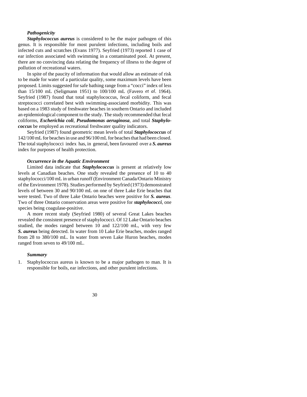#### *Pathogenicity*

*Staphylococcus aureus* is considered to be the major pathogen of this genus. It is responsible for most purulent infections, including boils and infected cuts and scratches (Evans 1977). Seyfried (1973) reported 1 case of ear infection associated with swimming in a contaminated pool. At present, there are no convincing data relating the frequency of illness to the degree of pollution of recreational waters.

In spite of the paucity of information that would allow an estimate of risk to be made for water of a particular quality, some maximum levels have been proposed. Limits suggested for safe bathing range from a "cocci" index of less than 15/100 mL (Seligmann 1951) to 100/100 mL (Favero *et al*. 1964). Seyfried (1987) found that total staphylococcus, fecal coliform, and fecal streptococci correlated best with swimming-associated morbidity. This was based on a 1983 study of freshwater beaches in southern Ontario and included an epidemiological component to the study. The study recommended that fecal coliforms, *Escherichia coli*, *Pseudomonas aeruginosa*, and total *Staphylococcus* be employed as recreational freshwater quality indicators.

Seyfried (1987) found geometric mean levels of total *Staphylococcus* of 142/100 mL for beaches in use and 96/100 mL for beaches that had been closed. The total staphylococci index has, in general, been favoured over a *S. aureus* index for purposes of health protection.

#### *Occurrence in the Aquatic Environment*

Limited data indicate that *Staphylococcus* is present at relatively low levels at Canadian beaches. One study revealed the presence of 10 to 40 staphylococci/100 mL in urban runoff (Environment Canada/Ontario Ministry of the Environment 1978). Studies performed by Seyfried (1973) demonstrated levels of between 30 and 90/100 mL on one of three Lake Erie beaches that were tested. Two of three Lake Ontario beaches were positive for *S. aureus*. Two of three Ontario conservation areas were positive for *staphylococci*, one species being coagulase-positive.

A more recent study (Seyfried 1980) of several Great Lakes beaches revealed the consistent presence of staphylococci. Of 12 Lake Ontario beaches studied, the modes ranged between 10 and 122/100 mL, with very few *S. aureus* being detected. In water from 10 Lake Erie beaches, modes ranged from 28 to 380/100 mL. In water from seven Lake Huron beaches, modes ranged from seven to 49/100 mL.

#### *Summary*

1. Staphylococcus aureus is known to be a major pathogen to man. It is responsible for boils, ear infections, and other purulent infections.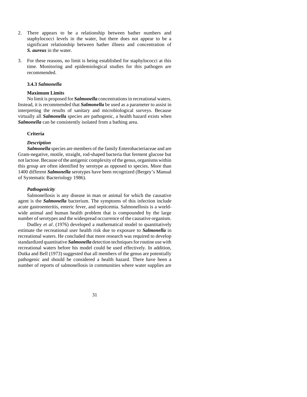- 2. There appears to be a relationship between bather numbers and staphylococci levels in the water, but there does not appear to be a significant relationship between bather illness and concentration of *S. aureus* in the water.
- 3. For these reasons, no limit is being established for staphylococci at this time. Monitoring and epidemiological studies for this pathogen are recommended.

#### **3.4.3** *Salmonella*

#### **Maximum Limits**

No limit is proposed for *Salmonella* concentrations in recreational waters. Instead, it is recommended that *Salmonella* be used as a parameter to assist in interpreting the results of sanitary and microbiological surveys. Because virtually all *Salmonella* species are pathogenic, a health hazard exists when *Salmonella* can be consistently isolated from a bathing area.

#### **Criteria**

#### *Description*

*Salmonella* species are members of the family Enterobacteriaceae and are Gram-negative, motile, straight, rod-shaped bacteria that ferment glucose but not lactose. Because of the antigenic complexity of the genus, organisms within this group are often identified by serotype as opposed to species. More than 1400 different *Salmonella* serotypes have been recognized (Bergey's Manual of Systematic Bacteriology 1986).

#### *Pathogenicity*

Salmonellosis is any disease in man or animal for which the causative agent is the *Salmonella* bacterium. The symptoms of this infection include acute gastroenteritis, enteric fever, and septicemia. Salmonellosis is a worldwide animal and human health problem that is compounded by the large number of serotypes and the widespread occurrence of the causative organism.

Dudley *et al*. (1976) developed a mathematical model to quantitatively estimate the recreational user health risk due to exposure to *Salmonella* in recreational waters. He concluded that more research was required to develop standardized quantitative *Salmonella* detection techniques for routine use with recreational waters before his model could be used effectively. In addition, Dutka and Bell (1973) suggested that all members of the genus are potentially pathogenic and should be considered a health hazard. There have been a number of reports of salmonellosis in communities where water supplies are

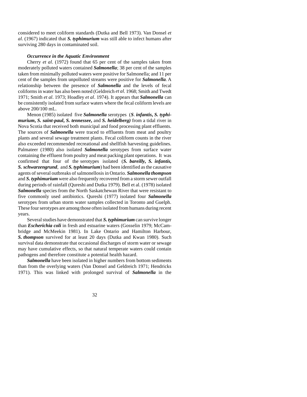considered to meet coliform standards (Dutka and Bell 1973). Van Donsel *et al*. (1967) indicated that *S. typhimurium* was still able to infect humans after surviving 280 days in contaminated soil.

#### *Occurrence in the Aquatic Environment*

Cherry *et al*. (1972) found that 65 per cent of the samples taken from moderately polluted waters contained *Salmonella*; 38 per cent of the samples taken from minimally polluted waters were positive for Salmonella; and 11 per cent of the samples from unpolluted streams were positive for *Salmonella*. A relationship between the presence of *Salmonella* and the levels of fecal coliforms in water has also been noted (Geldreich *et al*. 1968; Smith and Twedt 1971; Smith *et al*. 1973; Hoadley *et al*. 1974). It appears that *Salmonella* can be consistently isolated from surface waters where the fecal coliform levels are above 200/100 mL.

Menon (1985) isolated five *Salmonella* serotypes (*S*. *infantis***,** *S. typhimurium***,** *S. saint-paul***,** *S. tennessee***,** and *S. heidelberg)* from a tidal river in Nova Scotia that received both municipal and food processing plant effluents. The sources of *Salmonella* were traced to effluents from meat and poultry plants and several sewage treatment plants. Fecal coliform counts in the river also exceeded recommended recreational and shellfish harvesting guidelines. Palmateer (1980) also isolated *Salmonella* serotypes from surface water containing the effluent from poultry and meat packing plant operations. It was confirmed that four of the serotypes isolated (*S. bareilly, S. infantis, S. schwarzengrund*, and *S. typhimurium*) had been identified as the causative agents of several outbreaks of salmonellosis in Ontario. *Salmonella thompson* and *S. typhimurium* were also frequently recovered from a storm sewer outfall during periods of rainfall (Qureshi and Dutka 1979). Bell et al. (1978) isolated *Salmonella* species from the North Saskatchewan River that were resistant to five commonly used antibiotics. Qureshi (1977) isolated four *Salmonella* serotypes from urban storm water samples collected in Toronto and Guelph. These four serotypes are among those often isolated from humans during recent years.

Several studies have demonstrated that *S. typhimurium* can survive longer than *Escherichia coli* in fresh and estuarine waters (Gosselin 1979; McCambridge and McMeekin 1981). In Lake Ontario and Hamilton Harbour, *S. thompson* survived for at least 20 days (Dutka and Kwan 1980). Such survival data demonstrate that occasional discharges of storm water or sewage may have cumulative effects, so that natural temperate waters could contain pathogens and therefore constitute a potential health hazard.

*Salmonella* have been isolated in higher numbers from bottom sediments than from the overlying waters (Van Donsel and Geldreich 1971; Hendricks 1971). This was linked with prolonged survival of *Salmonella* in the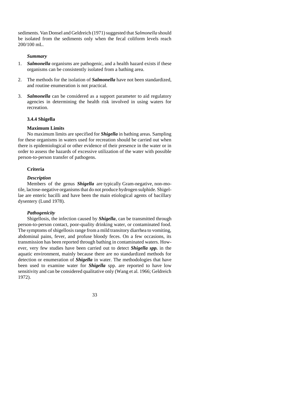sediments. Van Donsel and Geldreich (1971) suggested that *Salmonella* should be isolated from the sediments only when the fecal coliform levels reach 200/100 mL.

#### *Summary*

- 1. *Salmonella* organisms are pathogenic, and a health hazard exists if these organisms can be consistently isolated from a bathing area.
- 2. The methods for the isolation of *Salmonella* have not been standardized, and routine enumeration is not practical.
- 3. *Salmonella* can be considered as a support parameter to aid regulatory agencies in determining the health risk involved in using waters for recreation.

#### **3.4.4 Shigella**

#### **Maximum Limits**

No maximum limits are specified for *Shigella* in bathing areas. Sampling for these organisms in waters used for recreation should be carried out when there is epidemiological or other evidence of their presence in the water or in order to assess the hazards of excessive utilization of the water with possible person-to-person transfer of pathogens.

#### **Criteria**

#### *Description*

Members of the genus *Shigella* are typically Gram-negative, non-motile, lactose-negative organisms that do not produce hydrogen sulphide. Shigellae are enteric bacilli and have been the main etiological agents of bacillary dysentery (Lund 1978).

#### *Pathogenicity*

Shigellosis, the infection caused by *Shigella*, can be transmitted through person-to-person contact, poor-quality drinking water, or contaminated food. The symptoms of shigellosis range from a mild transitory diarrhea to vomiting, abdominal pains, fever, and profuse bloody feces. On a few occasions, its transmission has been reported through bathing in contaminated waters. However, very few studies have been carried out to detect *Shigella spp.* in the aquatic environment, mainly because there are no standardized methods for detection or enumeration of *Shigella* in water. The methodologies that have been used to examine water for *Shigella* spp. are reported to have low sensitivity and can be considered qualitative only (Wang et al. 1966; Geldreich 1972).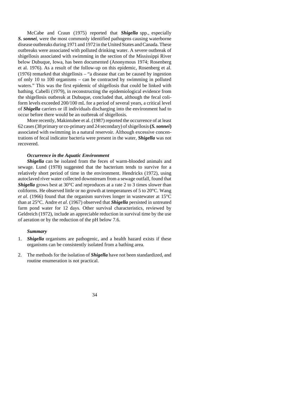McCabe and Craun (1975) reported that *Shigella* spp., especially *S. sonnei*, were the most commonly identified pathogens causing waterborne disease outbreaks during 1971 and 1972 in the United States and Canada. These outbreaks were associated with polluted drinking water. A severe outbreak of shigellosis associated with swimming in the section of the Mississippi River below Dubuque, Iowa, has been documented (Anonymous 1974; Rosenberg et al. 1976). As a result of the follow-up on this epidemic, Rosenberg et al. (1976) remarked that shigellosis – "a disease that can be caused by ingestion of only 10 to 100 organisms – can be contracted by swimming in polluted waters." This was the first epidemic of shigellosis that could be linked with bathing. Cabelli (1979), in reconstructing the epidemiological evidence from the shigellosis outbreak at Dubuque, concluded that, although the fecal coliform levels exceeded 200/100 mL for a period of several years, a critical level of *Shigella* carriers or ill individuals discharging into the environment had to occur before there would be an outbreak of shigellosis.

More recently, Makintubee et al. (1987) reported the occurrence of at least 62 cases (38 primary or co-primary and 24 secondary) of shigellosis **(***S. sonnei***)** associated with swimming in a natural reservoir. Although excessive concentrations of fecal indicator bacteria were present in the water, *Shigella* was not recovered.

#### *Occurrence in the Aquatic Environment*

*Shigella* can be isolated from the feces of warm-blooded animals and sewage. Lund (1978) suggested that the bacterium tends to survive for a relatively short period of time in the environment. Hendricks (1972), using autoclaved river water collected downstream from a sewage outfall, found that *Shigella* grows best at 30°C and reproduces at a rate 2 to 3 times slower than coliforms. He observed little or no growth at temperatures of 5 to 20°C. Wang *et al*. (1966) found that the organism survives longer in wastewater at 15°C than at 25°C. Andre *et al*. (1967) observed that *Shigella* persisted in untreated farm pond water for 12 days. Other survival characteristics, reviewed by Geldreich (1972), include an appreciable reduction in survival time by the use of aeration or by the reduction of the pH below 7.6.

#### *Summary*

- 1. *Shigella* organisms are pathogenic, and a health hazard exists if these organisms can be consistently isolated from a bathing area.
- 2. The methods for the isolation of *Shigella* have not been standardized, and routine enumeration is not practical.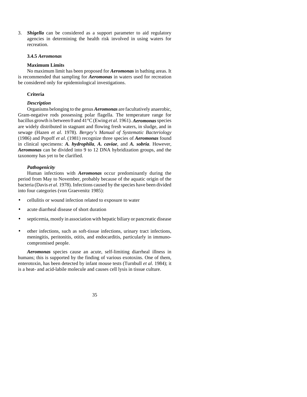3. *Shigella* can be considered as a support parameter to aid regulatory agencies in determining the health risk involved in using waters for recreation.

#### **3.4.5** *Aeromonas*

#### **Maximum Limits**

No maximum limit has been proposed for *Aeromonas* in bathing areas. It is recommended that sampling for *Aeromonas* in waters used for recreation be considered only for epidemiological investigations.

#### **Criteria**

#### *Description*

Organisms belonging to the genus *Aeromonas* are facultatively anaerobic, Gram-negative rods possessing polar flagella. The temperature range for bacillus growth is between 0 and 41°C (Ewing *et al*. 1961). *Aeromonas* species are widely distributed in stagnant and flowing fresh waters, in sludge, and in sewage (Hazen *et al*. 1978). *Bergey's Manual of Systematic Bacteriology* (1986) and Popoff *et al*. (1981) recognize three species of *Aeromonas* found in clinical specimens: *A. hydrophila*, *A. caviae*, and *A. sobria*. However, *Aeromonas* can be divided into 9 to 12 DNA hybridization groups, and the taxonomy has yet to be clarified.

#### *Pathogenicity*

Human infections with *Aeromonas* occur predominantly during the period from May to November, probably because of the aquatic origin of the bacteria (Davis *et al*. 1978). Infections caused by the species have been divided into four categories (von Graevenitz 1985):

- cellulitis or wound infection related to exposure to water
- acute diarrheal disease of short duration
- septicemia, mostly in association with hepatic biliary or pancreatic disease
- other infections, such as soft-tissue infections, urinary tract infections, meningitis, peritonitis, otitis, and endocarditis, particularly in immunocompromised people.

*Aeromonas* species cause an acute, self-limiting diarrheal illness in humans; this is supported by the finding of various exotoxins. One of them, enterotoxin, has been detected by infant mouse tests (Turnbull *et al*. 1984); it is a heat- and acid-labile molecule and causes cell lysis in tissue culture.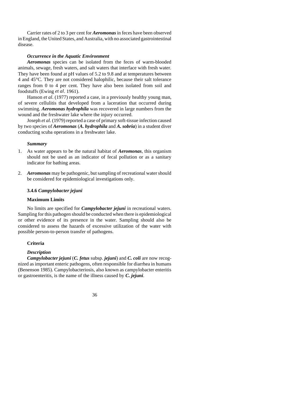Carrier rates of 2 to 3 per cent for *Aeromonas* in feces have been observed in England, the United States, and Australia, with no associated gastrointestinal disease.

#### *Occurrence in the Aquatic Environment*

*Aeromonas* species can be isolated from the feces of warm-blooded animals, sewage, fresh waters, and salt waters that interface with fresh water. They have been found at pH values of 5.2 to 9.8 and at temperatures between 4 and 45°C. They are not considered halophilic, because their salt tolerance ranges from 0 to 4 per cent. They have also been isolated from soil and foodstuffs (Ewing *et al*. 1961).

Hanson *et al*. (1977) reported a case, in a previously healthy young man, of severe cellulitis that developed from a laceration that occurred during swimming. *Aeromonas hydrophila* was recovered in large numbers from the wound and the freshwater lake where the injury occurred.

Joseph *et al*. (1979) reported a case of primary soft-tissue infection caused by two species of *Aeromonas* (*A. hydrophila* and *A. sobria*) in a student diver conducting scuba operations in a freshwater lake.

#### *Summary*

- 1. As water appears to be the natural habitat of *Aeromonas*, this organism should not be used as an indicator of fecal pollution or as a sanitary indicator for bathing areas.
- 2. *Aeromonas* may be pathogenic, but sampling of recreational water should be considered for epidemiological investigations only.

#### **3.4.6** *Campylobacter jejuni*

#### **Maximum Limits**

No limits are specified for *Campylobacter jejuni* in recreational waters. Sampling for this pathogen should be conducted when there is epidemiological or other evidence of its presence in the water. Sampling should also be considered to assess the hazards of excessive utilization of the water with possible person-to-person transfer of pathogens.

#### **Criteria**

#### *Description*

*Campylobacter jejuni* (*C. fetus* subsp. *jejuni*) and *C. coli* are now recognized as important enteric pathogens, often responsible for diarrhea in humans (Benenson 1985). Campylobacteriosis, also known as campylobacter enteritis or gastroenteritis, is the name of the illness caused by *C. jejuni*.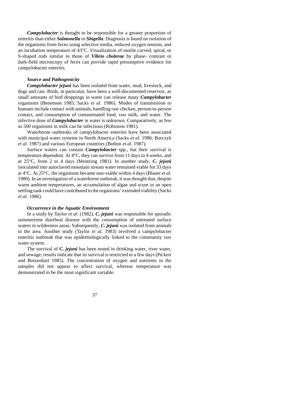*Campylobacter* is thought to be responsible for a greater proportion of enteritis than either *Salmonella* or *Shigella*. Diagnosis is based on isolation of the organisms from feces using selective media, reduced oxygen tension, and an incubation temperature of 43°C. Visualization of motile curved, spiral, or S-shaped rods similar to those of *Vibrio cholerae* by phase- contrast or dark-field microscopy of feces can provide rapid presumptive evidence for campylobacter enteritis.

## *Source and Pathogenicity*

*Campylobacter jejuni* has been isolated from water, mud, livestock, and dogs and cats. Birds, in particular, have been a well-documented reservoir, as small amounts of bird droppings in water can release many *Campylobacter* organisms (Benenson 1985; Sacks *et al*. 1986). Modes of transmission to humans include contact with animals, handling raw chicken, person-to-person contact, and consumption of contaminated food, raw milk, and water. The infective dose of *Campylobacter* in water is unknown. Comparatively, as few as 500 organisms in milk can be infectious (Robinson 1981).

Waterborne outbreaks of campylobacter enteritis have been associated with municipal water systems in North America (Sacks *et al*. 1986; Borczyk *et al*. 1987) and various European countries (Bolton *et al*. 1987).

Surface waters can contain *Campylobacter* spp., but their survival is temperature dependent. At 4°C, they can survive from 11 days to 4 weeks, and at 25°C, from 2 to 4 days (Mentzing 1981). In another study, *C. jejuni* inoculated into autoclaved mountain stream water remained viable for 33 days at 4°C. At 25°C, the organisms became non-viable within 4 days (Blaser *et al*. 1980). In an investigation of a waterborne outbreak, it was thought that, despite warm ambient temperatures, an accumulation of algae and scum in an open settling tank could have contributed to the organisms' extended viability (Sacks *et al*. 1986).

#### *Occurrence in the Aquatic Environment*

In a study by Taylor *et al*. (1982), *C. jejuni* was responsible for sporadic summertime diarrheal disease with the consumption of untreated surface waters in wilderness areas. Subsequently, *C. jejuni* was isolated from animals in the area. Another study (Taylor *et al*. 1983) involved a campylobacter enteritis outbreak that was epidemiologically linked to the community raw water system.

The survival of *C. jejuni* has been tested in drinking water, river water, and sewage; results indicate that its survival is restricted to a few days (Pickert and Botzenhart 1985). The concentration of oxygen and nutrients in the samples did not appear to affect survival, whereas temperature was demonstrated to be the most significant variable.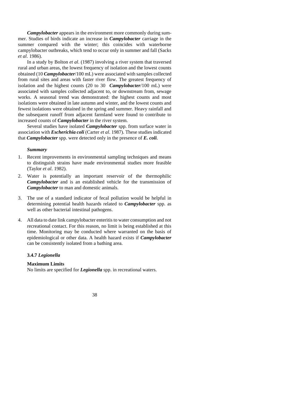*Campylobacter* appears in the environment more commonly during summer. Studies of birds indicate an increase in *Campylobacter* carriage in the summer compared with the winter; this coincides with waterborne campylobacter outbreaks, which tend to occur only in summer and fall (Sacks *et al*. 1986).

In a study by Bolton *et al*. (1987) involving a river system that traversed rural and urban areas, the lowest frequency of isolation and the lowest counts obtained (10 *Campylobacter*/100 mL) were associated with samples collected from rural sites and areas with faster river flow. The greatest frequency of isolation and the highest counts (20 to 30 *Campylobacter*/100 mL) were associated with samples collected adjacent to, or downstream from, sewage works. A seasonal trend was demonstrated: the highest counts and most isolations were obtained in late autumn and winter, and the lowest counts and fewest isolations were obtained in the spring and summer. Heavy rainfall and the subsequent runoff from adjacent farmland were found to contribute to increased counts of *Campylobacter* in the river system.

Several studies have isolated *Campylobacter* spp. from surface water in association with *Escherichia coli* (Carter *et al*. 1987). These studies indicated that *Campylobacter* spp. were detected only in the presence of *E. coli*.

## *Summary*

- 1. Recent improvements in environmental sampling techniques and means to distinguish strains have made environmental studies more feasible (Taylor *et al*. 1982).
- 2. Water is potentially an important reservoir of the thermophilic *Campylobacter* and is an established vehicle for the transmission of *Campylobacter* to man and domestic animals.
- 3. The use of a standard indicator of fecal pollution would be helpful in determining potential health hazards related to *Campylobacter* spp. as well as other bacterial intestinal pathogens.
- 4. All data to date link campylobacter enteritis to water consumption and not recreational contact. For this reason, no limit is being established at this time. Monitoring may be conducted where warranted on the basis of epidemiological or other data. A health hazard exists if *Campylobacter* can be consistently isolated from a bathing area.

## **3.4.7** *Legionella*

## **Maximum Limits**

No limits are specified for *Legionella* spp. in recreational waters.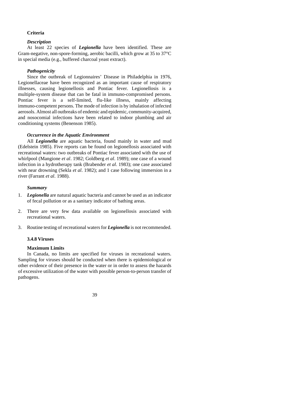## **Criteria**

## *Description*

At least 22 species of *Legionella* have been identified. These are Gram-negative, non-spore-forming, aerobic bacilli, which grow at 35 to 37°C in special media (e.g., buffered charcoal yeast extract).

## *Pathogenicity*

Since the outbreak of Legionnaires' Disease in Philadelphia in 1976, Legionellaceae have been recognized as an important cause of respiratory illnesses, causing legionellosis and Pontiac fever. Legionellosis is a multiple-system disease that can be fatal in immuno-compromised persons. Pontiac fever is a self-limited, flu-like illness, mainly affecting immuno-competent persons. The mode of infection is by inhalation of infected aerosols. Almost all outbreaks of endemic and epidemic, community-acquired, and nosocomial infections have been related to indoor plumbing and air conditioning systems (Benenson 1985).

## *Occurrence in the Aquatic Environment*

All *Legionella* are aquatic bacteria, found mainly in water and mud (Edelstein 1985). Five reports can be found on legionellosis associated with recreational waters: two outbreaks of Pontiac fever associated with the use of whirlpool (Mangione *et al*. 1982; Goldberg *et al*. 1989); one case of a wound infection in a hydrotherapy tank (Brabender *et al*. 1983); one case associated with near drowning (Sekla *et al*. 1982); and 1 case following immersion in a river (Farrant *et al*. 1988).

## *Summary*

- 1. *Legionella* are natural aquatic bacteria and cannot be used as an indicator of fecal pollution or as a sanitary indicator of bathing areas.
- 2. There are very few data available on legionellosis associated with recreational waters.
- 3. Routine testing of recreational waters for *Legionella* is not recommended.

#### **3.4.8 Viruses**

## **Maximum Limits**

In Canada, no limits are specified for viruses in recreational waters. Sampling for viruses should be conducted when there is epidemiological or other evidence of their presence in the water or in order to assess the hazards of excessive utilization of the water with possible person-to-person transfer of pathogens.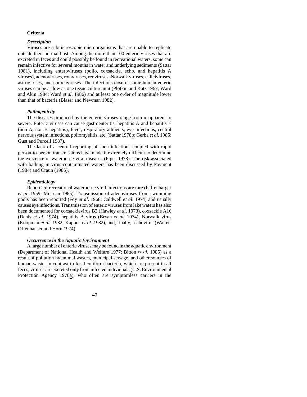#### **Criteria**

#### *Description*

Viruses are submicroscopic microorganisms that are unable to replicate outside their normal host. Among the more than 100 enteric viruses that are excreted in feces and could possibly be found in recreational waters, some can remain infective for several months in water and underlying sediments (Sattar 1981), including enteroviruses (polio, coxsackie, echo, and hepatitis A viruses), adenoviruses, rotaviruses, reoviruses, Norwalk viruses, caliciviruses, astroviruses, and coronaviruses. The infectious dose of some human enteric viruses can be as low as one tissue culture unit (Plotkin and Katz 1967; Ward and Akin 1984; Ward *et al*. 1986) and at least one order of magnitude lower than that of bacteria (Blaser and Newman 1982).

## *Pathogenicity*

The diseases produced by the enteric viruses range from unapparent to severe. Enteric viruses can cause gastroenteritis, hepatitis A and hepatitis E (non-A, non-B hepatitis), fever, respiratory ailments, eye infections, central nervous system infections, poliomyelitis, etc. (Sattar 1978b; Gerba *et al*. 1985; Gust and Purcell 1987).

The lack of a central reporting of such infections coupled with rapid person-to-person transmissions have made it extremely difficult to determine the existence of waterborne viral diseases (Pipes 1978). The risk associated with bathing in virus-contaminated waters has been discussed by Payment (1984) and Craun (1986).

## *Epidemiology*

Reports of recreational waterborne viral infections are rare (Paffenbarger *et al*. 1959; McLean 1965). Transmission of adenoviruses from swimming pools has been reported (Foy *et al*. 1968; Caldwell *et al*. 1974) and usually causes eye infections. Transmission of enteric viruses from lake waters has also been documented for coxsackievirus B3 (Hawley *et al*. 1973), coxsackie A16 (Denis *et al*. 1974), hepatitis A virus (Bryan *et al*. 1974), Norwalk virus (Koopman *et al*. 1982; Kappus *et al*. 1982), and, finally, echovirus (Walter-Offenhauser and Horn 1974).

## *Occurrence in the Aquatic Environment*

A large number of enteric viruses may be found in the aquatic environment (Department of National Health and Welfare 1977; Bitton *et al*. 1985) as a result of pollution by animal wastes, municipal sewage, and other sources of human waste. In contrast to fecal coliform bacteria, which are present in all feces, viruses are excreted only from infected individuals (U.S. Environmental Protection Agency 1978a), who often are symptomless carriers in the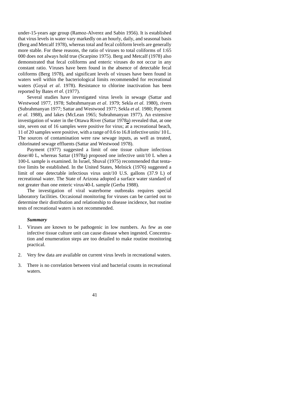under-15-years age group (Ramoz-Alverez and Sabin 1956). It is established that virus levels in water vary markedly on an hourly, daily, and seasonal basis (Berg and Metcalf 1978), whereas total and fecal coliform levels are generally more stable. For these reasons, the ratio of viruses to total coliforms of 1:65 000 does not always hold true (Scarpino 1975). Berg and Metcalf (1978) also demonstrated that fecal coliforms and enteric viruses do not occur in any constant ratio. Viruses have been found in the absence of detectable fecal coliforms (Berg 1978), and significant levels of viruses have been found in waters well within the bacteriological limits recommended for recreational waters (Goyal *et al*. 1978). Resistance to chlorine inactivation has been reported by Bates *et al*. (1977).

Several studies have investigated virus levels in sewage (Sattar and Westwood 1977, 1978; Subrahmanyan *et al*. 1979; Sekla *et al*. 1980), rivers (Subrahmanyan 1977; Sattar and Westwood 1977; Sekla *et al*. 1980; Payment *et al*. 1988), and lakes (McLean 1965; Subrahmanyan 1977). An extensive investigation of water in the Ottawa River (Sattar 1978a) revealed that, at one site, seven out of 16 samples were positive for virus; at a recreational beach, 11 of 20 samples were positive, with a range of 0.6 to 16.8 infective units/ 10 L. The sources of contamination were raw sewage inputs, as well as treated, chlorinated sewage effluents (Sattar and Westwood 1978).

Payment (1977) suggested a limit of one tissue culture infectious dose/40 L, whereas Sattar (1978a) proposed one infective unit/10 L when a 100-L sample is examined. In Israel, Shuval (1975) recommended that tentative limits be established. In the United States, Melnick (1976) suggested a limit of one detectable infectious virus unit/10 U.S. gallons (37.9 L) of recreational water. The State of Arizona adopted a surface water standard of not greater than one enteric virus/40-L sample (Gerba 1988).

The investigation of viral waterborne outbreaks requires special laboratory facilities. Occasional monitoring for viruses can be carried out to determine their distribution and relationship to disease incidence, but routine tests of recreational waters is not recommended.

## *Summary*

- 1. Viruses are known to be pathogenic in low numbers. As few as one infective tissue culture unit can cause disease when ingested. Concentration and enumeration steps are too detailed to make routine monitoring practical.
- 2. Very few data are available on current virus levels in recreational waters.
- 3. There is no correlation between viral and bacterial counts in recreational waters.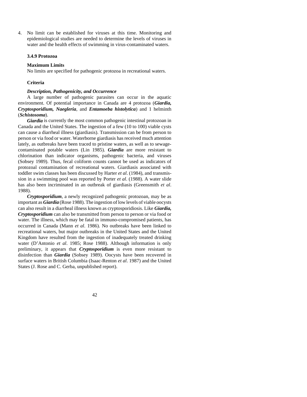4. No limit can be established for viruses at this time. Monitoring and epidemiological studies are needed to determine the levels of viruses in water and the health effects of swimming in virus-contaminated waters.

## **3.4.9 Protozoa**

#### **Maximum Limits**

No limits are specified for pathogenic protozoa in recreational waters.

#### **Criteria**

## *Description, Pathogenicity, and Occurrence*

A large number of pathogenic parasites can occur in the aquatic environment. Of potential importance in Canada are 4 protozoa (*Giardia, Cryptosporidium, Naegleria*, and *Entamoeba histolytica*) and 1 helminth (*Schistosoma*).

*Giardia* is currently the most common pathogenic intestinal protozoan in Canada and the United States. The ingestion of a few (10 to 100) viable cysts can cause a diarrheal illness (giardiasis). Transmission can be from person to person or via food or water. Waterborne giardiasis has received much attention lately, as outbreaks have been traced to pristine waters, as well as to sewagecontaminated potable waters (Lin 1985). *Giardia* are more resistant to chlorination than indicator organisms, pathogenic bacteria, and viruses (Sobsey 1989). Thus, fecal coliform counts cannot be used as indicators of protozoal contamination of recreational waters. Giardiasis associated with toddler swim classes has been discussed by Harter *et al*. (1984), and transmission in a swimming pool was reported by Porter *et al*. (1988). A water slide has also been incriminated in an outbreak of giardiasis (Greensmith *et al*. 1988).

*Cryptosporidium*, a newly recognized pathogenic protozoan, may be as important as *Giardia* (Rose 1988). The ingestion of low levels of viable oocysts can also result in a diarrheal illness known as cryptosporidiosis. Like *Giardia, Cryptosporidium* can also be transmitted from person to person or via food or water. The illness, which may be fatal in immuno-compromised patients, has occurred in Canada (Mann *et al*. 1986). No outbreaks have been linked to recreational waters, but major outbreaks in the United States and the United Kingdom have resulted from the ingestion of inadequately treated drinking water (D'Antonio *et al*. 1985; Rose 1988). Although information is only preliminary, it appears that *Cryptosporidium* is even more resistant to disinfection than *Giardia* (Sobsey 1989). Oocysts have been recovered in surface waters in British Columbia (Isaac-Renton *et al*. 1987) and the United States (J. Rose and C. Gerba, unpublished report).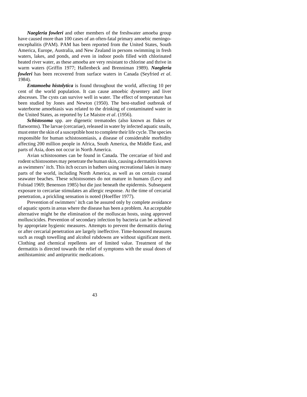*Naegleria fowleri* and other members of the freshwater amoeba group have caused more than 100 cases of an often-fatal primary amoebic meningoencephalitis (PAM). PAM has been reported from the United States, South America, Europe, Australia, and New Zealand in persons swimming in fresh waters, lakes, and ponds, and even in indoor pools filled with chlorinated heated river water, as these amoeba are very resistant to chlorine and thrive in warm waters (Griffin 1977; Hallenbeck and Brenniman 1989). *Naegleria fowleri* has been recovered from surface waters in Canada (Seyfried *et al*. 1984).

*Entamoeba histolytica* is found throughout the world, affecting 10 per cent of the world population. It can cause amoebic dysentery and liver abscesses. The cysts can survive well in water. The effect of temperature has been studied by Jones and Newton (1950). The best-studied outbreak of waterborne amoebiasis was related to the drinking of contaminated water in the United States, as reported by Le Maistre *et al*. (1956).

*Schistosoma* spp. are digenetic trematodes (also known as flukes or flatworms). The larvae (cercariae), released in water by infected aquatic snails, must enter the skin of a susceptible host to complete their life cycle. The species responsible for human schistosomiasis, a disease of considerable morbidity affecting 200 million people in Africa, South America, the Middle East, and parts of Asia, does not occur in North America.

Avian schistosomes can be found in Canada. The cercariae of bird and rodent schistosomes may penetrate the human skin, causing a dermatitis known as swimmers' itch. This itch occurs in bathers using recreational lakes in many parts of the world, including North America, as well as on certain coastal seawater beaches. These schistosomes do not mature in humans (Levy and Folstad 1969; Benenson 1985) but die just beneath the epidermis. Subsequent exposure to cercariae stimulates an allergic response. At the time of cercarial penetration, a prickling sensation is noted (Hoeffler 1977).

Prevention of swimmers' itch can be assured only by complete avoidance of aquatic sports in areas where the disease has been a problem. An acceptable alternative might be the elimination of the molluscan hosts, using approved molluscicides. Prevention of secondary infection by bacteria can be achieved by appropriate hygienic measures. Attempts to prevent the dermatitis during or after cercarial penetration are largely ineffective. Time-honoured measures such as rough towelling and alcohol rubdowns are without significant merit. Clothing and chemical repellents are of limited value. Treatment of the dermatitis is directed towards the relief of symptoms with the usual doses of antihistaminic and antipruritic medications.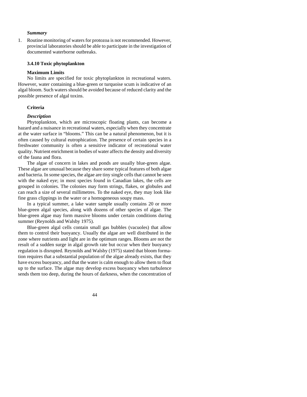## *Summary*

1. Routine monitoring of waters for protozoa is not recommended. However, provincial laboratories should be able to participate in the investigation of documented waterborne outbreaks.

## **3.4.10 Toxic phytoplankton**

#### **Maximum Limits**

No limits are specified for toxic phytoplankton in recreational waters. However, water containing a blue-green or turquoise scum is indicative of an algal bloom. Such waters should be avoided because of reduced clarity and the possible presence of algal toxins.

#### **Criteria**

#### *Description*

Phytoplankton, which are microscopic floating plants, can become a hazard and a nuisance in recreational waters, especially when they concentrate at the water surface in "blooms." This can be a natural phenomenon, but it is often caused by cultural eutrophication. The presence of certain species in a freshwater community is often a sensitive indicator of recreational water quality. Nutrient enrichment in bodies of water affects the density and diversity of the fauna and flora.

The algae of concern in lakes and ponds are usually blue-green algae. These algae are unusual because they share some typical features of both algae and bacteria. In some species, the algae are tiny single cells that cannot be seen with the naked eye; in most species found in Canadian lakes, the cells are grouped in colonies. The colonies may form strings, flakes, or globules and can reach a size of several millimetres. To the naked eye, they may look like fine grass clippings in the water or a homogeneous soupy mass.

In a typical summer, a lake water sample usually contains 20 or more blue-green algal species, along with dozens of other species of algae. The blue-green algae may form massive blooms under certain conditions during summer (Reynolds and Walsby 1975).

Blue-green algal cells contain small gas bubbles (vacuoles) that allow them to control their buoyancy. Usually the algae are well distributed in the zone where nutrients and light are in the optimum ranges. Blooms are not the result of a sudden surge in algal growth rate but occur when their buoyancy regulation is disrupted. Reynolds and Walsby (1975) stated that bloom formation requires that a substantial population of the algae already exists, that they have excess buoyancy, and that the water is calm enough to allow them to float up to the surface. The algae may develop excess buoyancy when turbulence sends them too deep, during the hours of darkness, when the concentration of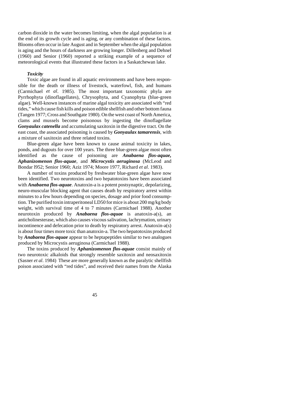carbon dioxide in the water becomes limiting, when the algal population is at the end of its growth cycle and is aging, or any combination of these factors. Blooms often occur in late August and in September when the algal population is aging and the hours of darkness are growing longer. Dillenberg and Dehnel (1960) and Senior (1960) reported a striking example of a sequence of meteorological events that illustrated these factors in a Saskatchewan lake.

#### *Toxicity*

Toxic algae are found in all aquatic environments and have been responsible for the death or illness of livestock, waterfowl, fish, and humans (Carmichael *et al*. 1985). The most important taxonomic phyla are Pyrrhophyta (dinoflagellates), Chrysophyta, and Cyanophyta (blue-green algae). Well-known instances of marine algal toxicity are associated with "red tides," which cause fish kills and poison edible shellfish and other bottom fauna (Tangen 1977; Cross and Southgate 1980). On the west coast of North America, clams and mussels become poisonous by ingesting the dinoflagellate *Gonyaulax catenella* and accumulating saxitoxin in the digestive tract. On the east coast, the associated poisoning is caused by *Gonyaulax tamarensis*, with a mixture of saxitoxin and three related toxins.

Blue-green algae have been known to cause animal toxicity in lakes, ponds, and dugouts for over 100 years. The three blue-green algae most often identified as the cause of poisoning are *Anabaena flos-aquae, Aphanizomenon flos-aquae*, and *Microcystis aeruginosa* (McLeod and Bondar l952; Senior 1960; Aziz 1974; Moore 1977, Richard *et al*. 1983).

A number of toxins produced by freshwater blue-green algae have now been identified. Two neurotoxins and two hepatotoxins have been associated with *Anabaena flos-aquae*. Anatoxin-a is a potent postsynaptic, depolarizing, neuro-muscular blocking agent that causes death by respiratory arrest within minutes to a few hours depending on species, dosage and prior food consumption. The purified toxin intraperitoneal LD50 for mice is about 200 mg/kg body weight, with survival time of 4 to 7 minutes (Carmichael 1988). Another neurotoxin produced by *Anabaena flos-aquae* is anatoxin-a(s), an anticholinesterase, which also causes viscous salivation, lachrymation, urinary incontinence and defecation prior to death by respiratory arrest. Anatoxin-a(s) is about four times more toxic than anatoxin-a. The two hepatotoxins produced by *Anabaena flos-aquae* appear to be heptapeptides similar to two analogues produced by Microcystis aeruginosa (Carmichael 1988).

The toxins produced by *Aphanizomenon flos-aquae* consist mainly of two neurotoxic alkaloids that strongly resemble saxitoxin and neosaxitoxin (Sasner *et al*. 1984) These are more generally known as the paralytic shellfish poison associated with "red tides", and received their names from the Alaska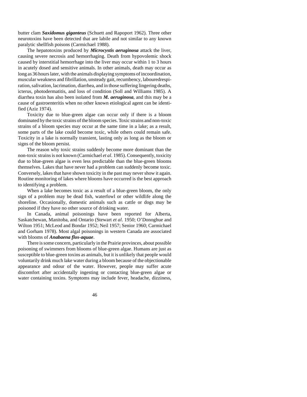butter clam *Saxidomus giganteus* (Schuett and Rapoport 1962). Three other neurotoxins have been detected that are labile and not similar to any known paralytic shellfish poisons (Carmichael 1988).

The hepatotoxins produced by *Microcystis aeruginosa* attack the liver, causing severe necrosis and hemorrhaging. Death from hypovolemic shock caused by interstitial hemorrhage into the liver may occur within 1 to 3 hours in acutely dosed and sensitive animals. In other animals, death may occur as long as 36 hours later, with the animals displaying symptoms of incoordination, muscular weakness and fibrillation, unsteady gait, recumbency, labouredrespiration, salivation, lacrimation, diarrhea, and in those suffering lingering deaths, icterus, photodermatitis, and loss of condition (Soll and Williams 1985). A diarrhea toxin has also been isolated from *M. aeruginosa*, and this may be a cause of gastroenteritis when no other known etiological agent can be identified (Aziz 1974).

Toxicity due to blue-green algae can occur only if there is a bloom dominated by the toxic strains of the bloom species. Toxic strains and non-toxic strains of a bloom species may occur at the same time in a lake; as a result, some parts of the lake could become toxic, while others could remain safe. Toxicity in a lake is normally transient, lasting only as long as the bloom or signs of the bloom persist.

The reason why toxic strains suddenly become more dominant than the non-toxic strains is not known (Carmichael *et al*. 1985). Consequently, toxicity due to blue-green algae is even less predictable than the blue-green blooms themselves. Lakes that have never had a problem can suddenly become toxic. Conversely, lakes that have shown toxicity in the past may never show it again. Routine monitoring of lakes where blooms have occurred is the best approach to identifying a problem.

When a lake becomes toxic as a result of a blue-green bloom, the only sign of a problem may be dead fish, waterfowl or other wildlife along the shoreline. Occasionally, domestic animals such as cattle or dogs may be poisoned if they have no other source of drinking water.

In Canada, animal poisonings have been reported for Alberta, Saskatchewan, Manitoba, and Ontario (Stewart *et al*. 1950; O'Donoghue and Wilton 1951; McLeod and Bondar 1952; Neil 1957; Senior 1960; Carmichael and Gorham 1978). Most algal poisonings in western Canada are associated with blooms of *Anabaena flos-aquae*.

There is some concern, particularly in the Prairie provinces, about possible poisoning of swimmers from blooms of blue-green algae. Humans are just as susceptible to blue-green toxins as animals, but it is unlikely that people would voluntarily drink much lake water during a bloom because of the objectionable appearance and odour of the water. However, people may suffer acute discomfort after accidentally ingesting or contacting blue-green algae or water containing toxins. Symptoms may include fever, headache, dizziness,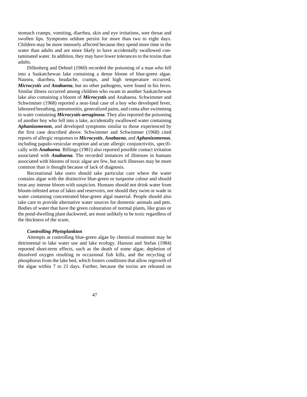stomach cramps, vomiting, diarrhea, skin and eye irritations, sore throat and swollen lips. Symptoms seldom persist for more than two to eight days. Children may be more intensely affected because they spend more time in the water than adults and are more likely to have accidentally swallowed contaminated water. In addition, they may have lower tolerances to the toxins than adults.

Dillenberg and Dehnel (1960) recorded the poisoning of a man who fell into a Saskatchewan lake containing a dense bloom of blue-green algae. Nausea, diarrhea, headache, cramps, and high temperature occurred. *Microcystis* and *Anabaena*, but no other pathogens, were found in his feces. Similar illness occurred among children who swam in another Saskatchewan lake also containing a bloom of *Microcystis* and Anabaena. Schwimmer and Schwimmer (1968) reported a near-fatal case of a boy who developed fever, laboured breathing, pneumonitis, generalized pains, and coma after swimming in water containing *Microcystis aeruginosa*. They also reported the poisoning of another boy who fell into a lake, accidentally swallowed water containing *Aphanizomenon*, and developed symptoms similar to those experienced by the first case described above. Schwimmer and Schwimmer (1968) cited reports of allergic responses to *Microcystis*, *Anabaena*, and *Aphanizomenon*, including papulo-vesicular eruption and acute allergic conjunctivitis, specifically with *Anabaena*. Billings (1981) also reported possible contact irritation associated with *Anabaena*. The recorded instances of illnesses in humans associated with blooms of toxic algae are few, but such illnesses may be more common than is thought because of lack of diagnosis.

Recreational lake users should take particular care where the water contains algae with the distinctive blue-green or turquoise colour and should treat any intense bloom with suspicion. Humans should not drink water from bloom-infested areas of lakes and reservoirs, nor should they swim or wade in water containing concentrated blue-green algal material. People should also take care to provide alternative water sources for domestic animals and pets. Bodies of water that have the green colouration of normal plants, like grass or the pond-dwelling plant duckweed, are most unlikely to be toxic regardless of the thickness of the scum.

## *Controlling Phytoplankton*

Attempts at controlling blue-green algae by chemical treatment may be detrimental to lake water use and lake ecology. Hanson and Stefan (1984) reported short-term effects, such as the death of some algae, depletion of dissolved oxygen resulting in occasional fish kills, and the recycling of phosphorus from the lake bed, which fosters conditions that allow regrowth of the algae within 7 to 21 days. Further, because the toxins are released on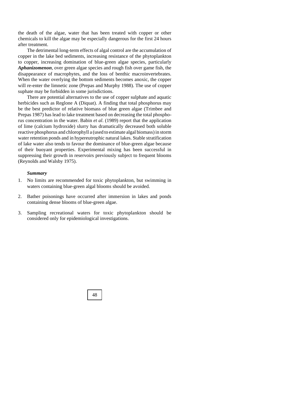the death of the algae, water that has been treated with copper or other chemicals to kill the algae may be especially dangerous for the first 24 hours after treatment.

The detrimental long-term effects of algal control are the accumulation of copper in the lake bed sediments, increasing resistance of the phytoplankton to copper, increasing domination of blue-green algae species, particularly *Aphanizomenon*, over green algae species and rough fish over game fish, the disappearance of macrophytes, and the loss of benthic macroinvertebrates. When the water overlying the bottom sediments becomes anoxic, the copper will re-enter the limnetic zone (Prepas and Murphy 1988). The use of copper suphate may be forbidden in some jurisdictions.

There are potential alternatives to the use of copper sulphate and aquatic herbicides such as Reglone A (Diquat). A finding that total phosphorus may be the best predictor of relative biomass of blue green algae (Trimbee and Prepas 1987) has lead to lake treatment based on decreasing the total phosphorus concentration in the water. Babin *et al*. (1989) report that the application of lime (calcium hydroxide) slurry has dramatically decreased both soluble reactive phosphorus and chlorophyll a (used to estimate algal biomass) in storm water retention ponds and in hypereutrophic natural lakes. Stable stratification of lake water also tends to favour the dominance of blue-green algae because of their buoyant properties. Experimental mixing has been successful in suppressing their growth in reservoirs previously subject to frequent blooms (Reynolds and Walsby 1975).

## *Summary*

- 1. No limits are recommended for toxic phytoplankton, but swimming in waters containing blue-green algal blooms should be avoided.
- 2. Bather poisonings have occurred after immersion in lakes and ponds containing dense blooms of blue-green algae.
- 3. Sampling recreational waters for toxic phytoplankton should be considered only for epidemiological investigations.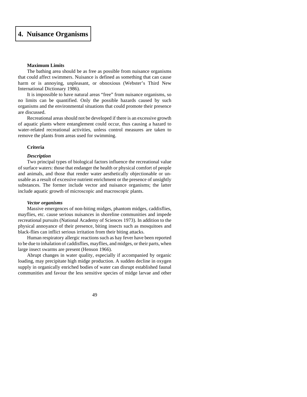# **[4. Nuisance Organisms](#page-4-0)**

## **Maximum Limits**

The bathing area should be as free as possible from nuisance organisms that could affect swimmers. Nuisance is defined as something that can cause harm or is annoying, unpleasant, or obnoxious (Webster's Third New International Dictionary 1986).

It is impossible to have natural areas "free" from nuisance organisms, so no limits can be quantified. Only the possible hazards caused by such organisms and the environmental situations that could promote their presence are discussed.

Recreational areas should not be developed if there is an excessive growth of aquatic plants where entanglement could occur, thus causing a hazard to water-related recreational activities, unless control measures are taken to remove the plants from areas used for swimming.

## **Criteria**

#### *Description*

Two principal types of biological factors influence the recreational value of surface waters: those that endanger the health or physical comfort of people and animals, and those that render water aesthetically objectionable or unusable as a result of excessive nutrient enrichment or the presence of unsightly substances. The former include vector and nuisance organisms; the latter include aquatic growth of microscopic and macroscopic plants.

#### *Vector organisms*

Massive emergences of non-biting midges, phantom midges, caddisflies, mayflies, etc. cause serious nuisances in shoreline communities and impede recreational pursuits (National Academy of Sciences 1973). In addition to the physical annoyance of their presence, biting insects such as mosquitoes and black-flies can inflict serious irritation from their biting attacks.

Human respiratory allergic reactions such as hay fever have been reported to be due to inhalation of caddisflies, mayflies, and midges, or their parts, when large insect swarms are present (Henson 1966).

Abrupt changes in water quality, especially if accompanied by organic loading, may precipitate high midge production. A sudden decline in oxygen supply in organically enriched bodies of water can disrupt established faunal communities and favour the less sensitive species of midge larvae and other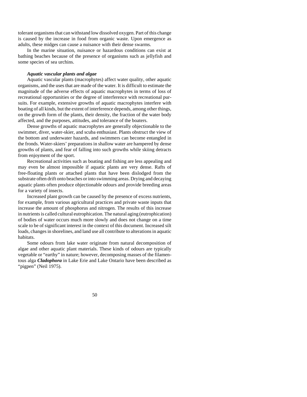tolerant organisms that can withstand low dissolved oxygen. Part of this change is caused by the increase in food from organic waste. Upon emergence as adults, these midges can cause a nuisance with their dense swarms.

In the marine situation, nuisance or hazardous conditions can exist at bathing beaches because of the presence of organisms such as jellyfish and some species of sea urchins.

## *Aquatic vascular plants and algae*

Aquatic vascular plants (macrophytes) affect water quality, other aquatic organisms, and the uses that are made of the water. It is difficult to estimate the magnitude of the adverse effects of aquatic macrophytes in terms of loss of recreational opportunities or the degree of interference with recreational pursuits. For example, extensive growths of aquatic macrophytes interfere with boating of all kinds, but the extent of interference depends, among other things, on the growth form of the plants, their density, the fraction of the water body affected, and the purposes, attitudes, and tolerance of the boaters.

Dense growths of aquatic macrophytes are generally objectionable to the swimmer, diver, water-skier, and scuba enthusiast. Plants obstruct the view of the bottom and underwater hazards, and swimmers can become entangled in the fronds. Water-skiers' preparations in shallow water are hampered by dense growths of plants, and fear of falling into such growths while skiing detracts from enjoyment of the sport.

Recreational activities such as boating and fishing are less appealing and may even be almost impossible if aquatic plants are very dense. Rafts of free-floating plants or attached plants that have been dislodged from the substrate often drift onto beaches or into swimming areas. Drying and decaying aquatic plants often produce objectionable odours and provide breeding areas for a variety of insects.

Increased plant growth can be caused by the presence of excess nutrients, for example, from various agricultural practices and private waste inputs that increase the amount of phosphorus and nitrogen. The results of this increase in nutrients is called cultural eutrophication. The natural aging (eutrophication) of bodies of water occurs much more slowly and does not change on a time scale to be of significant interest in the context of this document. Increased silt loads, changes in shorelines, and land use all contribute to alterations in aquatic habitats.

Some odours from lake water originate from natural decomposition of algae and other aquatic plant materials. These kinds of odours are typically vegetable or "earthy" in nature; however, decomposing masses of the filamentous alga *Cladophora* in Lake Erie and Lake Ontario have been described as "pigpen" (Neil 1975).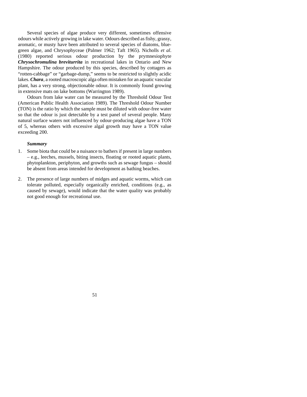Several species of algae produce very different, sometimes offensive odours while actively growing in lake water. Odours described as fishy, grassy, aromatic, or musty have been attributed to several species of diatoms, bluegreen algae, and Chrysophyceae (Palmer 1962; Taft 1965). Nicholls *et al*. (1980) reported serious odour production by the prymnesiophyte *Chrysochromulina breviturrita* in recreational lakes in Ontario and New Hampshire. The odour produced by this species, described by cottagers as "rotten-cabbage" or "garbage-dump," seems to be restricted to slightly acidic lakes. *Chara*, a rooted macroscopic alga often mistaken for an aquatic vascular plant, has a very strong, objectionable odour. It is commonly found growing in extensive mats on lake bottoms (Warrington 1989).

Odours from lake water can be measured by the Threshold Odour Test (American Public Health Association 1989). The Threshold Odour Number (TON) is the ratio by which the sample must be diluted with odour-free water so that the odour is just detectable by a test panel of several people. Many natural surface waters not influenced by odour-producing algae have a TON of 5, whereas others with excessive algal growth may have a TON value exceeding 200.

## *Summary*

- 1. Some biota that could be a nuisance to bathers if present in large numbers – e.g., leeches, mussels, biting insects, floating or rooted aquatic plants, phytoplankton, periphyton, and growths such as sewage fungus – should be absent from areas intended for development as bathing beaches.
- 2. The presence of large numbers of midges and aquatic worms, which can tolerate polluted, especially organically enriched, conditions (e.g., as caused by sewage), would indicate that the water quality was probably not good enough for recreational use.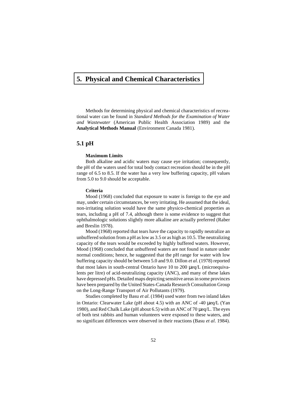# **[5. Physical and Chemical Characteristics](#page-4-0)**

Methods for determining physical and chemical characteristics of recreational water can be found in *Standard Methods for the Examination of Water and Wastewater* (American Public Health Association 1989) and the **Analytical Methods Manual** (Environment Canada 1981).

## **5.1 pH**

## **Maximum Limits**

Both alkaline and acidic waters may cause eye irritation; consequently, the pH of the waters used for total body contact recreation should be in the pH range of 6.5 to 8.5. If the water has a very low buffering capacity, pH values from 5.0 to 9.0 should be acceptable.

## **Criteria**

Mood (1968) concluded that exposure to water is foreign to the eye and may, under certain circumstances, be very irritating. He assumed that the ideal, non-irritating solution would have the same physico-chemical properties as tears, including a pH of 7.4, although there is some evidence to suggest that ophthalmologic solutions slightly more alkaline are actually preferred (Raber and Breslin 1978).

Mood (1968) reported that tears have the capacity to rapidly neutralize an unbuffered solution from a pH as low as 3.5 or as high as 10.5. The neutralizing capacity of the tears would be exceeded by highly buffered waters. However, Mood (1968) concluded that unbuffered waters are not found in nature under normal conditions; hence, he suggested that the pH range for water with low buffering capacity should be between 5.0 and 9.0. Dillon *et al*. (1978) reported that most lakes in south-central Ontario have 10 to 200 μeq/L (microequivalents per litre) of acid-neutralizing capacity (ANC), and many of these lakes have depressed pHs. Detailed maps depicting sensitive areas in some provinces have been prepared by the United States-Canada Research Consultation Group on the Long-Range Transport of Air Pollutants (1979).

Studies completed by Basu *et al*. (1984) used water from two inland lakes in Ontario: Clearwater Lake (pH about 4.5) with an ANC of -40 μeq/L (Yan 1980), and Red Chalk Lake (pH about 6.5) with an ANC of 70 μeq/L. The eyes of both test rabbits and human volunteers were exposed to these waters, and no significant differences were observed in their reactions (Basu *et al*. 1984).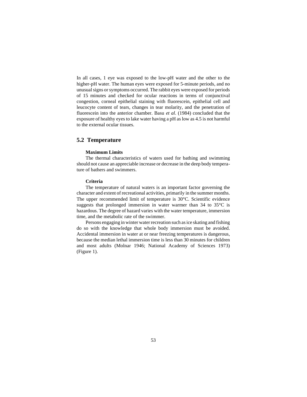In all cases, 1 eye was exposed to the low-pH water and the other to the higher-pH water. The human eyes were exposed for 5-minute periods, and no unusual signs or symptoms occurred. The rabbit eyes were exposed for periods of 15 minutes and checked for ocular reactions in terms of conjunctival congestion, corneal epithelial staining with fluorescein, epithelial cell and leucocyte content of tears, changes in tear molarity, and the penetration of fluorescein into the anterior chamber. Basu *et al*. (1984) concluded that the exposure of healthy eyes to lake water having a pH as low as 4.5 is not harmful to the external ocular tissues.

# **5.2 Temperature**

## **Maximum Limits**

The thermal characteristics of waters used for bathing and swimming should not cause an appreciable increase or decrease in the deep body temperature of bathers and swimmers.

## **Criteria**

The temperature of natural waters is an important factor governing the character and extent of recreational activities, primarily in the summer months. The upper recommended limit of temperature is 30°C. Scientific evidence suggests that prolonged immersion in water warmer than 34 to 35°C is hazardous. The degree of hazard varies with the water temperature, immersion time, and the metabolic rate of the swimmer.

Persons engaging in winter water recreation such as ice skating and fishing do so with the knowledge that whole body immersion must be avoided. Accidental immersion in water at or near freezing temperatures is dangerous, because the median lethal immersion time is less than 30 minutes for children and most adults (Molnar 1946; National Academy of Sciences 1973) (Figure 1).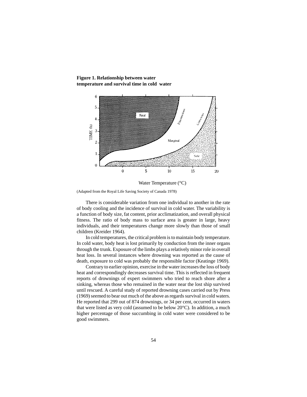

**Figure 1. Relationship between water temperature and survival time in cold water**

(Adapted from the Royal Life Saving Society of Canada 1978)

There is considerable variation from one individual to another in the rate of body cooling and the incidence of survival in cold water. The variability is a function of body size, fat content, prior acclimatization, and overall physical fitness. The ratio of body mass to surface area is greater in large, heavy individuals, and their temperatures change more slowly than those of small children (Kreider 1964).

In cold temperatures, the critical problem is to maintain body temperature. In cold water, body heat is lost primarily by conduction from the inner organs through the trunk. Exposure of the limbs plays a relatively minor role in overall heat loss. In several instances where drowning was reported as the cause of death, exposure to cold was probably the responsible factor (Keatinge 1969).

Contrary to earlier opinion, exercise in the water increases the loss of body heat and correspondingly decreases survival time. This is reflected in frequent reports of drownings of expert swimmers who tried to reach shore after a sinking, whereas those who remained in the water near the lost ship survived until rescued. A careful study of reported drowning cases carried out by Press (1969) seemed to bear out much of the above as regards survival in cold waters. He reported that 299 out of 874 drownings, or 34 per cent, occurred in waters that were listed as very cold (assumed to be below 20°C). In addition, a much higher percentage of those succumbing in cold water were considered to be good swimmers.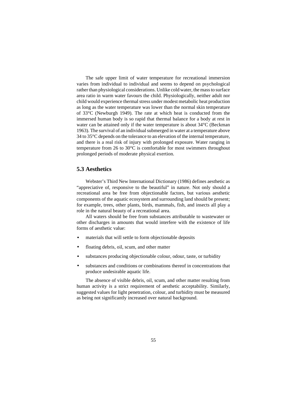The safe upper limit of water temperature for recreational immersion varies from individual to individual and seems to depend on psychological rather than physiological considerations. Unlike cold water, the mass to surface area ratio in warm water favours the child. Physiologically, neither adult nor child would experience thermal stress under modest metabolic heat production as long as the water temperature was lower than the normal skin temperature of 33°C (Newburgh 1949). The rate at which heat is conducted from the immersed human body is so rapid that thermal balance for a body at rest in water can be attained only if the water temperature is about 34°C (Beckman 1963). The survival of an individual submerged in water at a temperature above 34 to 35°C depends on the tolerance to an elevation of the internal temperature, and there is a real risk of injury with prolonged exposure. Water ranging in temperature from 26 to 30°C is comfortable for most swimmers throughout prolonged periods of moderate physical exertion.

## **5.3 Aesthetics**

Webster's Third New International Dictionary (1986) defines aesthetic as "appreciative of, responsive to the beautiful" in nature. Not only should a recreational area be free from objectionable factors, but various aesthetic components of the aquatic ecosystem and surrounding land should be present; for example, trees, other plants, birds, mammals, fish, and insects all play a role in the natural beauty of a recreational area.

All waters should be free from substances attributable to wastewater or other discharges in amounts that would interfere with the existence of life forms of aesthetic value:

- materials that will settle to form objectionable deposits
- floating debris, oil, scum, and other matter
- substances producing objectionable colour, odour, taste, or turbidity
- substances and conditions or combinations thereof in concentrations that produce undesirable aquatic life.

The absence of visible debris, oil, scum, and other matter resulting from human activity is a strict requirement of aesthetic acceptability. Similarly, suggested values for light penetration, colour, and turbidity must be measured as being not significantly increased over natural background.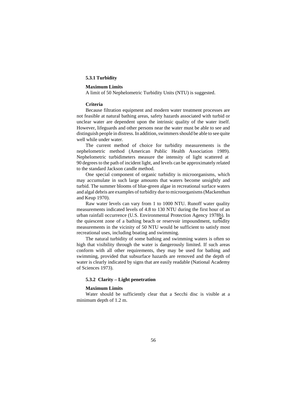## **5.3.1 Turbidity**

#### **Maximum Limits**

A limit of 50 Nephelometric Turbidity Units (NTU) is suggested.

#### **Criteria**

Because filtration equipment and modern water treatment processes are not feasible at natural bathing areas, safety hazards associated with turbid or unclear water are dependent upon the intrinsic quality of the water itself. However, lifeguards and other persons near the water must be able to see and distinguish people in distress. In addition, swimmers should be able to see quite well while under water.

The current method of choice for turbidity measurements is the nephelometric method (American Public Health Association 1989). Nephelometric turbidimeters measure the intensity of light scattered at 90 degrees to the path of incident light, and levels can be approximately related to the standard Jackson candle method.

One special component of organic turbidity is microorganisms, which may accumulate in such large amounts that waters become unsightly and turbid. The summer blooms of blue-green algae in recreational surface waters and algal debris are examples of turbidity due to microorganisms (Mackenthun and Keup 1970).

Raw water levels can vary from 1 to 1000 NTU. Runoff water quality measurements indicated levels of 4.8 to 130 NTU during the first hour of an urban rainfall occurrence (U.S. Environmental Protection Agency 1978b). In the quiescent zone of a bathing beach or reservoir impoundment, turbidity measurements in the vicinity of 50 NTU would be sufficient to satisfy most recreational uses, including boating and swimming.

The natural turbidity of some bathing and swimming waters is often so high that visibility through the water is dangerously limited. If such areas conform with all other requirements, they may be used for bathing and swimming, provided that subsurface hazards are removed and the depth of water is clearly indicated by signs that are easily readable (National Academy of Sciences 1973).

## **5.3.2 Clarity – Light penetration**

## **Maximum Limits**

Water should be sufficiently clear that a Secchi disc is visible at a minimum depth of 1.2 m.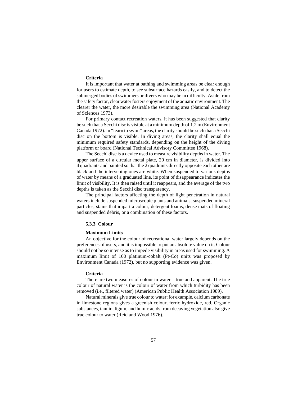## **Criteria**

It is important that water at bathing and swimming areas be clear enough for users to estimate depth, to see subsurface hazards easily, and to detect the submerged bodies of swimmers or divers who may be in difficulty. Aside from the safety factor, clear water fosters enjoyment of the aquatic environment. The clearer the water, the more desirable the swimming area (National Academy of Sciences 1973).

For primary contact recreation waters, it has been suggested that clarity be such that a Secchi disc is visible at a minimum depth of 1.2 m (Environment Canada 1972). In "learn to swim" areas, the clarity should be such that a Secchi disc on the bottom is visible. In diving areas, the clarity shall equal the minimum required safety standards, depending on the height of the diving platform or board (National Technical Advisory Committee 1968).

The Secchi disc is a device used to measure visibility depths in water. The upper surface of a circular metal plate, 20 cm in diameter, is divided into 4 quadrants and painted so that the 2 quadrants directly opposite each other are black and the intervening ones are white. When suspended to various depths of water by means of a graduated line, its point of disappearance indicates the limit of visibility. It is then raised until it reappears, and the average of the two depths is taken as the Secchi disc transparency.

The principal factors affecting the depth of light penetration in natural waters include suspended microscopic plants and animals, suspended mineral particles, stains that impart a colour, detergent foams, dense mats of floating and suspended debris, or a combination of these factors.

## **5.3.3 Colour**

#### **Maximum Limits**

An objective for the colour of recreational water largely depends on the preferences of users, and it is impossible to put an absolute value on it. Colour should not be so intense as to impede visibility in areas used for swimming. A maximum limit of 100 platinum-cobalt (Pt-Co) units was proposed by Environment Canada (1972), but no supporting evidence was given.

#### **Criteria**

There are two measures of colour in water – true and apparent. The true colour of natural water is the colour of water from which turbidity has been removed (i.e., filtered water) (American Public Health Association 1989).

Natural minerals give true colour to water; for example, calcium carbonate in limestone regions gives a greenish colour, ferric hydroxide, red. Organic substances, tannin, lignin, and humic acids from decaying vegetation also give true colour to water (Reid and Wood 1976).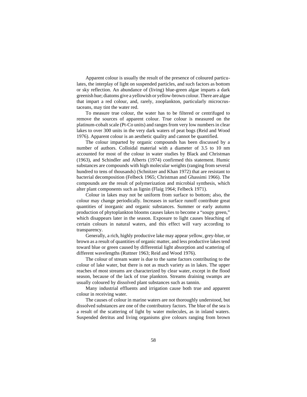Apparent colour is usually the result of the presence of coloured particulates, the interplay of light on suspended particles, and such factors as bottom or sky reflection. An abundance of (living) blue-green algae imparts a dark greenish hue; diatoms give a yellowish or yellow-brown colour. There are algae that impart a red colour, and, rarely, zooplankton, particularly microcrustaceans, may tint the water red.

To measure true colour, the water has to be filtered or centrifuged to remove the sources of apparent colour. True colour is measured on the platinum-cobalt scale (Pt-Co units) and ranges from very low numbers in clear lakes to over 300 units in the very dark waters of peat bogs (Reid and Wood 1976). Apparent colour is an aesthetic quality and cannot be quantified.

The colour imparted by organic compounds has been discussed by a number of authors. Colloidal material with a diameter of 3.5 to 10 nm accounted for most of the colour in water studies by Black and Christman (1963), and Schindler and Alberts (1974) confirmed this statement. Humic substances are compounds with high molecular weights (ranging from several hundred to tens of thousands) (Schnitzer and Khan 1972) that are resistant to bacterial decomposition (Felbeck 1965; Christman and Ghassimi 1966). The compounds are the result of polymerization and microbial synthesis, which alter plant components such as lignin (Flaig 1964; Felbeck 1971).

Colour in lakes may not be uniform from surface to bottom; also, the colour may change periodically. Increases in surface runoff contribute great quantities of inorganic and organic substances. Summer or early autumn production of phytoplankton blooms causes lakes to become a "soupy green," which disappears later in the season. Exposure to light causes bleaching of certain colours in natural waters, and this effect will vary according to transparency.

Generally, a rich, highly productive lake may appear yellow, grey-blue, or brown as a result of quantities of organic matter, and less productive lakes tend toward blue or green caused by differential light absorption and scattering of different wavelengths (Ruttner 1963; Reid and Wood 1976).

The colour of stream water is due to the same factors contributing to the colour of lake water, but there is not as much variety as in lakes. The upper reaches of most streams are characterized by clear water, except in the flood season, because of the lack of true plankton. Streams draining swamps are usually coloured by dissolved plant substances such as tannin.

Many industrial effluents and irrigation cause both true and apparent colour in receiving water.

The causes of colour in marine waters are not thoroughly understood, but dissolved substances are one of the contributory factors. The blue of the sea is a result of the scattering of light by water molecules, as in inland waters. Suspended detritus and living organisms give colours ranging from brown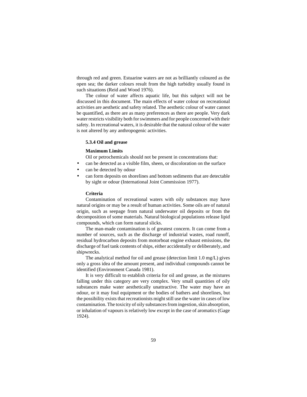through red and green. Estuarine waters are not as brilliantly coloured as the open sea; the darker colours result from the high turbidity usually found in such situations (Reid and Wood 1976).

The colour of water affects aquatic life, but this subject will not be discussed in this document. The main effects of water colour on recreational activities are aesthetic and safety related. The aesthetic colour of water cannot be quantified, as there are as many preferences as there are people. Very dark water restricts visibility both for swimmers and for people concerned with their safety. In recreational waters, it is desirable that the natural colour of the water is not altered by any anthropogenic activities.

## **5.3.4 Oil and grease**

## **Maximum Limits**

Oil or petrochemicals should not be present in concentrations that:

- can be detected as a visible film, sheen, or discoloration on the surface
- can be detected by odour
- can form deposits on shorelines and bottom sediments that are detectable by sight or odour (International Joint Commission 1977).

#### **Criteria**

Contamination of recreational waters with oily substances may have natural origins or may be a result of human activities. Some oils are of natural origin, such as seepage from natural underwater oil deposits or from the decomposition of some materials. Natural biological populations release lipid compounds, which can form natural slicks.

The man-made contamination is of greatest concern. It can come from a number of sources, such as the discharge of industrial wastes, road runoff, residual hydrocarbon deposits from motorboat engine exhaust emissions, the discharge of fuel tank contents of ships, either accidentally or deliberately, and shipwrecks.

The analytical method for oil and grease (detection limit 1.0 mg/L) gives only a gross idea of the amount present, and individual compounds cannot be identified (Environment Canada 1981).

It is very difficult to establish criteria for oil and grease, as the mixtures falling under this category are very complex. Very small quantities of oily substances make water aesthetically unattractive. The water may have an odour, or it may foul equipment or the bodies of bathers and shorelines, but the possibility exists that recreationists might still use the water in cases of low contamination. The toxicity of oily substances from ingestion, skin absorption, or inhalation of vapours is relatively low except in the case of aromatics (Gage 1924).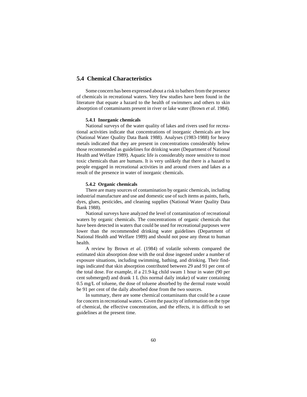# **5.4 Chemical Characteristics**

Some concern has been expressed about a risk to bathers from the presence of chemicals in recreational waters. Very few studies have been found in the literature that equate a hazard to the health of swimmers and others to skin absorption of contaminants present in river or lake water (Brown *et al*. 1984).

#### **5.4.1 Inorganic chemicals**

National surveys of the water quality of lakes and rivers used for recreational activities indicate that concentrations of inorganic chemicals are low (National Water Quality Data Bank 1988). Analyses (1983-1988) for heavy metals indicated that they are present in concentrations considerably below those recommended as guidelines for drinking water (Department of National Health and Welfare 1989). Aquatic life is considerably more sensitive to most toxic chemicals than are humans. It is very unlikely that there is a hazard to people engaged in recreational activities in and around rivers and lakes as a result of the presence in water of inorganic chemicals.

#### **5.4.2 Organic chemicals**

There are many sources of contamination by organic chemicals, including industrial manufacture and use and domestic use of such items as paints, fuels, dyes, glues, pesticides, and cleaning supplies (National Water Quality Data Bank 1988).

National surveys have analyzed the level of contamination of recreational waters by organic chemicals. The concentrations of organic chemicals that have been detected in waters that could be used for recreational purposes were lower than the recommended drinking water guidelines (Department of National Health and Welfare 1989) and should not pose any threat to human health.

A review by Brown *et al*. (1984) of volatile solvents compared the estimated skin absorption dose with the oral dose ingested under a number of exposure situations, including swimming, bathing, and drinking. Their findings indicated that skin absorption contributed between 29 and 91 per cent of the total dose. For example, if a 21.9-kg child swam 1 hour in water (90 per cent submerged) and drank 1 L (his normal daily intake) of water containing 0.5 mg/L of toluene, the dose of toluene absorbed by the dermal route would be 91 per cent of the daily absorbed dose from the two sources.

In summary, there are some chemical contaminants that could be a cause for concern in recreational waters. Given the paucity of information on the type of chemical, the effective concentration, and the effects, it is difficult to set guidelines at the present time.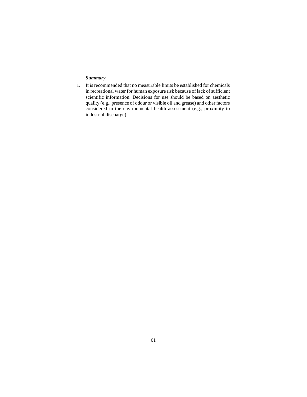## *Summary*

1. It is recommended that no measurable limits be established for chemicals in recreational water for human exposure risk because of lack of sufficient scientific information. Decisions for use should be based on aesthetic quality (e.g., presence of odour or visible oil and grease) and other factors considered in the environmental health assessment (e.g., proximity to industrial discharge).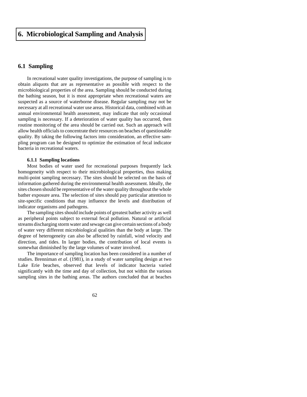# **[6. Microbiological Sampling and Analysis](#page-4-0)**

# **6.1 Sampling**

In recreational water quality investigations, the purpose of sampling is to obtain aliquots that are as representative as possible with respect to the microbiological properties of the area. Sampling should be conducted during the bathing season, but it is most appropriate when recreational waters are suspected as a source of waterborne disease. Regular sampling may not be necessary at all recreational water use areas. Historical data, combined with an annual environmental health assessment, may indicate that only occasional sampling is necessary. If a deterioration of water quality has occurred, then routine monitoring of the area should be carried out. Such an approach will allow health officials to concentrate their resources on beaches of questionable quality. By taking the following factors into consideration, an effective sampling program can be designed to optimize the estimation of fecal indicator bacteria in recreational waters.

## **6.1.1 Sampling locations**

Most bodies of water used for recreational purposes frequently lack homogeneity with respect to their microbiological properties, thus making multi-point sampling necessary. The sites should be selected on the basis of information gathered during the environmental health assessment. Ideally, the sites chosen should be representative of the water quality throughout the whole bather exposure area. The selection of sites should pay particular attention to site-specific conditions that may influence the levels and distribution of indicator organisms and pathogens.

The sampling sites should include points of greatest bather activity as well as peripheral points subject to external fecal pollution. Natural or artificial streams discharging storm water and sewage can give certain sections of a body of water very different microbiological qualities than the body at large. The degree of heterogeneity can also be affected by rainfall, wind velocity and direction, and tides. In larger bodies, the contribution of local events is somewhat diminished by the large volumes of water involved.

The importance of sampling location has been considered in a number of studies. Brenniman *et al*. (1981), in a study of water sampling design at two Lake Erie beaches, observed that levels of indicator bacteria varied significantly with the time and day of collection, but not within the various sampling sites in the bathing areas. The authors concluded that at beaches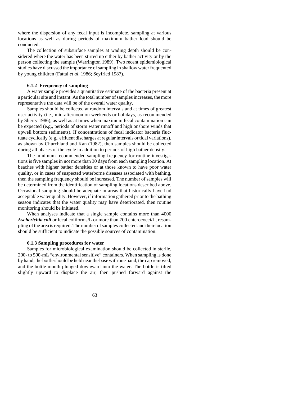where the dispersion of any fecal input is incomplete, sampling at various locations as well as during periods of maximum bather load should be conducted.

The collection of subsurface samples at wading depth should be considered where the water has been stirred up either by bather activity or by the person collecting the sample (Warrington 1989). Two recent epidemiological studies have discussed the importance of sampling in shallow water frequented by young children (Fattal *et al*. 1986; Seyfried 1987).

## **6.1.2 Frequency of sampling**

A water sample provides a quantitative estimate of the bacteria present at a particular site and instant. As the total number of samples increases, the more representative the data will be of the overall water quality.

Samples should be collected at random intervals and at times of greatest user activity (i.e., mid-afternoon on weekends or holidays, as recommended by Sherry 1986), as well as at times when maximum fecal contamination can be expected (e.g., periods of storm water runoff and high onshore winds that upwell bottom sediments). If concentrations of fecal indicator bacteria fluctuate cyclically (e.g., effluent discharges at regular intervals or tidal variations), as shown by Churchland and Kan (1982), then samples should be collected during all phases of the cycle in addition to periods of high bather density.

The minimum recommended sampling frequency for routine investigations is five samples in not more than 30 days from each sampling location. At beaches with higher bather densities or at those known to have poor water quality, or in cases of suspected waterborne diseases associated with bathing, then the sampling frequency should be increased. The number of samples will be determined from the identification of sampling locations described above. Occasional sampling should be adequate in areas that historically have had acceptable water quality. However, if information gathered prior to the bathing season indicates that the water quality may have deteriorated, then routine monitoring should be initiated.

When analyses indicate that a single sample contains more than 4000 *Escherichia coli* or fecal coliforms/L or more than 700 enterococci/L, resampling of the area is required. The number of samples collected and their location should be sufficient to indicate the possible sources of contamination.

## **6.1.3 Sampling procedures for water**

Samples for microbiological examination should be collected in sterile, 200- to 500-mL "environmental sensitive" containers. When sampling is done by hand, the bottle should be held near the base with one hand, the cap removed, and the bottle mouth plunged downward into the water. The bottle is tilted slightly upward to displace the air, then pushed forward against the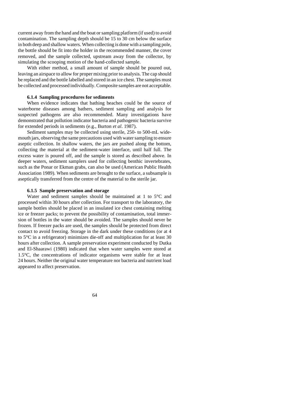current away from the hand and the boat or sampling platform (if used) to avoid contamination. The sampling depth should be 15 to 30 cm below the surface in both deep and shallow waters. When collecting is done with a sampling pole, the bottle should be fit into the holder in the recommended manner, the cover removed, and the sample collected, upstream away from the collector, by simulating the scooping motion of the hand-collected sample.

With either method, a small amount of sample should be poured out, leaving an airspace to allow for proper mixing prior to analysis. The cap should be replaced and the bottle labelled and stored in an ice chest. The samples must be collected and processed individually. Composite samples are not acceptable.

## **6.1.4 Sampling procedures for sediments**

When evidence indicates that bathing beaches could be the source of waterborne diseases among bathers, sediment sampling and analysis for suspected pathogens are also recommended. Many investigations have demonstrated that pollution indicator bacteria and pathogenic bacteria survive for extended periods in sediments (e.g., Burton *et al*. 1987).

Sediment samples may be collected using sterile, 250- to 500-mL widemouth jars, observing the same precautions used with water sampling to ensure aseptic collection. In shallow waters, the jars are pushed along the bottom, collecting the material at the sediment-water interface, until half full. The excess water is poured off, and the sample is stored as described above. In deeper waters, sediment samplers used for collecting benthic invertebrates, such as the Ponar or Ekman grabs, can also be used (American Public Health Association 1989). When sediments are brought to the surface, a subsample is aseptically transferred from the centre of the material to the sterile jar.

## **6.1.5 Sample preservation and storage**

Water and sediment samples should be maintained at 1 to 5°C and processed within 30 hours after collection. For transport to the laboratory, the sample bottles should be placed in an insulated ice chest containing melting ice or freezer packs; to prevent the possibility of contamination, total immersion of bottles in the water should be avoided. The samples should never be frozen. If freezer packs are used, the samples should be protected from direct contact to avoid freezing. Storage in the dark under these conditions (or at 4 to 5°C in a refrigerator) minimizes die-off and multiplication for at least 30 hours after collection. A sample preservation experiment conducted by Dutka and El-Shaarawi (1980) indicated that when water samples were stored at 1.5°C, the concentrations of indicator organisms were stable for at least 24 hours. Neither the original water temperature nor bacteria and nutrient load appeared to affect preservation.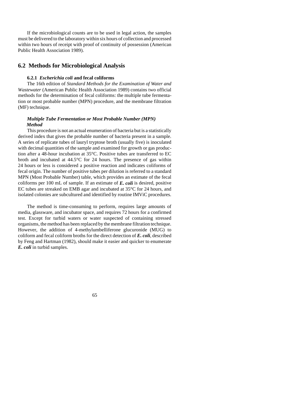If the microbiological counts are to be used in legal action, the samples must be delivered to the laboratory within six hours of collection and processed within two hours of receipt with proof of continuity of possession (American Public Health Association 1989).

## **6.2 Methods for Microbiological Analysis**

## **6.2.1** *Escherichia coli* **and fecal coliforms**

The 16th edition of *Standard Methods for the Examination of Water and Wastewater* (American Public Health Association 1989) contains two official methods for the determination of fecal coliforms: the multiple tube fermentation or most probable number (MPN) procedure, and the membrane filtration (MF) technique.

## *Multiple Tube Fermentation or Most Probable Number (MPN) Method*

This procedure is not an actual enumeration of bacteria but is a statistically derived index that gives the probable number of bacteria present in a sample. A series of replicate tubes of lauryl tryptose broth (usually five) is inoculated with decimal quantities of the sample and examined for growth or gas production after a 48-hour incubation at 35°C. Positive tubes are transferred to EC broth and incubated at 44.5°C for 24 hours. The presence of gas within 24 hours or less is considered a positive reaction and indicates coliforms of fecal origin. The number of positive tubes per dilution is referred to a standard MPN (Most Probable Number) table, which provides an estimate of the fecal coliforms per 100 mL of sample. If an estimate of *E. coli* is desired, positive EC tubes are streaked on EMB agar and incubated at 35°C for 24 hours, and isolated colonies are subcultured and identified by routine IMViC procedures.

The method is time-consuming to perform, requires large amounts of media, glassware, and incubator space, and requires 72 hours for a confirmed test. Except for turbid waters or water suspected of containing stressed organisms, the method has been replaced by the membrane filtration technique. However, the addition of 4-methylumbelliferone glucuronide (MUG) to coliform and fecal coliform broths for the direct detection of *E. coli*, described by Feng and Hartman (1982), should make it easier and quicker to enumerate *E. coli* in turbid samples.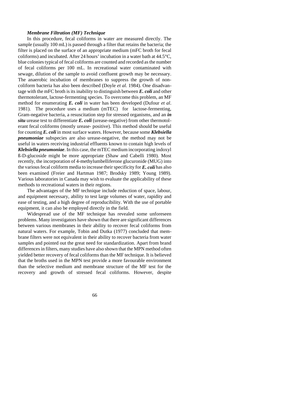## *Membrane Filtration (MF) Technique*

In this procedure, fecal coliforms in water are measured directly. The sample (usually 100 mL) is passed through a filter that retains the bacteria; the filter is placed on the surface of an appropriate medium (mFC broth for fecal coliforms) and incubated. After 24 hours' incubation in a water bath at 44.5°C, blue colonies typical of fecal coliforms are counted and recorded as the number of fecal coliforms per 100 mL. In recreational water contaminated with sewage, dilution of the sample to avoid confluent growth may be necessary. The anaerobic incubation of membranes to suppress the growth of noncoliform bacteria has also been described (Doyle *et al*. 1984). One disadvantage with the mFC broth is its inability to distinguish between *E. coli* and other thermotolerant, lactose-fermenting species. To overcome this problem, an MF method for enumerating *E. coli* in water has been developed (Dufour *et al*. 1981). The procedure uses a medium (mTEC) for lactose-fermenting, Gram-negative bacteria, a resuscitation step for stressed organisms, and an *in situ* urease test to differentiate *E. coli* (urease-negative) from other thermotolerant fecal coliforms (mostly urease- positive). This method should be useful for counting *E. coli* in most surface waters. However, because some *Klebsiella pneumoniae* subspecies are also urease-negative, the method may not be useful in waters receiving industrial effluents known to contain high levels of *Klebsiella pneumoniae*. In this case, the mTEC medium incorporating indoxyl ß-D-glucoside might be more appropriate (Shaw and Cabelli 1980). Most recently, the incorporation of 4-methylumbelliferone glucuronide (MUG) into the various fecal coliform media to increase their specificity for *E. coli* has also been examined (Freier and Hartman 1987; Brodsky 1989; Young 1989). Various laboratories in Canada may wish to evaluate the applicability of these methods to recreational waters in their regions.

The advantages of the MF technique include reduction of space, labour, and equipment necessary, ability to test large volumes of water, rapidity and ease of testing, and a high degree of reproducibility. With the use of portable equipment, it can also be employed directly in the field.

Widespread use of the MF technique has revealed some unforeseen problems. Many investigators have shown that there are significant differences between various membranes in their ability to recover fecal coliforms from natural waters. For example, Tobin and Dutka (1977) concluded that membrane filters were not equivalent in their ability to recover bacteria from water samples and pointed out the great need for standardization. Apart from brand differences in filters, many studies have also shown that the MPN method often yielded better recovery of fecal coliforms than the MF technique. It is believed that the broths used in the MPN test provide a more favourable environment than the selective medium and membrane structure of the MF test for the recovery and growth of stressed fecal coliforms. However, despite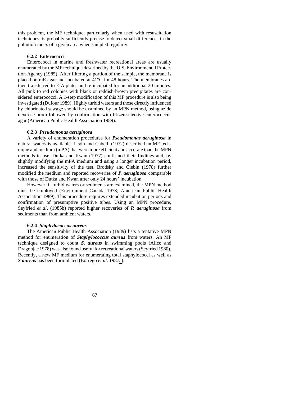this problem, the MF technique, particularly when used with resuscitation techniques, is probably sufficiently precise to detect small differences in the pollution index of a given area when sampled regularly.

## **6.2.2 Enterococci**

Enterococci in marine and freshwater recreational areas are usually enumerated by the MF technique described by the U.S. Environmental Protection Agency (1985). After filtering a portion of the sample, the membrane is placed on mE agar and incubated at 41°C for 48 hours. The membranes are then transferred to EIA plates and re-incubated for an additional 20 minutes. All pink to red colonies with black or reddish-brown precipitates are considered enterococci. A 1-step modification of this MF procedure is also being investigated (Dufour 1989). Highly turbid waters and those directly influenced by chlorinated sewage should be examined by an MPN method, using azide dextrose broth followed by confirmation with Pfizer selective enterococcus agar (American Public Health Association 1989).

## **6.2.3** *Pseudomonas aeruginosa*

A variety of enumeration procedures for *Pseudomonas aeruginosa* in natural waters is available. Levin and Cabelli (1972) described an MF technique and medium (mPA) that were more efficient and accurate than the MPN methods in use. Dutka and Kwan (1977) confirmed their findings and, by slightly modifying the mPA medium and using a longer incubation period, increased the sensitivity of the test. Brodsky and Ciebin (1978) further modified the medium and reported recoveries of *P. aeruginosa* comparable with those of Dutka and Kwan after only 24 hours' incubation.

However, if turbid waters or sediments are examined, the MPN method must be employed (Environment Canada 1978; American Public Health Association 1989). This procedure requires extended incubation periods and confirmation of presumptive positive tubes. Using an MPN procedure, Seyfried *et al*. (1985b) reported higher recoveries of *P. aeruginosa* from sediments than from ambient waters.

## **6.2.4** *Staphylococcus aureus*

The American Public Health Association (1989) lists a tentative MPN method for enumeration of *Staphylococcus aureus* from waters. An MF technique designed to count *S. aureus* in swimming pools (Alico and Dragonjac 1978) was also found useful for recreational waters (Seyfried 1980). Recently, a new MF medium for enumerating total staphylococci as well as *S aureus* has been formulated (Borrego *et al*. 1987a).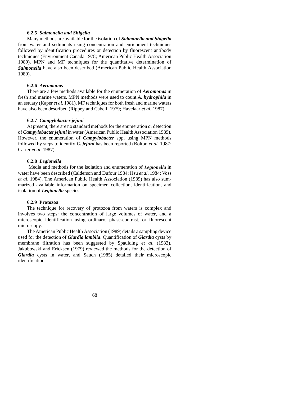## **6.2.5** *Salmonella and Shigella*

Many methods are available for the isolation of *Salmonella and Shigella* from water and sediments using concentration and enrichment techniques followed by identification procedures or detection by fluorescent antibody techniques (Environment Canada 1978; American Public Health Association 1989). MPN and MF techniques for the quantitative determination of *Salmonella* have also been described (American Public Health Association 1989).

## **6.2.6** *Aeromonas*

There are a few methods available for the enumeration of *Aeromonas* in fresh and marine waters. MPN methods were used to count *A. hydrophila* in an estuary (Kaper *et al*. 1981). MF techniques for both fresh and marine waters have also been described (Rippey and Cabelli 1979; Havelaar *et al*. 1987).

#### **6.2.7** *Campylobacter jejuni*

At present, there are no standard methods for the enumeration or detection of *Campylobacter jejuni* in water (American Public Health Association 1989). However, the enumeration of *Campylobacter* spp. using MPN methods followed by steps to identify *C. jejuni* has been reported (Bolton *et al*. 1987; Carter *et al*. 1987).

## **6.2.8** *Legionella*

 Media and methods for the isolation and enumeration of *Legionella* in water have been described (Calderson and Dufour 1984; Hsu *et al*. 1984; Voss *et al*. 1984). The American Public Health Association (1989) has also summarized available information on specimen collection, identification, and isolation of *Legionella* species.

#### **6.2.9 Protozoa**

The technique for recovery of protozoa from waters is complex and involves two steps: the concentration of large volumes of water, and a microscopic identification using ordinary, phase-contrast, or fluorescent microscopy.

The American Public Health Association (1989) details a sampling device used for the detection of *Giardia lamblia*. Quantification of *Giardia* cysts by membrane filtration has been suggested by Spaulding *et al*. (1983). Jakubowski and Ericksen (1979) reviewed the methods for the detection of *Giardia* cysts in water, and Sauch (1985) detailed their microscopic identification.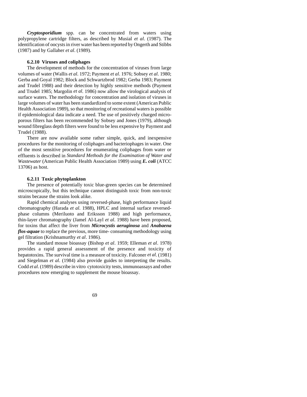*Cryptosporidium* spp. can be concentrated from waters using polypropylene cartridge filters, as described by Musial *et al*. (1987). The identification of oocysts in river water has been reported by Ongerth and Stibbs (1987) and by Gallaher *et al*. (1989).

## **6.2.10 Viruses and coliphages**

The development of methods for the concentration of viruses from large volumes of water (Wallis *et al*. 1972; Payment *et al*. 1976; Sobsey *et al*. 1980; Gerba and Goyal 1982; Block and Schwartzbrod 1982; Gerba 1983; Payment and Trudel 1988) and their detection by highly sensitive methods (Payment and Trudel 1985; Margolin *et al*. 1986) now allow the virological analysis of surface waters. The methodology for concentration and isolation of viruses in large volumes of water has been standardized to some extent (American Public Health Association 1989), so that monitoring of recreational waters is possible if epidemiological data indicate a need. The use of positively charged microporous filters has been recommended by Sobsey and Jones (1979), although wound fibreglass depth filters were found to be less expensive by Payment and Trudel (1988).

There are now available some rather simple, quick, and inexpensive procedures for the monitoring of coliphages and bacteriophages in water. One of the most sensitive procedures for enumerating coliphages from water or effluents is described in *Standard Methods for the Examination of Water and Wastewater* (American Public Health Association 1989) using *E. coli* (ATCC 13706) as host.

## **6.2.11 Toxic phytoplankton**

The presence of potentially toxic blue-green species can be determined microscopically, but this technique cannot distinguish toxic from non-toxic strains because the strains look alike.

Rapid chemical analyses using reversed-phase, high performance liquid chromatography (Harada *et al*. 1988), HPLC and internal surface reversedphase columns (Meriluoto and Eriksson 1988) and high performance, thin-layer chromatography (Jamel Al-Layl *et al*. 1988) have been proposed, for toxins that affect the liver from *Microcystis aeruginosa* and *Anabaena flos-aquae* to replace the previous, more time- consuming methodology using gel filtration (Krishnamurthy *et al*. 1986).

The standard mouse bioassay (Bishop *et al*. 1959; Elleman *et al*. 1978) provides a rapid general assessment of the presence and toxicity of hepatotoxins. The survival time is a measure of toxicity. Falconer *et al*. (1981) and Siegelman *et al*. (1984) also provide guides to interpreting the results. Codd *et al*. (1989) describe in vitro cytotoxicity tests, immunoassays and other procedures now emerging to supplement the mouse bioassay.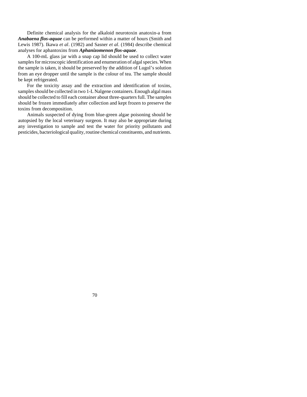Definite chemical analysis for the alkaloid neurotoxin anatoxin-a from *Anabaena flos-aquae* can be performed within a matter of hours (Smith and Lewis 1987). Ikawa *et al*. (1982) and Sasner *et al*. (1984) describe chemical analyses for aphantoxins from *Aphanizomenon flos-aquae*.

A 100-mL glass jar with a snap cap lid should be used to collect water samples for microscopic identification and enumeration of algal species. When the sample is taken, it should be preserved by the addition of Lugol's solution from an eye dropper until the sample is the colour of tea. The sample should be kept refrigerated.

For the toxicity assay and the extraction and identification of toxins, samples should be collected in two 1-L Nalgene containers. Enough algal mass should be collected to fill each container about three-quarters full. The samples should be frozen immediately after collection and kept frozen to preserve the toxins from decomposition.

Animals suspected of dying from blue-green algae poisoning should be autopsied by the local veterinary surgeon. It may also be appropriate during any investigation to sample and test the water for priority pollutants and pesticides, bacteriological quality, routine chemical constituents, and nutrients.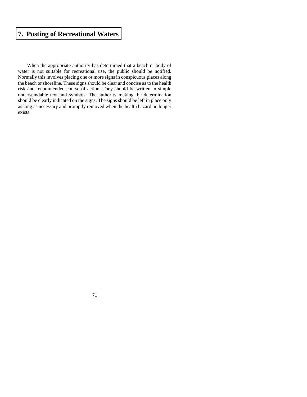# **[7. Posting of Recreational Waters](#page-4-0)**

When the appropriate authority has determined that a beach or body of water is not suitable for recreational use, the public should be notified. Normally this involves placing one or more signs in conspicuous places along the beach or shoreline. These signs should be clear and concise as to the health risk and recommended course of action. They should be written in simple understandable text and symbols. The authority making the determination should be clearly indicated on the signs. The signs should be left in place only as long as necessary and promptly removed when the health hazard no longer exists.

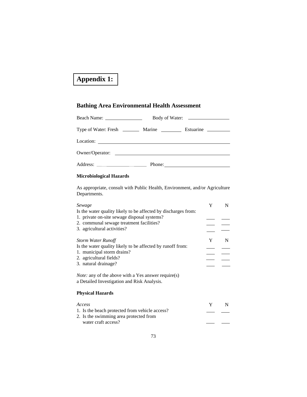# **[Appendix 1:](#page-4-0)**

# **Bathing Area Environmental Health Assessment**

|                                                                                  | Body of Water: |  |  |
|----------------------------------------------------------------------------------|----------------|--|--|
| Type of Water: Fresh ___________ Marine ______________ Estuarine _______________ |                |  |  |
|                                                                                  |                |  |  |
| Owner/Operator:                                                                  |                |  |  |
|                                                                                  |                |  |  |

# **Microbiological Hazards**

As appropriate, consult with Public Health, Environment, and/or Agriculture Departments.

| Sewage<br>Is the water quality likely to be affected by discharges from:                                               | Y | N |
|------------------------------------------------------------------------------------------------------------------------|---|---|
| 1. private on-site sewage disposal systems?<br>2. communal sewage treatment facilities?<br>3. agricultural activities? |   |   |
| <b>Storm Water Runoff</b><br>Is the water quality likely to be affected by runoff from:                                | Y | N |
| 1. municipal storm drains?                                                                                             |   |   |
| 2. agricultural fields?                                                                                                |   |   |
| 3. natural drainage?                                                                                                   |   |   |
| <i>Note:</i> any of the above with a Yes answer require(s)<br>a Detailed Investigation and Risk Analysis.              |   |   |
| <b>Physical Hazards</b>                                                                                                |   |   |
| Access                                                                                                                 | Y | N |
| 1. Is the beach protected from vehicle access?                                                                         |   |   |
| 2. Is the swimming area protected from                                                                                 |   |   |
| water craft access?                                                                                                    |   |   |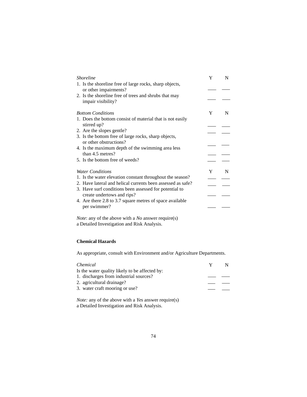| <i><u><b>Shoreline</b></u></i>                              |   | N |
|-------------------------------------------------------------|---|---|
| 1. Is the shoreline free of large rocks, sharp objects,     |   |   |
| or other impairments?                                       |   |   |
| 2. Is the shoreline free of trees and shrubs that may       |   |   |
| impair visibility?                                          |   |   |
| <b>Bottom Conditions</b>                                    | Y | N |
| 1. Does the bottom consist of material that is not easily   |   |   |
| stirred up?                                                 |   |   |
| 2. Are the slopes gentle?                                   |   |   |
| 3. Is the bottom free of large rocks, sharp objects,        |   |   |
| or other obstructions?                                      |   |   |
| 4. Is the maximum depth of the swimming area less           |   |   |
| than 4.5 metres?                                            |   |   |
| 5. Is the bottom free of weeds?                             |   |   |
| <b>Water Conditions</b>                                     | Y | N |
| 1. Is the water elevation constant throughout the season?   |   |   |
| 2. Have lateral and helical currents been assessed as safe? |   |   |
| 3. Have surf conditions been assessed for potential to      |   |   |
| create undertows and rips?                                  |   |   |
| 4. Are there 2.8 to 3.7 square metres of space available    |   |   |
| per swimmer?                                                |   |   |
|                                                             |   |   |

*Note*: any of the above with a *No* answer require(s) a Detailed Investigation and Risk Analysis.

## **Chemical Hazards**

As appropriate, consult with Environment and/or Agriculture Departments.

| Chemical                                       | Y |  |
|------------------------------------------------|---|--|
| Is the water quality likely to be affected by: |   |  |
| 1. discharges from industrial sources?         |   |  |
| 2. agricultural drainage?                      |   |  |
| 3. water craft mooring or use?                 |   |  |
|                                                |   |  |

*Note:* any of the above with a *Yes* answer require(s) a Detailed Investigation and Risk Analysis.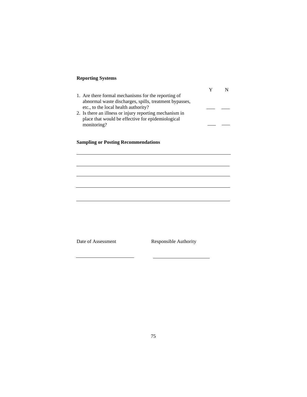## **Reporting Systems**

| 1. Are there formal mechanisms for the reporting of     |  |
|---------------------------------------------------------|--|
| abnormal waste discharges, spills, treatment bypasses,  |  |
| etc., to the local health authority?                    |  |
| 2. Is there an illness or injury reporting mechanism in |  |
| place that would be effective for epidemiological       |  |
| monitoring?                                             |  |
|                                                         |  |

## **Sampling or Posting Recommendations**

Date of Assessment Responsible Authority

 $\overline{\phantom{a}}$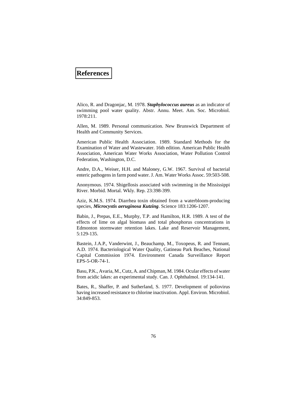## **[References](#page-4-0)**

Alico, R. and Dragonjac, M. 1978. *Staphylococcus aureus* as an indicator of swimming pool water quality. Abstr. Annu. Meet. Am. Soc. Microbiol. 1978:211.

Allen, M. 1989. Personal communication. New Brunswick Department of Health and Community Services.

American Public Health Association. 1989. Standard Methods for the Examination of Water and Wastewater. 16th edition. American Public Health Association, American Water Works Association, Water Pollution Control Federation, Washington, D.C.

Andre, D.A., Weiser, H.H. and Maloney, G.W. 1967. Survival of bacterial enteric pathogens in farm pond water. J. Am. Water Works Assoc. 59:503-508.

Anonymous. 1974. Shigellosis associated with swimming in the Mississippi River. Morbid. Mortal. Wkly. Rep. 23:398-399.

Aziz, K.M.S. 1974. Diarrhea toxin obtained from a waterbloom-producing species, *Microcystis aeruginosa Kutzing*. Science 183:1206-1207.

Babin, J., Prepas, E.E., Murphy, T.P. and Hamilton, H.R. 1989. A test of the effects of lime on algal biomass and total phosphorus concentrations in Edmonton stormwater retention lakes. Lake and Reservoir Management, 5:129-135.

Bastein, J.A.P., Vanderwint, J., Beauchamp, M., Toxopeus, R. and Tennant, A.D. 1974. Bacteriological Water Quality, Gatineau Park Beaches, National Capital Commission 1974. Environment Canada Surveillance Report EPS-5-OR-74-1.

Basu, P.K., Avaria, M., Cutz, A. and Chipman, M. 1984. Ocular effects of water from acidic lakes: an experimental study. Can. J. Ophthalmol. 19:134-141.

Bates, R., Shaffer, P. and Sutherland, S. 1977. Development of poliovirus having increased resistance to chlorine inactivation. Appl. Environ. Microbiol. 34:849-853.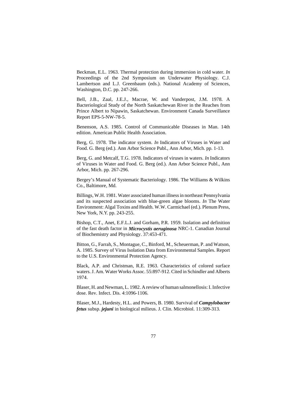Beckman, E.L. 1963. Thermal protection during immersion in cold water. *In* Proceedings of the 2nd Symposium on Underwater Physiology. C.J. Lambertson and L.J. Greenbaum (eds.). National Academy of Sciences, Washington, D.C. pp. 247-266.

Bell, J.B., Zaal, J.E.J., Macrae, W. and Vanderpost, J.M. 1978. A Bacteriological Study of the North Saskatchewan River in the Reaches from Prince Albert to Nipawin, Saskatchewan. Environment Canada Surveillance Report EPS-5-NW-78-5.

Benenson, A.S. 1985. Control of Communicable Diseases in Man. 14th edition. American Public Health Association.

Berg, G. 1978. The indicator system. *In* Indicators of Viruses in Water and Food. G. Berg (ed.). Ann Arbor Science Publ., Ann Arbor, Mich. pp. 1-13.

Berg, G. and Metcalf, T.G. 1978. Indicators of viruses in waters. *In* Indicators of Viruses in Water and Food. G. Berg (ed.). Ann Arbor Science Publ., Ann Arbor, Mich. pp. 267-296.

Bergey's Manual of Systematic Bacteriology. 1986. The Williams & Wilkins Co., Baltimore, Md.

Billings, W.H. 1981. Water associated human illness in northeast Pennsylvania and its suspected association with blue-green algae blooms. *In* The Water Environment: Algal Toxins and Health. W.W. Carmichael (ed.). Plenum Press, New York, N.Y. pp. 243-255.

Bishop, C.T., Anet, E.F.L.J. and Gorham, P.R. 1959. Isolation and definition of the fast death factor in *Microcystis aeruginosa* NRC-1. Canadian Journal of Biochemistry and Physiology. 37:453-471.

Bitton, G., Farrah, S., Montague, C., Binford, M., Scheuerman, P. and Watson, A. 1985. Survey of Virus Isolation Data from Environmental Samples. Report to the U.S. Environmental Protection Agency.

Black, A.P. and Christman, R.E. 1963. Characteristics of colored surface waters. J. Am. Water Works Assoc. 55:897-912. Cited in Schindler and Alberts 1974.

Blaser, H. and Newman, L. 1982. A review of human salmonellosis: I. Infective dose. Rev. Infect. Dis. 4:1096-1106.

Blaser, M.J., Hardesty, H.L. and Powers, B. 1980. Survival of *Campylobacter fetus* subsp. *jejuni* in biological milieus. J. Clin. Microbiol. 11:309-313.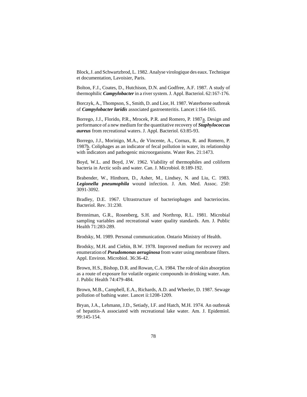Block, J. and Schwartzbrod, L. 1982. Analyse virologique des eaux. Technique et documentation, Lavoisier, Paris.

Bolton, F.J., Coates, D., Hutchison, D.N. and Godfree, A.F. 1987. A study of thermophilic *Campylobacter* in a river system. J. Appl. Bacteriol. 62:167-176.

Borczyk, A., Thompson, S., Smith, D. and Lior, H. 1987. Waterborne outbreak of *Campylobacter laridis* associated gastroenteritis. Lancet i:164-165.

Borrego, J.J., Florido, P.R., Mrocek, P.R. and Romero, P. 1987a. Design and performance of a new medium for the quantitative recovery of *Staphylococcus aureus* from recreational waters. J. Appl. Bacteriol. 63:85-93.

Borrego, J.J., Morinigo, M.A., de Vincente, A., Cornax, R. and Romero, P. 1987b. Coliphages as an indicator of fecal pollution in water, its relationship with indicators and pathogenic microorganisms. Water Res. 21:1473.

Boyd, W.L. and Boyd, J.W. 1962. Viability of thermophiles and coliform bacteria in Arctic soils and water. Can. J. Microbiol. 8:189-192.

Brabender, W., Hinthorn, D., Asher, M., Lindsey, N. and Liu, C. 1983. *Legionella pneumophila* wound infection. J. Am. Med. Assoc. 250: 3091-3092.

Bradley, D.E. 1967. Ultrastructure of bacteriophages and bacteriocins. Bacteriol. Rev. 31:230.

Brenniman, G.R., Rosenberg, S.H. and Northrop, R.L. 1981. Microbial sampling variables and recreational water quality standards. Am. J. Public Health 71:283-289.

Brodsky, M. 1989. Personal communication. Ontario Ministry of Health.

Brodsky, M.H. and Ciebin, B.W. 1978. Improved medium for recovery and enumeration of *Pseudomonas aeruginosa* from water using membrane filters. Appl. Environ. Microbiol. 36:36-42.

Brown, H.S., Bishop, D.R. and Rowan, C.A. 1984. The role of skin absorption as a route of exposure for volatile organic compounds in drinking water. Am. J. Public Health 74:479-484.

Brown, M.B., Campbell, E.A., Richards, A.D. and Wheeler, D. 1987. Sewage pollution of bathing water. Lancet ii:1208-1209.

Bryan, J.A., Lehmann, J.D., Setiady, I.F. and Hatch, M.H. 1974. An outbreak of hepatitis-A associated with recreational lake water. Am. J. Epidemiol. 99:145-154.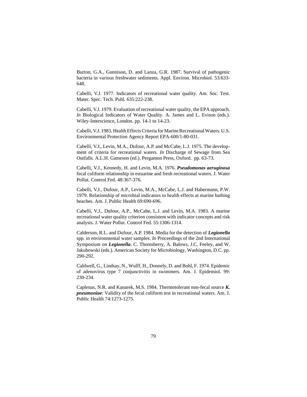Burton, G.A., Gunnison, D. and Lanza, G.R. 1987. Survival of pathogenic bacteria in various freshwater sediments. Appl. Environ. Microbiol. 53:633- 648.

Cabelli, V.J. 1977. Indicators of recreational water quality. Am. Soc. Test. Mater. Spec. Tech. Publ. 635:222-238.

Cabelli, V.J. 1979. Evaluation of recreational water quality, the EPA approach. *In* Biological Indicators of Water Quality. A. James and L. Evison (eds.). Wiley-Interscience, London. pp. 14-1 to 14-23.

Cabelli, V.J. 1983. Health Effects Criteria for Marine Recreational Waters. U.S. Environmental Protection Agency Report EPA-600/1-80-031.

Cabelli, V.J., Levin, M.A., Dufour, A.P. and McCabe, L.J. 1975. The development of criteria for recreational waters. *In* Discharge of Sewage from Sea Outfalls. A.L.H. Gameson (ed.). Pergamon Press, Oxford. pp. 63-73.

Cabelli, V.J., Kennedy, H. and Levin, M.A. 1976. *Pseudomonas aeruginosa* fecal coliform relationship in estuarine and fresh recreational waters. J. Water Pollut. Control Fed. 48:367-376.

Cabelli, V.J., Dufour, A.P., Levin, M.A., McCabe, L.J. and Habermann, P.W. 1979. Relationship of microbial indicators to health effects at marine bathing beaches. Am. J. Public Health 69:690-696.

Cabelli, V.J., Dufour, A.P., McCabe, L.J. and Levin, M.A. 1983. A marine recreational water quality criterion consistent with indicator concepts and risk analysis. J. Water Pollut. Control Fed. 55:1306-1314.

Calderson, R.L. and Dufour, A.P. 1984. Media for the detection of *Legionella* spp. in environmental water samples. *In* Proceedings of the 2nd International Symposium on *Legionella*. C. Thornsberry, A. Balows, J.C. Feeley, and W. Jakubowski (eds.). American Society for Microbiology, Washington, D.C. pp. 290-292.

Caldwell, G., Lindsay, N., Wulff, H., Donnely, D. and Bohl, F. 1974. Epidemic of adenovirus type 7 conjunctivitis in swimmers. Am. J. Epidemiol. 99: 230-234.

Caplenas, N.R. and Kanarek, M.S. 1984. Thermotolerant non-fecal source *K. pneumoniae*: Validity of the fecal coliform test in recreational waters. Am. J. Public Health 74:1273-1275.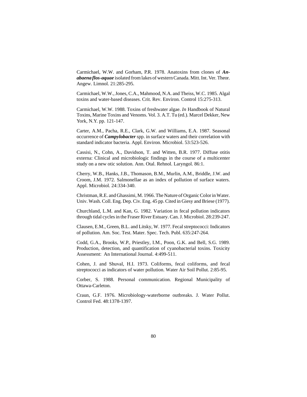Carmichael, W.W. and Gorham, P.R. 1978. Anatoxins from clones of *Anabaena flos-aquae* isolated from lakes of western Canada. Mitt. Int. Ver. Theor. Angew. Limnol. 21:285-295.

Carmichael, W.W., Jones, C.A., Mahmood, N.A. and Theiss, W.C. 1985. Algal toxins and water-based diseases. Crit. Rev. Environ. Control 15:275-313.

Carmichael, W.W. 1988. Toxins of freshwater algae. *In* Handbook of Natural Toxins, Marine Toxins and Venoms. Vol. 3. A.T. Tu (ed.). Marcel Dekker, New York, N.Y. pp. 121-147.

Carter, A.M., Pacha, R.E., Clark, G.W. and Williams, E.A. 1987. Seasonal occurrence of *Campylobacter* spp. in surface waters and their correlation with standard indicator bacteria. Appl. Environ. Microbiol. 53:523-526.

Cassisi, N., Cohn, A., Davidson, T. and Witten, B.R. 1977. Diffuse otitis externa: Clinical and microbiologic findings in the course of a multicenter study on a new otic solution. Ann. Otal. Rehnol. Laryngol. 86:1.

Cherry, W.B., Hanks, J.B., Thomason, B.M., Murlin, A.M., Briddle, J.W. and Croom, J.M. 1972. Salmonellae as an index of pollution of surface waters. Appl. Microbiol. 24:334-340.

Christman, R.E. and Ghassimi, M. 1966. The Nature of Organic Color in Water. Univ. Wash. Coll. Eng. Dep. Civ. Eng. 45 pp. Cited in Giesy and Briese (1977).

Churchland, L.M. and Kan, G. 1982. Variation in fecal pollution indicators through tidal cycles in the Fraser River Estuary. Can. J. Microbiol. 28:239-247.

Clausen, E.M., Green, B.L. and Litsky, W. 1977. Fecal streptococci: Indicators of pollution. Am. Soc. Test. Mater. Spec. Tech. Publ. 635:247-264.

Codd, G.A., Brooks, W.P., Priestley, I.M., Poon, G.K. and Bell, S.G. 1989. Production, detection, and quantification of cyanobacterial toxins. Toxicity Assessment: An International Journal. 4:499-511.

Cohen, J. and Shuval, H.I. 1973. Coliforms, fecal coliforms, and fecal streptococci as indicators of water pollution. Water Air Soil Pollut. 2:85-95.

Corber, S. 1988. Personal communication. Regional Municipality of Ottawa-Carleton.

Craun, G.F. 1976. Microbiology-waterborne outbreaks. J. Water Pollut. Control Fed. 48:1378-1397.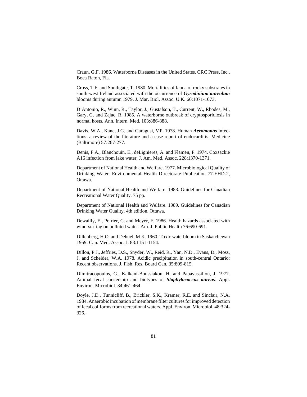Craun, G.F. 1986. Waterborne Diseases in the United States. CRC Press, Inc., Boca Raton, Fla.

Cross, T.F. and Southgate, T. 1980. Mortalities of fauna of rocky substrates in south-west Ireland associated with the occurrence of *Gyrodinium aureolum* blooms during autumn 1979. J. Mar. Biol. Assoc. U.K. 60:1071-1073.

D'Antonio, R., Winn, R., Taylor, J., Gustafson, T., Current, W., Rhodes, M., Gary, G. and Zajac, R. 1985. A waterborne outbreak of cryptosporidiosis in normal hosts. Ann. Intern. Med. 103:886-888.

Davis, W.A., Kane, J.G. and Garagusi, V.P. 1978. Human *Aeromonas* infections: a review of the literature and a case report of endocarditis. Medicine (Baltimore) 57:267-277.

Denis, F.A., Blanchouin, E., deLignieres, A. and Flamen, P. 1974. Coxsackie A16 infection from lake water. J. Am. Med. Assoc. 228:1370-1371.

Department of National Health and Welfare. 1977. Microbiological Quality of Drinking Water. Environmental Health Directorate Publication 77-EHD-2, Ottawa.

Department of National Health and Welfare. 1983. Guidelines for Canadian Recreational Water Quality. 75 pp.

Department of National Health and Welfare. 1989. Guidelines for Canadian Drinking Water Quality. 4th edition. Ottawa.

Dewailly, E., Poirier, C. and Meyer, F. 1986. Health hazards associated with wind-surfing on polluted water. Am. J. Public Health 76:690-691.

Dillenberg, H.O. and Dehnel, M.K. 1960. Toxic waterbloom in Saskatchewan 1959. Can. Med. Assoc. J. 83:1151-1154.

Dillon, P.J., Jeffries, D.S., Snyder, W., Reid, R., Yan, N.D., Evans, D., Moss, J. and Scheider, W.A. 1978. Acidic precipitation in south-central Ontario: Recent observations. J. Fish. Res. Board Can. 35:809-815.

Dimitracopoulos, G., Kalkani-Boussiakou, H. and Papavassiliou, J. 1977. Animal fecal carriership and biotypes of *Staphylococcus aureus*. Appl. Environ. Microbiol. 34:461-464.

Doyle, J.D., Tunnicliff, B., Brickler, S.K., Kramer, R.E. and Sinclair, N.A. 1984. Anaerobic incubation of membrane filter cultures for improved detection of fecal coliforms from recreational waters. Appl. Environ. Microbiol. 48:324- 326.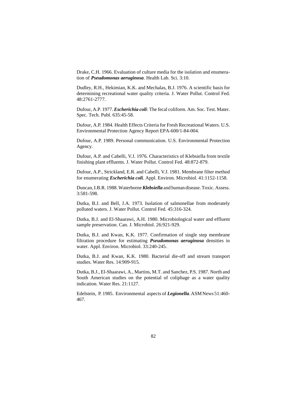Drake, C.H. 1966. Evaluation of culture media for the isolation and enumeration of *Pseudomonas aeruginosa*. Health Lab. Sci. 3:10.

Dudley, R.H., Hekimian, K.K. and Mechalas, B.J. 1976. A scientific basis for determining recreational water quality criteria. J. Water Pollut. Control Fed. 48:2761-2777.

Dufour, A.P. 1977. *Escherichia coli*: The fecal coliform. Am. Soc. Test. Mater. Spec. Tech. Publ. 635:45-58.

Dufour, A.P. 1984. Health Effects Criteria for Fresh Recreational Waters. U.S. Environmental Protection Agency Report EPA-600/1-84-004.

Dufour, A.P. 1989. Personal communication. U.S. Environmental Protection Agency.

Dufour, A.P. and Cabelli, V.J. 1976. Characteristics of Klebsiella from textile finishing plant effluents. J. Water Pollut. Control Fed. 48:872-879.

Dufour, A.P., Strickland, E.R. and Cabelli, V.J. 1981. Membrane filter method for enumerating *Escherichia coli*. Appl. Environ. Microbiol. 41:1152-1158.

Duncan, I.B.R. 1988. Waterborne *Klebsiella* and human disease. Toxic. Assess. 3:581-598.

Dutka, B.J. and Bell, J.A. 1973. Isolation of salmonellae from moderately polluted waters. J. Water Pollut. Control Fed. 45:316-324.

Dutka, B.J. and El-Shaarawi, A.H. 1980. Microbiological water and effluent sample preservation. Can. J. Microbiol. 26:921-929.

Dutka, B.J. and Kwan, K.K. 1977. Confirmation of single step membrane filtration procedure for estimating *Pseudomonas aeruginosa* densities in water. Appl. Environ. Microbiol. 33:240-245.

Dutka, B.J. and Kwan, K.K. 1980. Bacterial die-off and stream transport studies. Water Res. 14:909-915.

Dutka, B.J., El-Shaarawi, A., Martins, M.T. and Sanchez, P.S. 1987. North and South American studies on the potential of coliphage as a water quality indication. Water Res. 21:1127.

Edelstein, P. 1985. Environmental aspects of *Legionella*. ASM News 51:460- 467.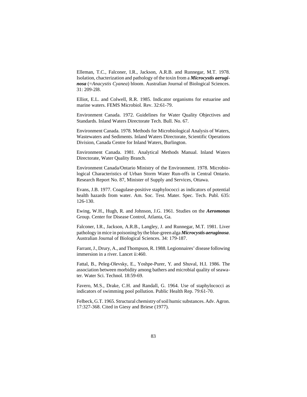Elleman, T.C., Falconer, I.R., Jackson, A.R.B. and Runnegar, M.T. 1978. Isolation, chacterization and pathology of the toxin from a *Microcystis aeruginosa* (=*Anacystis Cyanea*) bloom. Australian Journal of Biological Sciences. 31: 209-2l8.

Elliot, E.L. and Colwell, R.R. 1985. Indicator organisms for estuarine and marine waters. FEMS Microbiol. Rev. 32:61-79.

Environment Canada. 1972. Guidelines for Water Quality Objectives and Standards. Inland Waters Directorate Tech. Bull. No. 67.

Environment Canada. 1978. Methods for Microbiological Analysis of Waters, Wastewaters and Sediments. Inland Waters Directorate, Scientific Operations Division, Canada Centre for Inland Waters, Burlington.

Environment Canada. 1981. Analytical Methods Manual. Inland Waters Directorate, Water Quality Branch.

Environment Canada/Ontario Ministry of the Environment. 1978. Microbiological Characteristics of Urban Storm Water Run-offs in Central Ontario. Research Report No. 87, Minister of Supply and Services, Ottawa.

Evans, J.B. 1977. Coagulase-positive staphylococci as indicators of potential health hazards from water. Am. Soc. Test. Mater. Spec. Tech. Publ. 635: 126-130.

Ewing, W.H., Hugh, R. and Johnson, J.G. 1961. Studies on the *Aeromonas* Group. Center for Disease Control, Atlanta, Ga.

Falconer, I.R., Jackson, A.R.B., Langley, J. and Runnegar, M.T. 1981. Liver pathology in mice in poisoning by the blue-green alga *Microcystis aeruginosa*. Australian Journal of Biological Sciences. 34: 179-187.

Farrant, J., Drury, A., and Thompson, R. 1988. Legionnaires' disease following immersion in a river. Lancet ii:460.

Fattal, B., Peleg-Olevsky, E., Yoshpe-Purer, Y. and Shuval, H.I. 1986. The association between morbidity among bathers and microbial quality of seawater. Water Sci. Technol. 18:59-69.

Favero, M.S., Drake, C.H. and Randall, G. 1964. Use of staphylococci as indicators of swimming pool pollution. Public Health Rep. 79:61-70.

Felbeck, G.T. 1965. Structural chemistry of soil humic substances. Adv. Agron. 17:327-368. Cited in Giesy and Briese (1977).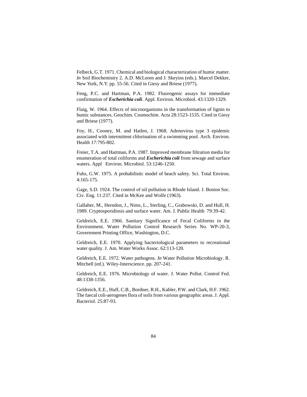Felbeck, G.T. 1971. Chemical and biological characterization of humic matter. *In* Soil Biochemistry 2. A.D. McLoren and J. Skeyins (eds.). Marcel Dekker, New York, N.Y. pp. 55-56. Cited in Giesy and Briese (1977).

Feng, P.C. and Hartman, P.A. 1982. Fluorogenic assays for immediate confirmation of *Escherichia coli*. Appl. Environ. Microbiol. 43:1320-1329.

Flaig, W. 1964. Effects of microorganisms in the transformation of lignin to humic substances. Geochim. Cosmochim. Acta 28:1523-1535. Cited in Giesy and Briese (1977).

Foy, H., Cooney, M. and Hatlen, J. 1968. Adenovirus type 3 epidemic associated with intermittent chlorination of a swimming pool. Arch. Environ. Health 17:795-802.

Freier, T.A. and Hartman, P.A. 1987. Improved membrane filtration media for enumeration of total coliforms and *Escherichia coli* from sewage and surface waters. Appl Environ. Microbiol. 53:1246-1250.

Fuhs, G.W. 1975. A probabilistic model of beach safety. Sci. Total Environ. 4:165-175.

Gage, S.D. 1924. The control of oil pollution in Rhode Island. J. Boston Soc. Civ. Eng. 11:237. Cited in McKee and Wolfe (1963).

Gallaher, M., Herndon, J., Nims, L., Sterling, C., Grabowski, D. and Hull, H. 1989. Cryptosporidiosis and surface water. Am. J. Public Health 79:39-42.

Geldreich, E.E. 1966. Sanitary Significance of Fecal Coliforms in the Environment. Water Pollution Control Research Series No. WP-20-3, Government Printing Office, Washington, D.C.

Geldreich, E.E. 1970. Applying bacteriological parameters to recreational water quality. J. Am. Water Works Assoc. 62:113-120.

Geldreich, E.E. 1972. Water pathogens. *In* Water Pollution Microbiology. R. Mitchell (ed.). Wiley-Interscience. pp. 207-241.

Geldreich, E.E. 1976. Microbiology of water. J. Water Pollut. Control Fed. 48:1338-1356.

Geldreich, E.E., Huff, C.B., Bordner, R.H., Kabler, P.W. and Clark, H.F. 1962. The faecal coli-aerogenes flora of soils from various geographic areas. J. Appl. Bacteriol. 25:87-93.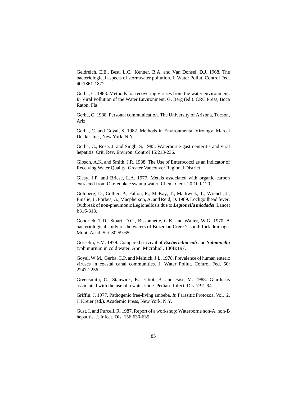Geldreich, E.E., Best, L.C., Kenner, B.A. and Van Donsel, D.J. 1968. The bacteriological aspects of stormwater pollution. J. Water Pollut. Control Fed. 40:1861-1872.

Gerba, C. 1983. Methods for recovering viruses from the water environment. *In* Viral Pollution of the Water Environment. G. Berg (ed.). CRC Press, Boca Raton, Fla.

Gerba, C. 1988. Personal communication. The University of Arizona, Tucson, Ariz.

Gerba, C. and Goyal, S. 1982. Methods in Environmental Virology. Marcel Dekker Inc., New York, N.Y.

Gerba, C., Rose, J. and Singh, S. 1985. Waterborne gastroenteritis and viral hepatitis. Crit. Rev. Environ. Control 15:213-236.

Gibson, A.K. and Smith, J.R. 1988. The Use of Enterococci as an Indicator of Receiving Water Quality. Greater Vancouver Regional District.

Giesy, J.P. and Briese, L.A. 1977. Metals associated with organic carbon extracted from Okefenokee swamp water. Chem. Geol. 20:109-120.

Goldberg, D., Collier, P., Fallon, R., McKay, T., Markwick, T., Wrench, J., Emslie, J., Forbes, G., Macpherson, A. and Reid, D. 1989. Lochgoilhead fever: Outbreak of non-pneumonic Legionellosis due to *Legionella micdadei*. Lancet i:316-318.

Goodrich, T.D., Stuart, D.G., Bissonnette, G.K. and Walter, W.G. 1970. A bacteriological study of the waters of Bozeman Creek's south fork drainage. Mont. Acad. Sci. 30:59-65.

Gosselin, F.M. 1979. Compared survival of *Escherichia coli* and *Salmonella* typhimurium in cold water. Ann. Microbiol. 130B:197.

Goyal, W.M., Gerba, C.P. and Melnick, J.L. 1978. Prevalence of human enteric viruses in coastal canal communities. J. Water Pollut. Control Fed. 50: 2247-2256.

Greensmith, C., Stanwick, R., Elliot, B. and Fast, M. 1988. Giardiasis associated with the use of a water slide. Pediatr. Infect. Dis. 7:91-94.

Griffin, J. 1977. Pathogenic free-living amoeba. *In* Parasitic Protozoa. Vol. 2. J. Kreier (ed.). Academic Press, New York, N.Y.

Gust, I. and Purcell, R. 1987. Report of a workshop: Waterborne non-A, non-B hepatitis. J. Infect. Dis. 156:630-635.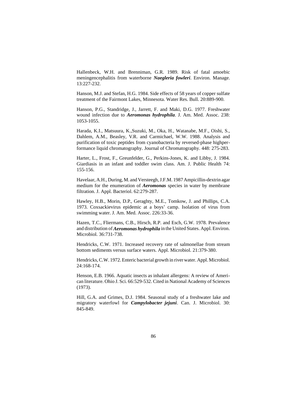Hallenbeck, W.H. and Brenniman, G.R. 1989. Risk of fatal amoebic meningencephalitis from waterborne *Naegleria fowleri*. Environ. Manage. 13:227-232.

Hanson, M.J. and Stefan, H.G. 1984. Side effects of 58 years of copper sulfate treatment of the Fairmont Lakes, Minnesota. Water Res. Bull. 20:889-900.

Hanson, P.G., Standridge, J., Jarrett, F. and Maki, D.G. 1977. Freshwater wound infection due to *Aeromonas hydrophila*. J. Am. Med. Assoc. 238: 1053-1055.

Harada, K.I., Matsuura, K.,Suzuki, M., Oka, H., Watanabe, M.F., Oishi, S., Dahlem, A.M., Beasley, V.R. and Carmichael, W.W. 1988. Analysis and purification of toxic peptides from cyanobacteria by reversed-phase highperformance liquid chromatography. Journal of Chromatography. 448: 275-283.

Harter, L., Frost, F., Greunfelder, G., Perkins-Jones, K. and Libby, J. 1984. Giardiasis in an infant and toddler swim class. Am. J. Public Health 74: 155-156.

Havelaar, A.H., During, M. and Versteegh, J.F.M. 1987 Ampicillin-dextrin agar medium for the enumeration of *Aeromonas* species in water by membrane filtration. J. Appl. Bacteriol. 62:279-287.

Hawley, H.B., Morin, D.P., Geraghty, M.E., Tomkow, J. and Phillips, C.A. 1973. Coxsackievirus epidemic at a boys' camp. Isolation of virus from swimming water. J. Am. Med. Assoc. 226:33-36.

Hazen, T.C., Fliermans, C.B., Hirsch, R.P. and Esch, G.W. 1978. Prevalence and distribution of *Aeromonas hydrophila* in the United States. Appl. Environ. Microbiol. 36:731-738.

Hendricks, C.W. 1971. Increased recovery rate of salmonellae from stream bottom sediments versus surface waters. Appl. Microbiol. 21:379-380.

Hendricks, C.W. 1972. Enteric bacterial growth in river water. Appl. Microbiol. 24:168-174.

Henson, E.B. 1966. Aquatic insects as inhalant allergens: A review of American literature. Ohio J. Sci. 66:529-532. Cited in National Academy of Sciences (1973).

Hill, G.A. and Grimes, D.J. 1984. Seasonal study of a freshwater lake and migratory waterfowl for *Campylobacter jejuni*. Can. J. Microbiol. 30: 845-849.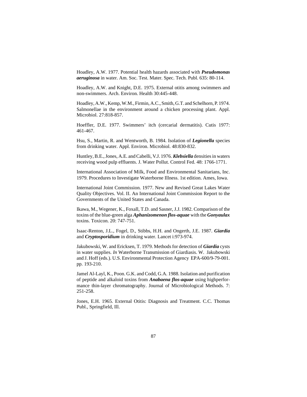Hoadley, A.W. 1977. Potential health hazards associated with *Pseudomonas aeruginosa* in water. Am. Soc. Test. Mater. Spec. Tech. Publ. 635: 80-114.

Hoadley, A.W. and Knight, D.E. 1975. External otitis among swimmers and non-swimmers. Arch. Environ. Health 30:445-448.

Hoadley, A.W., Kemp, W.M., Firmin, A.C., Smith, G.T. and Schelhorn, P. 1974. Salmonellae in the environment around a chicken processing plant. Appl. Microbiol. 27:818-857.

Hoeffler, D.E. 1977. Swimmers' itch (cercarial dermatitis). Cutis 1977: 461-467.

Hsu, S., Martin, R. and Wentworth, B. 1984. Isolation of *Legionella* species from drinking water. Appl. Environ. Microbiol. 48:830-832.

Huntley, B.E., Jones, A.E. and Cabelli, V.J. 1976. *Klebsiella* densities in waters receiving wood pulp effluents. J. Water Pollut. Control Fed. 48: 1766-1771.

International Association of Milk, Food and Environmental Sanitarians, Inc. 1979. Procedures to Investigate Waterborne Illness. 1st edition. Ames, Iowa.

International Joint Commission. 1977. New and Revised Great Lakes Water Quality Objectives. Vol. II. An International Joint Commission Report to the Governments of the United States and Canada.

Ikawa, M., Wegener, K., Foxall, T.D. and Sasner, J.J. 1982. Comparison of the toxins of the blue-green alga *Aphanizomenon flos-aquae* with the *Gonyaulax* toxins. Toxicon. 20: 747-751.

Isaac-Renton, J.L., Fogel, D., Stibbs, H.H. and Ongerth, J.E. 1987. *Giardia* and *Cryptosporidium* in drinking water. Lancet i:973-974.

Jakubowski, W. and Ericksen, T. 1979. Methods for detection of *Giardia* cysts in water supplies. *In* Waterborne Transmission of Giardiasis. W. Jakubowski and J. Hoff (eds.). U.S. Environmental Protection Agency EPA-600/9-79-001. pp. 193-210.

Jamel Al-Layl, K., Poon. G.K. and Codd, G.A. 1988. Isolation and purification of peptide and alkaloid toxins from *Anabaena flos-aquae* using highperformance thin-layer chromatography. Journal of Microbiological Methods. 7: 251-258.

Jones, E.H. 1965. External Otitis: Diagnosis and Treatment. C.C. Thomas Publ., Springfield, Ill.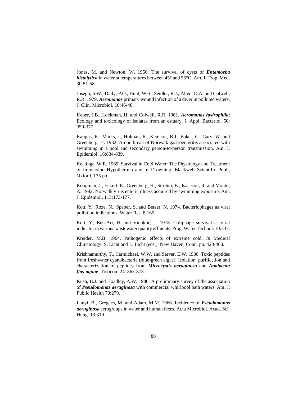Jones, M. and Newton, W. 1950. The survival of cysts of *Entamoeba histolytica* in water at temperatures between 45° and 55°C. Am. J. Trop. Med. 30:51-58.

Joseph, S.W., Daily, P.O., Hunt, W.S., Seidler, R.J., Allen, D.A. and Colwell, R.R. 1979. *Aeromonas* primary wound infection of a diver in polluted waters. J. Clin. Microbiol. 10:46-48.

Kaper, J.B., Lockman, H. and Colwell, R.R. 1981. *Aeromonas hydrophila*: Ecology and toxicology of isolates from an estuary. J. Appl. Bacteriol. 50: 359-377.

Kappus, K., Marks, J., Holman, R., Kenicott, B.J., Baker, C., Gary, W. and Greenberg, H. 1982. An outbreak of Norwalk gastroenteritis associated with swimming in a pool and secondary person-to-person transmission. Am. J. Epidemiol. 16:834-839.

Keatinge, W.R. 1969. Survival in Cold Water: The Physiology and Treatment of Immersion Hypothermia and of Drowning. Blackwell Scientific Publ., Oxford. 135 pp.

Koopman, J., Eckert, E., Greenberg, H., Strohm, B., Isaacson, R. and Monto, A. 1982. Norwalk virus enteric illness acquired by swimming exposure. Am. J. Epidemiol. 115:173-177.

Kott, Y., Roze, N., Speber, S. and Betzer, N. 1974. Bacteriophages as viral pollution indications. Water Res. 8:165.

Kott, Y., Ben-Ari, H. and Vinokur, L. 1978. Coliphage survival as viral indicator in various wastewater quality effluents. Prog. Water Technol. 10:337.

Kreider, M.B. 1964. Pathogenic effects of extreme cold. *In* Medical Climatology. S. Licht and E. Licht (eds.). New Haven, Conn. pp. 428-468.

Krishnamurthy, T., Carmichael, W.W. and Sarver, E.W. 1986. Toxic peptides from freshwater cyanobacteria (blue-green algae). Isolation, purification and characterization of peptides from *Microcystis aeruginosa* and *Anabaena flos-aquae*. Toxicon: 24: 865-873.

Kush, B.J. and Hoadley, A.W. 1980. A preliminary survey of the association of *Pseudomonas aeruginosa* with commercial whirlpool bath waters. Am. J. Public Health 70:279.

Lanyi, B., Gregacs, M. and Adam, M.M. 1966. Incidence of *Pseudomonas aeruginosa* serogroups in water and human feces. Acta Microbiol. Acad. Sci. Hung. 13:319.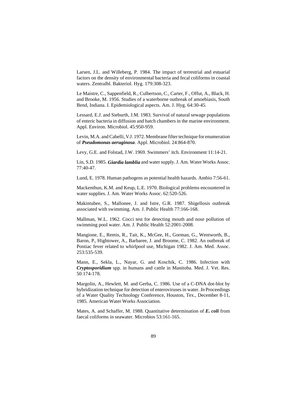Larsen, J.L. and Willeberg, P. 1984. The impact of terrestrial and estuarial factors on the density of environmental bacteria and fecal coliforms in coastal waters. Zentralbl. Bakteriol. Hyg. 179:308-323.

Le Maistre, C., Sappenfield, R., Culbertson, C., Carter, F., Offut, A., Black, H. and Brooke, M. 1956. Studies of a waterborne outbreak of amoebiasis, South Bend, Indiana. I. Epidemiological aspects. Am. J. Hyg. 64:30-45.

Lessard, E.J. and Sieburth, J.M. 1983. Survival of natural sewage populations of enteric bacteria in diffusion and batch chambers in the marine environment. Appl. Environ. Microbiol. 45:950-959.

Levin, M.A. and Cabelli, V.J. 1972. Membrane filter technique for enumeration of *Pseudomonas aeruginosa*. Appl. Microbiol. 24:864-870.

Levy, G.E. and Folstad, J.W. 1969. Swimmers' itch. Environment 11:14-21.

Lin, S.D. 1985. *Giardia lamblia* and water supply. J. Am. Water Works Assoc. 77:40-47.

Lund, E. 1978. Human pathogens as potential health hazards. Ambio 7:56-61.

Mackenthun, K.M. and Keup, L.E. 1970. Biological problems encountered in water supplies. J. Am. Water Works Assoc. 62:520-526.

Makintubee, S., Mallonee, J. and Istre, G.R. 1987. Shigellosis outbreak associated with swimming. Am. J. Public Health 77:166-168.

Mallman, W.L. 1962. Cocci test for detecting mouth and nose pollution of swimming pool water. Am. J. Public Health 52:2001-2008.

Mangione, E., Remis, R., Tait, K., McGee, H., Gorman, G., Wentworth, B., Baron, P., Hightower, A., Barbaree, J. and Broome, C. 1982. An outbreak of Pontiac fever related to whirlpool use, Michigan 1982. J. Am. Med. Assoc. 253:535-539.

Mann, E., Sekla, L., Nayar, G. and Koschik, C. 1986. Infection with *Cryptosporidium* spp. in humans and cattle in Manitoba. Med. J. Vet. Res. 50:174-178.

Margolin, A., Hewlett, M. and Gerba, C. 1986. Use of a C-DNA dot-blot by hybridization technique for detection of enteroviruses in water. *In* Proceedings of a Water Quality Technology Conference, Houston, Tex., December 8-11, 1985. American Water Works Association.

Mates, A. and Schaffer, M. 1988. Quantitative determination of *E. coli* from faecal coliforms in seawater. Microbios 53:161-165.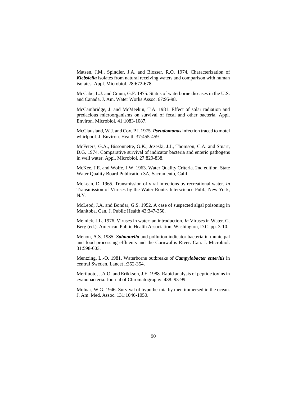Matsen, J.M., Spindler, J.A. and Blosser, R.O. 1974. Characterization of *Klebsiella* isolates from natural receiving waters and comparison with human isolates. Appl. Microbiol. 28:672-678.

McCabe, L.J. and Craun, G.F. 1975. Status of waterborne diseases in the U.S. and Canada. J. Am. Water Works Assoc. 67:95-98.

McCambridge, J. and McMeekin, T.A. 1981. Effect of solar radiation and predacious microorganisms on survival of fecal and other bacteria. Appl. Environ. Microbiol. 41:1083-1087.

McClausland, W.J. and Cox, P.J. 1975. *Pseudomonas* infection traced to motel whirlpool. J. Environ. Health 37:455-459.

McFeters, G.A., Bissonnette, G.K., Jezeski, J.J., Thomson, C.A. and Stuart, D.G. 1974. Comparative survival of indicator bacteria and enteric pathogens in well water. Appl. Microbiol. 27:829-838.

McKee, J.E. and Wolfe, J.W. 1963. Water Quality Criteria. 2nd edition. State Water Quality Board Publication 3A, Sacramento, Calif.

McLean, D. 1965. Transmission of viral infections by recreational water. *In* Transmission of Viruses by the Water Route. Interscience Publ., New York, N.Y.

McLeod, J.A. and Bondar, G.S. 1952. A case of suspected algal poisoning in Manitoba. Can. J. Public Health 43:347-350.

Melnick, J.L. 1976. Viruses in water: an introduction. *In* Viruses in Water. G. Berg (ed.). American Public Health Association, Washington, D.C. pp. 3-10.

Menon, A.S. 1985. *Salmonella* and pollution indicator bacteria in municipal and food processing effluents and the Cornwallis River. Can. J. Microbiol. 31:598-603.

Mentzing, L.-O. 1981. Waterborne outbreaks of *Campylobacter enteritis* in central Sweden. Lancet i:352-354.

Meriluoto, J.A.O. and Erikkson, J.E. 1988. Rapid analysis of peptide toxins in cyanobacteria. Journal of Chromatography. 438: 93-99.

Molnar, W.G. 1946. Survival of hypothermia by men immersed in the ocean. J. Am. Med. Assoc. 131:1046-1050.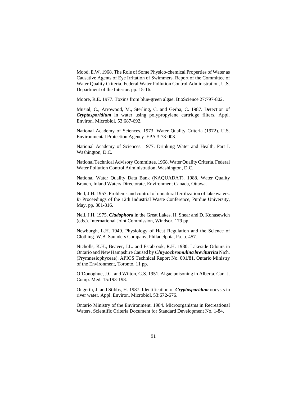Mood, E.W. 1968. The Role of Some Physico-chemical Properties of Water as Causative Agents of Eye Irritation of Swimmers. Report of the Committee of Water Quality Criteria. Federal Water Pollution Control Administration, U.S. Department of the Interior. pp. 15-16.

Moore, R.E. 1977. Toxins from blue-green algae. BioScience 27:797-802.

Musial, C., Arrowood, M., Sterling, C. and Gerba, C. 1987. Detection of *Cryptosporidium* in water using polypropylene cartridge filters. Appl. Environ. Microbiol. 53:687-692.

National Academy of Sciences. 1973. Water Quality Criteria (1972). U.S. Environmental Protection Agency EPA 3-73-003.

National Academy of Sciences. 1977. Drinking Water and Health, Part I. Washington, D.C.

National Technical Advisory Committee. 1968. Water Quality Criteria. Federal Water Pollution Control Administration, Washington, D.C.

National Water Quality Data Bank (NAQUADAT). 1988. Water Quality Branch, Inland Waters Directorate, Environment Canada, Ottawa.

Neil, J.H. 1957. Problems and control of unnatural fertilization of lake waters. *In* Proceedings of the 12th Industrial Waste Conference, Purdue University, May. pp. 301-316.

Neil, J.H. 1975. *Cladophora* in the Great Lakes. H. Shear and D. Konasewich (eds.). International Joint Commission, Windsor. 179 pp.

Newburgh, L.H. 1949. Physiology of Heat Regulation and the Science of Clothing. W.B. Saunders Company, Philadelphia, Pa. p. 457.

Nicholls, K.H., Beaver, J.L. and Estabrook, R.H. 1980. Lakeside Odours in Ontario and New Hampshire Caused by *Chrysochromulina breviturrita* Nich. (Prymnesiophyceae). APIOS Technical Report No. 001/81, Ontario Ministry of the Environment, Toronto. 11 pp.

O'Donoghue, J.G. and Wilton, G.S. 1951. Algae poisoning in Alberta. Can. J. Comp. Med. 15:193-198.

Ongerth, J. and Stibbs, H. 1987. Identification of *Cryptosporidum* oocysts in river water. Appl. Environ. Microbiol. 53:672-676.

Ontario Ministry of the Environment. 1984. Microorganisms in Recreational Waters. Scientific Criteria Document for Standard Development No. 1-84.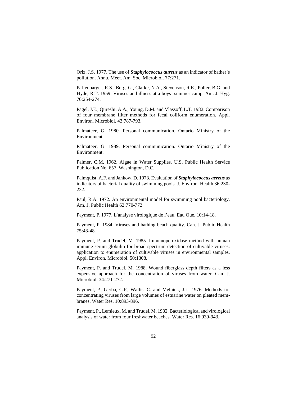Oriz, J.S. 1977. The use of *Staphylococcus aureus* as an indicator of bather's pollution. Annu. Meet. Am. Soc. Microbiol. 77:271.

Paffenbarger, R.S., Berg, G., Clarke, N.A., Stevenson, R.E., Poller, B.G. and Hyde, R.T. 1959. Viruses and illness at a boys' summer camp. Am. J. Hyg. 70:254-274.

Pagel, J.E., Qureshi, A.A., Young, D.M. and Vlassoff, L.T. 1982. Comparison of four membrane filter methods for fecal coliform enumeration. Appl. Environ. Microbiol. 43:787-793.

Palmateer, G. 1980. Personal communication. Ontario Ministry of the Environment.

Palmateer, G. 1989. Personal communication. Ontario Ministry of the Environment.

Palmer, C.M. 1962. Algae in Water Supplies. U.S. Public Health Service Publication No. 657, Washington, D.C.

Palmquist, A.F. and Jankow, D. 1973. Evaluation of *Staphylococcus aereus* as indicators of bacterial quality of swimming pools. J. Environ. Health 36:230- 232.

Paul, R.A. 1972. An environmental model for swimming pool bacteriology. Am. J. Public Health 62:770-772.

Payment, P. 1977. L'analyse virologique de l'eau. Eau Que. 10:14-18.

Payment, P. 1984. Viruses and bathing beach quality. Can. J. Public Health 75:43-48.

Payment, P. and Trudel, M. 1985. Immunoperoxidase method with human immune serum globulin for broad spectrum detection of cultivable viruses: application to enumeration of cultivable viruses in environmental samples. Appl. Environ. Microbiol. 50:1308.

Payment, P. and Trudel, M. 1988. Wound fiberglass depth filters as a less expensive approach for the concentration of viruses from water. Can. J. Microbiol. 34:271-272.

Payment, P., Gerba, C.P., Wallis, C. and Melnick, J.L. 1976. Methods for concentrating viruses from large volumes of estuarine water on pleated membranes. Water Res. 10:893-896.

Payment, P., Lemieux, M. and Trudel, M. 1982. Bacteriological and virological analysis of water from four freshwater beaches. Water Res. 16:939-943.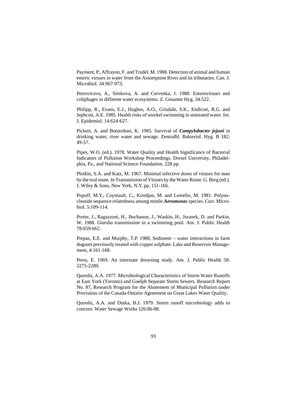Payment, P., Affrayon, F. and Trudel, M. 1988. Detection of animal and human enteric viruses in water from the Assomption River and its tributaries. Can. J. Microbiol. 34:967-973.

Petrovicova, A., Simkova, A. and Cervenka, J. 1988. Enteroviruses and coliphages in different water ecosystems. Z. Gesamte Hyg. 34:522.

Philipp, R., Evans, E.J., Hughes, A.O., Grisdale, S.K., Endicott, R.G. and Jephcott, A.E. 1985. Health risks of snorkel swimming in untreated water. Int. J. Epidemiol. 14:624-627.

Pickert, A. and Botzenhart, K. 1985. Survival of *Campylobacter jejuni* in drinking water, river water and sewage. Zentralbl. Bakteriol. Hyg. B 182: 49-57.

Pipes, W.O. (ed.). 1978. Water Quality and Health Significance of Bacterial Indicators of Pollution Workshop Proceedings. Drexel University, Philadelphia, Pa., and National Science Foundation. 228 pp.

Plotkin, S.A. and Katz, M. 1967. Minimal infective doses of viruses for man by the oral route. *In* Transmission of Viruses by the Water Route. G. Berg (ed.). J. Wiley & Sons, New York, N.Y. pp. 151-166.

Popoff, M.Y., Coymault, C., Kiredjan, M. and Lemelin, M. 1981. Polynucleotide sequence relatedness among motile *Aeromonas* species. Curr. Microbiol. 5:109-114.

Porter, J., Ragazzoni, H., Buchanon, J., Waskin, H., Juranek, D. and Parkin, W. 1988. *Giardia* transmission in a swimming pool. Am. J. Public Health 78:659-662.

Prepas, E.E. and Murphy, T.P. 1988, Sediment – water interactions in farm dugouts previously treated with copper sulphate. Lake and Reservoir Management, 4:161-168.

Press, E. 1969. An interstate drowning study. Am. J. Public Health 58: 2275-2289.

Qureshi, A.A. 1977. Microbiological Characteristics of Storm Water Runoffs at East York (Toronto) and Guelph Separate Storm Sewers. Research Report No. 87, Research Program for the Abatement of Municipal Pollution under Provisions of the Canada-Ontario Agreement on Great Lakes Water Quality.

Qureshi, A.A. and Dutka, B.J. 1979. Storm runoff microbiology adds to concern. Water Sewage Works 126:86-88.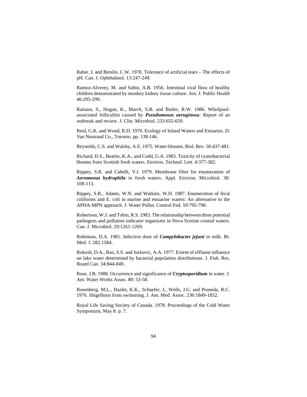Raber, I. and Breslin, C.W. 1978. Tolerance of artificial tears – The effects of pH. Can. J. Ophthalmol. 13:247-249.

Ramoz-Alverez, M. and Sabin, A.B. 1956. Intestinal viral flora of healthy children demonstrated by monkey kidney tissue culture. Am. J. Public Health 46:295-299.

Ratnam, S., Hogan, K., March, S.B. and Butler, R.W. 1986. Whirlpoolassociated folliculitis caused by *Pseudomonas aeruginosa*: Report of an outbreak and review. J. Clin. Microbiol. 233:655-659.

Reid, G.K. and Wood, R.D. 1976. Ecology of Inland Waters and Estuaries. D. Van Nostrand Co., Toronto. pp. 138-146.

Reynolds, C.S. and Walsby, A.E. 1975. Water-blooms. Biol. Rev. 50:437-481.

Richard, D.S., Beattie, K.A., and Codd, G.A. 1983. Toxicity of cyanobacterial blooms from Scottish fresh waters. Environ. Technol. Lett. 4:377-382.

Rippey, S.R. and Cabelli, V.J. 1979. Membrane filter for enumeration of *Aeromonas hydrophila* in fresh waters. Appl. Environ. Microbiol. 38: 108-113.

Rippey, S.R., Adams, W.N. and Watkins, W.D. 1987. Enumeration of fecal coliforms and E. coli in marine and estuarine waters: An alternative to the APHA-MPN approach. J. Water Pollut. Control Fed. 59:795-798.

Robertson, W.J. and Tobin, R.S. 1983. The relationship between three potential pathogens and pollution indicator organisms in Nova Scotian coastal waters. Can. J. Microbiol. 29:1261-1269.

Robinson, D.A. 1981. Infective dose of *Campylobacter jejuni* in milk. Br. Med. J. 282:1584.

Rokosh, D.A., Rao, S.S. and Jurkovic, A.A. 1977. Extent of effluent influence on lake water determined by bacterial population distributions. J. Fish. Res. Board Can. 34:844-849.

Rose, J.B. 1988. Occurrence and significance of *Cryptosporidium* in water. J. Am. Water Works Assoc. 80: 53-58.

Rosenberg, M.L., Hazlet, K.K., Schaefer, J., Wells, J.G. and Pruneda, R.C. 1976. Shigellosis from swimming. J. Am. Med. Assoc. 236:1849-1852.

Royal Life Saving Society of Canada. 1978. Proceedings of the Cold Water Symposium, May 8. p. 7.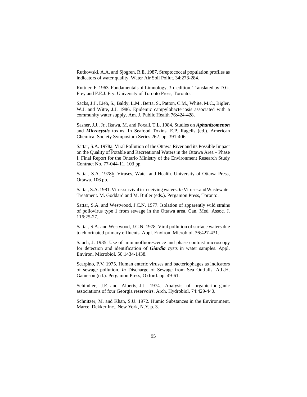Rutkowski, A.A. and Sjogren, R.E. 1987. Streptococcal population profiles as indicators of water quality. Water Air Soil Pollut. 34:273-284.

Ruttner, F. 1963. Fundamentals of Limnology. 3rd edition. Translated by D.G. Frey and F.E.J. Fry. University of Toronto Press, Toronto.

Sacks, J.J., Lieb, S., Baldy, L.M., Berta, S., Patton, C.M., White, M.C., Bigler, W.J. and Witte, J.J. 1986. Epidemic campylobacteriosis associated with a community water supply. Am. J. Public Health 76:424-428.

Sasner, J.J., Jr., Ikawa, M. and Foxall, T.L. 1984. Studies on *Aphanizomenon* and *Microcystis* toxins. In Seafood Toxins. E.P. Ragelis (ed.). American Chemical Society Symposium Series 262. pp. 391-406.

Sattar, S.A. 1978a. Viral Pollution of the Ottawa River and its Possible Impact on the Quality of Potable and Recreational Waters in the Ottawa Area – Phase I. Final Report for the Ontario Ministry of the Environment Research Study Contract No. 77-044-11. 103 pp.

Sattar, S.A. 1978b. Viruses, Water and Health. University of Ottawa Press, Ottawa. 106 pp.

Sattar, S.A. 1981. Virus survival in receiving waters. *In* Viruses and Wastewater Treatment. M. Goddard and M. Butler (eds.). Pergamon Press, Toronto.

Sattar, S.A. and Westwood, J.C.N. 1977. Isolation of apparently wild strains of poliovirus type 1 from sewage in the Ottawa area. Can. Med. Assoc. J. 116:25-27.

Sattar, S.A. and Westwood, J.C.N. 1978. Viral pollution of surface waters due to chlorinated primary effluents. Appl. Environ. Microbiol. 36:427-431.

Sauch, J. 1985. Use of immunofluorescence and phase contrast microscopy for detection and identification of *Giardia* cysts in water samples. Appl. Environ. Microbiol. 50:1434-1438.

Scarpino, P.V. 1975. Human enteric viruses and bacteriophages as indicators of sewage pollution. *In* Discharge of Sewage from Sea Outfalls. A.L.H. Gameson (ed.). Pergamon Press, Oxford. pp. 49-61.

Schindler, J.E. and Alberts, J.J. 1974. Analysis of organic-inorganic associations of four Georgia reservoirs. Arch. Hydrobiol. 74:429-440.

Schnitzer, M. and Khan, S.U. 1972. Humic Substances in the Environment. Marcel Dekker Inc., New York, N.Y. p. 3.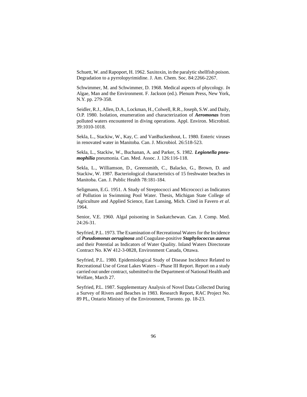Schuett, W. and Rapoport, H. 1962. Saxitoxin, in the paralytic shellfish poison. Degradation to a pyrrolopyrimidine. J. Am. Chem. Soc. 84:2266-2267.

Schwimmer, M. and Schwimmer, D. 1968. Medical aspects of phycology. *In* Algae, Man and the Environment. F. Jackson (ed.). Plenum Press, New York, N.Y. pp. 279-358.

Seidler, R.J., Allen, D.A., Lockman, H., Colwell, R.R., Joseph, S.W. and Daily, O.P. 1980. Isolation, enumeration and characterization of *Aeromonas* from polluted waters encountered in diving operations. Appl. Environ. Microbiol. 39:1010-1018.

Sekla, L., Stackiw, W., Kay, C. and VanBuckenhout, L. 1980. Enteric viruses in renovated water in Manitoba. Can. J. Microbiol. 26:518-523.

Sekla, L., Stackiw, W., Buchanan, A. and Parker, S. 1982. *Legionella pneumophilia* pneumonia. Can. Med. Assoc. J. 126:116-118.

Sekla, L., Williamson, D., Greensmith, C., Balacko, G., Brown, D. and Stackiw, W. 1987. Bacteriological characteristics of 15 freshwater beaches in Manitoba. Can. J. Public Health 78:181-184.

Seligmann, E.G. 1951. A Study of Streptococci and Micrococci as Indicators of Pollution in Swimming Pool Water. Thesis, Michigan State College of Agriculture and Applied Science, East Lansing, Mich. Cited in Favero *et al*. 1964.

Senior, V.E. 1960. Algal poisoning in Saskatchewan. Can. J. Comp. Med. 24:26-31.

Seyfried, P.L. 1973. The Examination of Recreational Waters for the Incidence of *Pseudomonas aeruginosa* and Coagulase-positive *Staphylococcus aureus* and their Potential as Indicators of Water Quality. Inland Waters Directorate Contract No. KW 412-3-0828, Environment Canada, Ottawa.

Seyfried, P.L. 1980. Epidemiological Study of Disease Incidence Related to Recreational Use of Great Lakes Waters – Phase III Report. Report on a study carried out under contract, submitted to the Department of National Health and Welfare, March 27.

Seyfried, P.L. 1987. Supplementary Analysis of Novel Data Collected During a Survey of Rivers and Beaches in 1983. Research Report, RAC Project No. 89 PL, Ontario Ministry of the Environment, Toronto. pp. 18-23.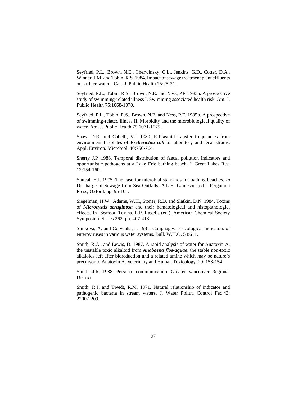Seyfried, P.L., Brown, N.E., Cherwinsky, C.L., Jenkins, G.D., Cotter, D.A., Winner, J.M. and Tobin, R.S. 1984. Impact of sewage treatment plant effluents on surface waters. Can. J. Public Health 75:25-31.

Seyfried, P.L., Tobin, R.S., Brown, N.E. and Ness, P.F. 1985<sub>a</sub>. A prospective study of swimming-related illness I. Swimming associated health risk. Am. J. Public Health 75:1068-1070.

Seyfried, P.L., Tobin, R.S., Brown, N.E. and Ness, P.F. 1985b. A prospective of swimming-related illness II. Morbidity and the microbiological quality of water. Am. J. Public Health 75:1071-1075.

Shaw, D.R. and Cabelli, V.J. 1980. R-Plasmid transfer frequencies from environmental isolates of *Escherichia coli* to laboratory and fecal strains. Appl. Environ. Microbiol. 40:756-764.

Sherry J.P. 1986. Temporal distribution of faecal pollution indicators and opportunistic pathogens at a Lake Erie bathing beach. J. Great Lakes Res. 12:154-160.

Shuval, H.I. 1975. The case for microbial standards for bathing beaches. *In* Discharge of Sewage from Sea Outfalls. A.L.H. Gameson (ed.). Pergamon Press, Oxford. pp. 95-101.

Siegelman, H.W., Adams, W.H., Stoner, R.D. and Slatkin, D.N. 1984. Toxins of *Microcystis aeruginosa* and their hematological and histopathologicl effects. In Seafood Toxins. E.P. Ragelis (ed.). American Chemical Society Symposium Series 262. pp. 407-413.

Simkova, A. and Cervenka, J. 1981. Coliphages as ecological indicators of enteroviruses in various water systems. Bull. W.H.O. 59:611.

Smith, R.A., and Lewis, D. 1987. A rapid analysis of water for Anatoxin A, the unstable toxic alkaloid from *Anabaena flos-aquae*, the stable non-toxic alkaloids left after bioreduction and a related amine which may be nature's precursor to Anatoxin A. Veterinary and Human Toxicology. 29: 153-154

Smith, J.R. 1988. Personal communication. Greater Vancouver Regional District.

Smith, R.J. and Twedt, R.M. 1971. Natural relationship of indicator and pathogenic bacteria in stream waters. J. Water Pollut. Control Fed.43: 2200-2209.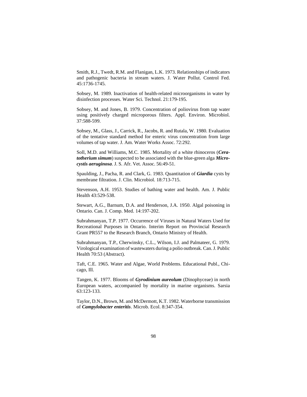Smith, R.J., Twedt, R.M. and Flanigan, L.K. 1973. Relationships of indicators and pathogenic bacteria in stream waters. J. Water Pollut. Control Fed. 45:1736-1745.

Sobsey, M. 1989. Inactivation of health-related microorganisms in water by disinfection processes. Water Sci. Technol. 21:179-195.

Sobsey, M. and Jones, B. 1979. Concentration of poliovirus from tap water using positively charged microporous filters. Appl. Environ. Microbiol. 37:588-599.

Sobsey, M., Glass, J., Carrick, R., Jacobs, R. and Rutala, W. 1980. Evaluation of the tentative standard method for enteric virus concentration from large volumes of tap water. J. Am. Water Works Assoc. 72:292.

Soll, M.D. and Williams, M.C. 1985. Mortality of a white rhinoceros (*Ceratotherium simum*) suspected to be associated with the blue-green alga *Microcystis aeruginosa*. J. S. Afr. Vet. Assoc. 56:49-51.

Spaulding, J., Pacha, R. and Clark, G. 1983. Quantitation of *Giardia* cysts by membrane filtration. J. Clin. Microbiol. 18:713-715.

Stevenson, A.H. 1953. Studies of bathing water and health. Am. J. Public Health 43:529-538.

Stewart, A.G., Barnum, D.A. and Henderson, J.A. 1950. Algal poisoning in Ontario. Can. J. Comp. Med. 14:197-202.

Subrahmanyan, T.P. 1977. Occurrence of Viruses in Natural Waters Used for Recreational Purposes in Ontario. Interim Report on Provincial Research Grant PR557 to the Research Branch, Ontario Ministry of Health.

Subrahmanyan, T.P., Cherwinsky, C.L., Wilson, I.J. and Palmateer, G. 1979. Virological examination of wastewaters during a polio outbreak. Can. J. Public Health 70:53 (Abstract).

Taft, C.E. 1965. Water and Algae, World Problems. Educational Publ., Chicago, Ill.

Tangen, K. 1977. Blooms of *Gyrodinium aureolum* (Dinophyceae) in north European waters, accompanied by mortality in marine organisms. Sarsia 63:123-133.

Taylor, D.N., Brown, M. and McDermott, K.T. 1982. Waterborne transmission of *Campylobacter enteritis*. Microb. Ecol. 8:347-354.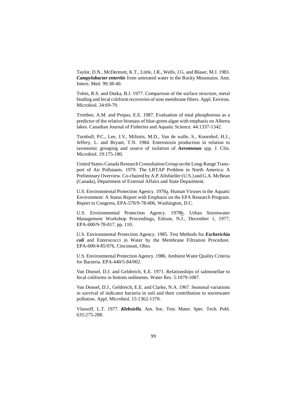Taylor, D.N., McDermott, K.T., Little, J.R., Wells, J.G. and Blaser, M.J. 1983. *Campylobacter enteritis* from untreated water in the Rocky Mountains. Ann. Intern. Med. 99:38-40.

Tobin, R.S. and Dutka, B.J. 1977. Comparison of the surface structure, metal binding and fecal coliform recoveries of nine membrane filters. Appl. Environ. Microbiol. 34:69-79.

Trimbee, A.M. and Prepas, E.E. 1987. Evaluation of total phosphorous as a predictor of the relative biomass of blue-green algae with emphasis on Alberta lakes. Canadian Journal of Fisheries and Aquatic Science. 44:1337-1342.

Turnbull, P.C., Lee, J.V., Miliotis, M.D., Van de walle, S., Koornhof, H.J., Jeffery, L. and Bryant, T.N. 1984. Enterotoxin production in relation to taxonomic grouping and source of isolation of *Aeromonas* spp. J. Clin. Microbiol. 19:175-180.

United States-Canada Research Consultation Group on the Long-Range Transport of Air Pollutants. 1979. The LRTAP Problem in North America: A Preliminary Overview. Co-chaired by A.P. Altshieller (U.S.) and G.A. McBean (Canada), Department of External Affairs and State Department.

U.S. Environmental Protection Agency. 1978a. Human Viruses in the Aquatic Environment: A Status Report with Emphasis on the EPA Research Program. Report to Congress, EPA-570/9-78-006, Washington, D.C.

U.S. Environmental Protection Agency. 1978b. Urban Stormwater Management Workshop Proceedings, Edison, N.J., December 1, 1977, EPA-600/9-78-017. pp. 110.

U.S. Environmental Protection Agency. 1985. Test Methods for *Escherichia coli* and Enterococci in Water by the Membrane Filtration Procedure. EPA-600/4-85/076, Cincinnati, Ohio.

U.S. Environmental Protection Agency. 1986. Ambient Water Quality Criteria for Bacteria. EPA-440/5-84/002.

Van Donsel, D.J. and Geldreich, E.E. 1971. Relationships of salmonellae to fecal coliforms in bottom sediments. Water Res. 5:1079-1087.

Van Donsel, D.J., Geldreich, E.E. and Clarke, N.A. 1967. Seasonal variations in survival of indicator bacteria in soil and their contribution to stormwater pollution. Appl. Microbiol. 15:1362-1370.

Vlassoff, L.T. 1977. *Klebsiella*. Am. Soc. Test. Mater. Spec. Tech. Publ. 635:275-288.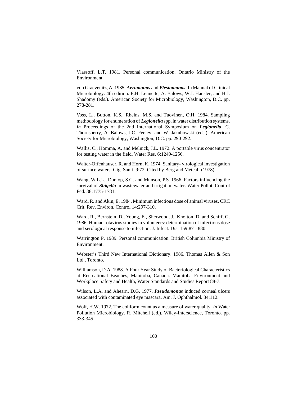Vlassoff, L.T. 1981. Personal communication. Ontario Ministry of the Environment.

von Graevenitz, A. 1985. *Aeromonas* and *Plesiomonas*. In Manual of Clinical Microbiology. 4th edition. E.H. Lennette, A. Balows, W.J. Hausler, and H.J. Shadomy (eds.). American Society for Microbiology, Washington, D.C. pp. 278-281.

Voss, L., Button, K.S., Rheins, M.S. and Tuovinen, O.H. 1984. Sampling methodology for enumeration of *Legionella* spp. in water distribution systems. *In* Proceedings of the 2nd International Symposium on *Legionella*. C. Thornsberry, A. Balows, J.C. Feeley, and W. Jakubowski (eds.). American Society for Microbiology, Washington, D.C. pp. 290-292.

Wallis, C., Homma, A. and Melnick, J.L. 1972. A portable virus concentrator for testing water in the field. Water Res. 6:1249-1256.

Walter-Offenhauser, R. and Horn, K. 1974. Sanitary- virological investigation of surface waters. Gig. Sanit. 9:72. Cited by Berg and Metcalf (1978).

Wang, W.L.L., Dunlop, S.G. and Munson, P.S. 1966. Factors influencing the survival of *Shigella* in wastewater and irrigation water. Water Pollut. Control Fed. 38:1775-1781.

Ward, R. and Akin, E. 1984. Minimum infectious dose of animal viruses. CRC Crit. Rev. Environ. Control 14:297-310.

Ward, R., Bernstein, D., Young, E., Sherwood, J., Knolton, D. and Schiff, G. 1986. Human rotavirus studies in volunteers: determination of infectious dose and serological response to infection. J. Infect. Dis. 159:871-880.

Warrington P. 1989. Personal communication. British Columbia Ministry of Environment.

Webster's Third New International Dictionary. 1986. Thomas Allen & Son Ltd., Toronto.

Williamson, D.A. 1988. A Four Year Study of Bacteriological Characteristics at Recreational Beaches, Manitoba, Canada. Manitoba Environment and Workplace Safety and Health, Water Standards and Studies Report 88-7.

Wilson, L.A. and Ahearn, D.G. 1977. *Pseudomonas* induced corneal ulcers associated with contaminated eye mascara. Am. J. Ophthalmol. 84:112.

Wolf, H.W. 1972. The coliform count as a measure of water quality. *In* Water Pollution Microbiology. R. Mitchell (ed.). Wiley-Interscience, Toronto. pp. 333-345.